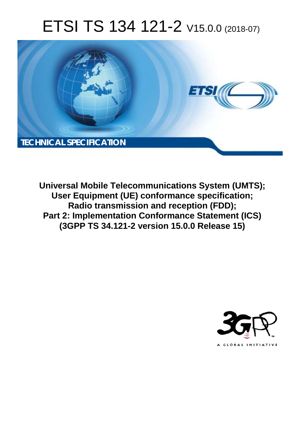

**Universal Mobile Telecommunications System (UMTS); User Equipment (UE) conformance specification; Radio transmission and reception (FDD); Part 2: Implementation Conformance Statement (ICS) (3GPP TS 34.121-2 version 15.0.0 Release 15)** 

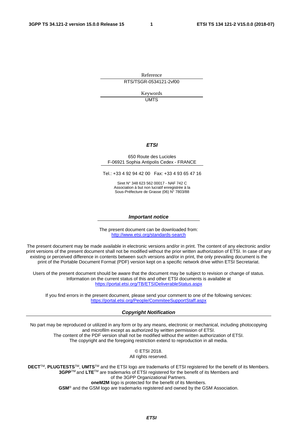Reference RTS/TSGR-0534121-2vf00

> Keywords UMTS

#### *ETSI*

#### 650 Route des Lucioles F-06921 Sophia Antipolis Cedex - FRANCE

Tel.: +33 4 92 94 42 00 Fax: +33 4 93 65 47 16

Siret N° 348 623 562 00017 - NAF 742 C Association à but non lucratif enregistrée à la Sous-Préfecture de Grasse (06) N° 7803/88

#### *Important notice*

The present document can be downloaded from: <http://www.etsi.org/standards-search>

The present document may be made available in electronic versions and/or in print. The content of any electronic and/or print versions of the present document shall not be modified without the prior written authorization of ETSI. In case of any existing or perceived difference in contents between such versions and/or in print, the only prevailing document is the print of the Portable Document Format (PDF) version kept on a specific network drive within ETSI Secretariat.

Users of the present document should be aware that the document may be subject to revision or change of status. Information on the current status of this and other ETSI documents is available at <https://portal.etsi.org/TB/ETSIDeliverableStatus.aspx>

If you find errors in the present document, please send your comment to one of the following services: <https://portal.etsi.org/People/CommiteeSupportStaff.aspx>

#### *Copyright Notification*

No part may be reproduced or utilized in any form or by any means, electronic or mechanical, including photocopying and microfilm except as authorized by written permission of ETSI. The content of the PDF version shall not be modified without the written authorization of ETSI. The copyright and the foregoing restriction extend to reproduction in all media.

> © ETSI 2018. All rights reserved.

**DECT**TM, **PLUGTESTS**TM, **UMTS**TM and the ETSI logo are trademarks of ETSI registered for the benefit of its Members. **3GPP**TM and **LTE**TM are trademarks of ETSI registered for the benefit of its Members and of the 3GPP Organizational Partners. **oneM2M** logo is protected for the benefit of its Members.

**GSM**® and the GSM logo are trademarks registered and owned by the GSM Association.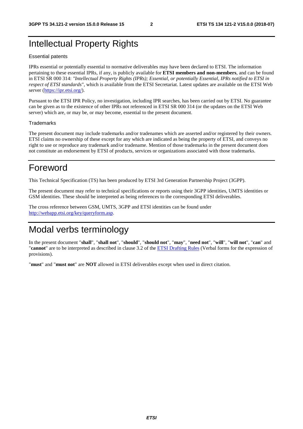### Intellectual Property Rights

#### Essential patents

IPRs essential or potentially essential to normative deliverables may have been declared to ETSI. The information pertaining to these essential IPRs, if any, is publicly available for **ETSI members and non-members**, and can be found in ETSI SR 000 314: *"Intellectual Property Rights (IPRs); Essential, or potentially Essential, IPRs notified to ETSI in respect of ETSI standards"*, which is available from the ETSI Secretariat. Latest updates are available on the ETSI Web server ([https://ipr.etsi.org/\)](https://ipr.etsi.org/).

Pursuant to the ETSI IPR Policy, no investigation, including IPR searches, has been carried out by ETSI. No guarantee can be given as to the existence of other IPRs not referenced in ETSI SR 000 314 (or the updates on the ETSI Web server) which are, or may be, or may become, essential to the present document.

#### **Trademarks**

The present document may include trademarks and/or tradenames which are asserted and/or registered by their owners. ETSI claims no ownership of these except for any which are indicated as being the property of ETSI, and conveys no right to use or reproduce any trademark and/or tradename. Mention of those trademarks in the present document does not constitute an endorsement by ETSI of products, services or organizations associated with those trademarks.

### Foreword

This Technical Specification (TS) has been produced by ETSI 3rd Generation Partnership Project (3GPP).

The present document may refer to technical specifications or reports using their 3GPP identities, UMTS identities or GSM identities. These should be interpreted as being references to the corresponding ETSI deliverables.

The cross reference between GSM, UMTS, 3GPP and ETSI identities can be found under [http://webapp.etsi.org/key/queryform.asp.](http://webapp.etsi.org/key/queryform.asp)

### Modal verbs terminology

In the present document "**shall**", "**shall not**", "**should**", "**should not**", "**may**", "**need not**", "**will**", "**will not**", "**can**" and "**cannot**" are to be interpreted as described in clause 3.2 of the [ETSI Drafting Rules](https://portal.etsi.org/Services/editHelp!/Howtostart/ETSIDraftingRules.aspx) (Verbal forms for the expression of provisions).

"**must**" and "**must not**" are **NOT** allowed in ETSI deliverables except when used in direct citation.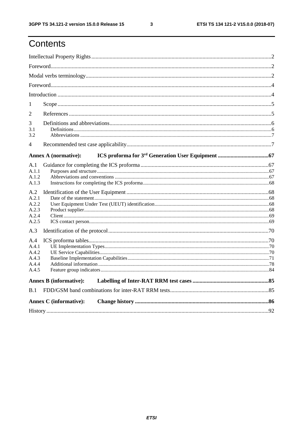$\mathbf{3}$ 

## Contents

| 1                                                |  |  |  |  |  |  |
|--------------------------------------------------|--|--|--|--|--|--|
| 2                                                |  |  |  |  |  |  |
| 3<br>3.1<br>3.2                                  |  |  |  |  |  |  |
| 4                                                |  |  |  |  |  |  |
| <b>Annex A (normative):</b>                      |  |  |  |  |  |  |
| A.1<br>A.1.1<br>A.1.2<br>A.1.3                   |  |  |  |  |  |  |
| A.2<br>A.2.1<br>A.2.2<br>A.2.3<br>A.2.4<br>A.2.5 |  |  |  |  |  |  |
| A.3                                              |  |  |  |  |  |  |
| A.4<br>A.4.1<br>A.4.2<br>A.4.3<br>A.4.4<br>A.4.5 |  |  |  |  |  |  |
| <b>Annex B</b> (informative):                    |  |  |  |  |  |  |
| B.1                                              |  |  |  |  |  |  |
| <b>Annex C</b> (informative):                    |  |  |  |  |  |  |
|                                                  |  |  |  |  |  |  |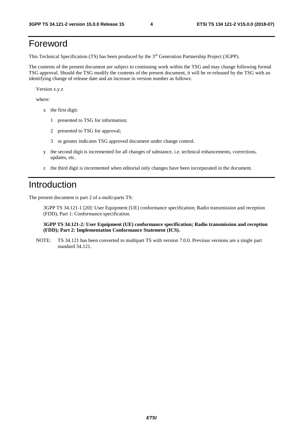### Foreword

This Technical Specification (TS) has been produced by the 3rd Generation Partnership Project (3GPP).

The contents of the present document are subject to continuing work within the TSG and may change following formal TSG approval. Should the TSG modify the contents of the present document, it will be re-released by the TSG with an identifying change of release date and an increase in version number as follows:

Version x.y.z

where:

- x the first digit:
	- 1 presented to TSG for information;
	- 2 presented to TSG for approval;
	- 3 or greater indicates TSG approved document under change control.
- y the second digit is incremented for all changes of substance, i.e. technical enhancements, corrections, updates, etc.
- z the third digit is incremented when editorial only changes have been incorporated in the document.

### Introduction

The present document is part 2 of a multi-parts TS:

3GPP TS 34.121-1 [20]: User Equipment (UE) conformance specification; Radio transmission and reception (FDD); Part 1: Conformance specification.

**3GPP TS 34.121-2: User Equipment (UE) conformance specification; Radio transmission and reception (FDD); Part 2: Implementation Conformance Statement (ICS).** 

NOTE: TS 34.121 has been converted to multipart TS with version 7.0.0. Previous versions are a single part standard 34.121.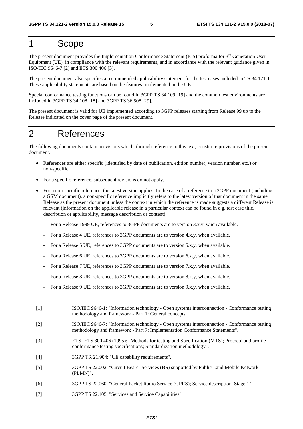### 1 Scope

The present document provides the Implementation Conformance Statement (ICS) proforma for 3<sup>rd</sup> Generation User Equipment (UE), in compliance with the relevant requirements, and in accordance with the relevant guidance given in ISO/IEC 9646-7 [2] and ETS 300 406 [3].

The present document also specifies a recommended applicability statement for the test cases included in TS 34.121-1. These applicability statements are based on the features implemented in the UE.

Special conformance testing functions can be found in 3GPP TS 34.109 [19] and the common test environments are included in 3GPP TS 34.108 [18] and 3GPP TS 36.508 [29].

The present document is valid for UE implemented according to 3GPP releases starting from Release 99 up to the Release indicated on the cover page of the present document.

## 2 References

The following documents contain provisions which, through reference in this text, constitute provisions of the present document.

- References are either specific (identified by date of publication, edition number, version number, etc.) or non-specific.
- For a specific reference, subsequent revisions do not apply.
- For a non-specific reference, the latest version applies. In the case of a reference to a 3GPP document (including a GSM document), a non-specific reference implicitly refers to the latest version of that document in the same Release as the present document unless the context in which the reference is made suggests a different Release is relevant (information on the applicable release in a particular context can be found in e.g. test case title, description or applicability, message description or content).
	- For a Release 1999 UE, references to 3GPP documents are to version 3.x.y, when available.
	- For a Release 4 UE, references to 3GPP documents are to version 4.x.y, when available.
	- For a Release 5 UE, references to 3GPP documents are to version 5.x.y, when available.
	- For a Release 6 UE, references to 3GPP documents are to version 6.x.y, when available.
	- For a Release 7 UE, references to 3GPP documents are to version 7.x.y, when available.
	- For a Release 8 UE, references to 3GPP documents are to version 8.x.y, when available.
	- For a Release 9 UE, references to 3GPP documents are to version 9.x.y, when available.

| $[1]$ | ISO/IEC 9646-1: "Information technology - Open systems interconnection - Conformance testing<br>methodology and framework - Part 1: General concepts".                      |
|-------|-----------------------------------------------------------------------------------------------------------------------------------------------------------------------------|
| $[2]$ | ISO/IEC 9646-7: "Information technology - Open systems interconnection - Conformance testing<br>methodology and framework - Part 7: Implementation Conformance Statements". |
| $[3]$ | ETSI ETS 300 406 (1995): "Methods for testing and Specification (MTS); Protocol and profile<br>conformance testing specifications; Standardization methodology".            |
| $[4]$ | 3GPP TR 21.904: "UE capability requirements".                                                                                                                               |
| $[5]$ | 3GPP TS 22.002: "Circuit Bearer Services (BS) supported by Public Land Mobile Network<br>$(PLMN)$ ".                                                                        |
| [6]   | 3GPP TS 22.060: "General Packet Radio Service (GPRS); Service description, Stage 1".                                                                                        |

[7] 3GPP TS 22.105: "Services and Service Capabilities".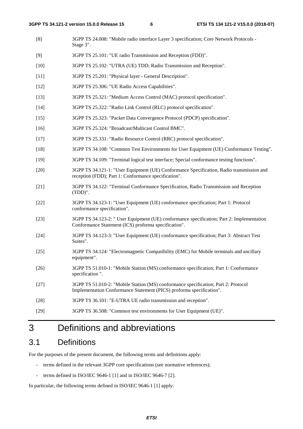[8] 3GPP TS 24.008: "Mobile radio interface Layer 3 specification; Core Network Protocols - Stage 3". [9] 3GPP TS 25.101: "UE radio Transmission and Reception (FDD)". [10] 3GPP TS 25.102: "UTRA (UE) TDD; Radio Transmission and Reception". [11] 3GPP TS 25.201: "Physical layer - General Description". [12] 3GPP TS 25.306: "UE Radio Access Capabilities". [13] 3GPP TS 25.321: "Medium Access Control (MAC) protocol specification". [14] 3GPP TS 25.322: "Radio Link Control (RLC) protocol specification". [15] 3GPP TS 25.323: "Packet Data Convergence Protocol (PDCP) specification". [16] 3GPP TS 25.324: "Broadcast/Multicast Control BMC". [17] 3GPP TS 25.331: "Radio Resource Control (RRC) protocol specification". [18] 3GPP TS 34.108: "Common Test Environments for User Equipment (UE) Conformance Testing". [19] 3GPP TS 34.109: "Terminal logical test interface; Special conformance testing functions". [20] 3GPP TS 34.121-1: "User Equipment (UE) Conformance Specification, Radio transmission and reception (FDD); Part 1: Conformance specification". [21] 3GPP TS 34.122: "Terminal Conformance Specification, Radio Transmission and Reception (TDD)". [22] 3GPP TS 34.123-1: "User Equipment (UE) conformance specification; Part 1: Protocol conformance specification". [23] 3GPP TS 34.123-2: " User Equipment (UE) conformance specification; Part 2: Implementation Conformance Statement (ICS) proforma specification". [24] 3GPP TS 34.123-3: "User Equipment (UE) conformance specification; Part 3: Abstract Test Suites". [25] 3GPP TS 34.124: "Electromagnetic Compatibility (EMC) for Mobile terminals and ancillary equipment". [26] 3GPP TS 51.010-1: "Mobile Station (MS) conformance specification; Part 1: Conformance specification ". [27] 3GPP TS 51.010-2: "Mobile Station (MS) conformance specification; Part 2: Protocol Implementation Conformance Statement (PICS) proforma specification". [28] 3GPP TS 36.101: "E-UTRA UE radio transmission and reception". [29] 3GPP TS 36.508: "Common test environments for User Equipment (UE)".

### 3 Definitions and abbreviations

### 3.1 Definitions

For the purposes of the present document, the following terms and definitions apply:

- terms defined in the relevant 3GPP core specifications (see normative references);
- terms defined in ISO/IEC 9646-1 [1] and in ISO/IEC 9646-7 [2].

In particular, the following terms defined in ISO/IEC 9646-1 [1] apply: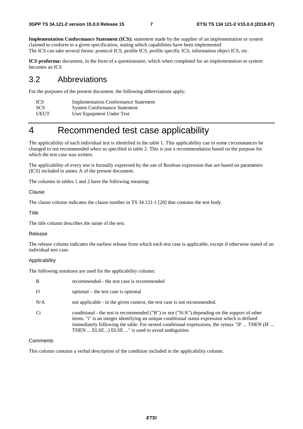**Implementation Conformance Statement (ICS):** statement made by the supplier of an implementation or system claimed to conform to a given specification, stating which capabilities have been implemented The ICS can take several forms: protocol ICS, profile ICS, profile specific ICS, information object ICS, etc.

**ICS proforma:** document, in the form of a questionnaire, which when completed for an implementation or system becomes an ICS

### 3.2 Abbreviations

For the purposes of the present document, the following abbreviations apply:

| <b>ICS</b>  | <b>Implementation Conformance Statement</b> |
|-------------|---------------------------------------------|
| <b>SCS</b>  | <b>System Conformance Statement</b>         |
| <b>UEUT</b> | User Equipment Under Test                   |

### 4 Recommended test case applicability

The applicability of each individual test is identified in the table 1. This applicability can in some circumstances be changed to not recommended when so specified in table 2. This is just a recommendation based on the purpose for which the test case was written.

The applicability of every test is formally expressed by the use of Boolean expression that are based on parameters (ICS) included in annex A of the present document.

The columns in tables 1 and 2 have the following meaning:

Clause

The clause column indicates the clause number in TS 34.121-1 [20] that contains the test body.

Title

The title column describes the name of the test.

#### Release

The release column indicates the earliest release from which each test case is applicable, except if otherwise stated of an individual test case.

#### Applicability

The following notations are used for the applicability column:

| R        | recommended - the test case is recommended                                                                                                                                                                                                                                                                                                                                                                                       |
|----------|----------------------------------------------------------------------------------------------------------------------------------------------------------------------------------------------------------------------------------------------------------------------------------------------------------------------------------------------------------------------------------------------------------------------------------|
| $\Omega$ | optional – the test case is optional                                                                                                                                                                                                                                                                                                                                                                                             |
| N/A      | not applicable - in the given context, the test case is not recommended.                                                                                                                                                                                                                                                                                                                                                         |
| Ci       | conditional - the test is recommended ( $\langle \mathbb{T}R \mathbb{T} \rangle$ ) or not ( $\langle \mathbb{T}N/A \mathbb{T} \rangle$ ) depending on the support of other<br>items. "i" is an integer identifying an unique conditional status expression which is defined<br>immediately following the table. For nested conditional expressions, the syntax "IF  THEN (IF<br>THEN  ELSE) ELSE " is used to avoid ambiguities. |

#### **Comments**

This column contains a verbal description of the condition included in the applicability column.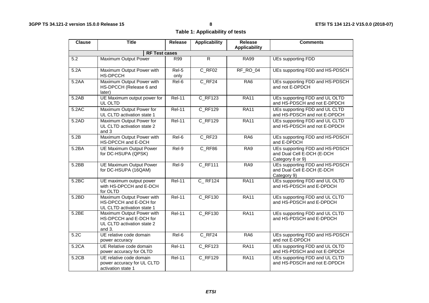### **Table 1: Applicability of tests**

| <b>Clause</b> | <b>Title</b>                                                                                  | <b>Release</b>       | <b>Applicability</b> | <b>Release</b><br><b>Applicability</b> | <b>Comments</b>                                                                   |
|---------------|-----------------------------------------------------------------------------------------------|----------------------|----------------------|----------------------------------------|-----------------------------------------------------------------------------------|
|               | <b>RF Test cases</b>                                                                          |                      |                      |                                        |                                                                                   |
| 5.2           | Maximum Output Power                                                                          | R99                  | $\overline{R}$       | <b>RA99</b>                            | <b>UEs supporting FDD</b>                                                         |
| 5.2A          | Maximum Output Power with<br>HS-DPCCH                                                         | $Rel-5$<br>only      | C_RF02               | RF_RO_04                               | UEs supporting FDD and HS-PDSCH                                                   |
| 5.2AA         | Maximum Output Power with<br>HS-DPCCH (Release 6 and<br>later)                                | $Rel-6$              | $C$ RF24             | RA <sub>6</sub>                        | UEs supporting FDD and HS-PDSCH<br>and not E-DPDCH                                |
| 5.2AB         | UE Maximum output power for<br>UL OLTD                                                        | $\overline{Rel}$ -11 | C_RF123              | <b>RA11</b>                            | UEs supporting FDD and UL OLTD<br>and HS-PDSCH and not E-DPDCH                    |
| 5.2AC         | Maximum Output Power for<br>UL CLTD activation state 1                                        | <b>Rel-11</b>        | C_RF129              | <b>RA11</b>                            | UEs supporting FDD and UL CLTD<br>and HS-PDSCH and not E-DPDCH                    |
| 5.2AD         | Maximum Output Power for<br>UL CLTD activation state 2<br>and 3                               | <b>Rel-11</b>        | C_RF129              | <b>RA11</b>                            | UEs supporting FDD and UL CLTD<br>and HS-PDSCH and not E-DPDCH                    |
| 5.2B          | Maximum Output Power with<br>HS-DPCCH and E-DCH                                               | Rel-6                | C_RF23               | RA <sub>6</sub>                        | UEs supporting FDD and HS-PDSCH<br>and E-DPDCH                                    |
| 5.2BA         | <b>UE Maximum Output Power</b><br>for DC-HSUPA (QPSK)                                         | Rel-9                | C_RF86               | RA9                                    | UEs supporting FDD and HS-PDSCH<br>and Dual Cell E-DCH (E-DCH<br>Category 8 or 9) |
| 5.2BB         | <b>UE Maximum Output Power</b><br>for DC-HSUPA (16QAM)                                        | Rel-9                | C_RF111              | RA9                                    | UEs supporting FDD and HS-PDSCH<br>and Dual Cell E-DCH (E-DCH<br>Category 9)      |
| 5.2BC         | UE maximum output power<br>with HS-DPCCH and E-DCH<br>for OLTD                                | <b>Rel-11</b>        | C_RF124              | <b>RA11</b>                            | UEs supporting FDD and UL OLTD<br>and HS-PDSCH and E-DPDCH                        |
| 5.2BD         | Maximum Output Power with<br>HS-DPCCH and E-DCH for<br>UL CLTD activation state 1             | <b>Rel-11</b>        | C_RF130              | <b>RA11</b>                            | UEs supporting FDD and UL CLTD<br>and HS-PDSCH and E-DPDCH                        |
| 5.2BE         | Maximum Output Power with<br>HS-DPCCH and E-DCH for<br>UL CLTD activation state 2<br>and $3.$ | <b>Rel-11</b>        | C_RF130              | <b>RA11</b>                            | UEs supporting FDD and UL CLTD<br>and HS-PDSCH and E-DPDCH                        |
| 5.2C          | UE relative code domain<br>power accuracy                                                     | Rel-6                | C_RF24               | RA <sub>6</sub>                        | UEs supporting FDD and HS-PDSCH<br>and not E-DPDCH                                |
| 5.2CA         | UE Relative code domain<br>power accuracy for OLTD                                            | <b>Rel-11</b>        | C_RF123              | <b>RA11</b>                            | UEs supporting FDD and UL OLTD<br>and HS-PDSCH and not E-DPDCH                    |
| 5.2CB         | UE relative code domain<br>power accuracy for UL CLTD<br>activation state 1                   | <b>Rel-11</b>        | C_RF129              | <b>RA11</b>                            | UEs supporting FDD and UL CLTD<br>and HS-PDSCH and not E-DPDCH                    |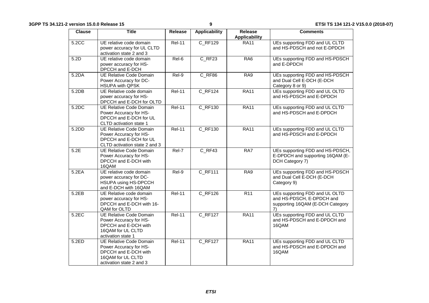| <b>Clause</b> | <b>Title</b>                                                                                                                      | <b>Release</b> | <b>Applicability</b> | <b>Release</b><br><b>Applicability</b> | <b>Comments</b>                                                                                       |
|---------------|-----------------------------------------------------------------------------------------------------------------------------------|----------------|----------------------|----------------------------------------|-------------------------------------------------------------------------------------------------------|
| 5.2CC         | UE relative code domain<br>power accuracy for UL CLTD<br>activation state 2 and 3                                                 | <b>Rel-11</b>  | C_RF129              | <b>RA11</b>                            | UEs supporting FDD and UL CLTD<br>and HS-PDSCH and not E-DPDCH                                        |
| 5.2D          | UE relative code domain<br>power accuracy for HS-<br>DPCCH and E-DCH                                                              | $Rel-6$        | C_RF23               | RA <sub>6</sub>                        | UEs supporting FDD and HS-PDSCH<br>and E-DPDCH                                                        |
| 5.2DA         | <b>UE Relative Code Domain</b><br>Power Accuracy for DC-<br><b>HSUPA with QPSK</b>                                                | Rel-9          | C_RF86               | R <sub>A9</sub>                        | UEs supporting FDD and HS-PDSCH<br>and Dual Cell E-DCH (E-DCH<br>Category 8 or 9)                     |
| 5.2DB         | UE Relative code domain<br>power accuracy for HS-<br>DPCCH and E-DCH for OLTD                                                     | <b>Rel-11</b>  | C_RF124              | <b>RA11</b>                            | UEs supporting FDD and UL OLTD<br>and HS-PDSCH and E-DPDCH                                            |
| 5.2DC         | <b>UE Relative Code Domain</b><br>Power Accuracy for HS-<br>DPCCH and E-DCH for UL<br>CLTD activation state 1                     | <b>Rel-11</b>  | C_RF130              | <b>RA11</b>                            | UEs supporting FDD and UL CLTD<br>and HS-PDSCH and E-DPDCH                                            |
| 5.2DD         | UE Relative Code Domain<br>Power Accuracy for HS-<br>DPCCH and E-DCH for UL<br>CLTD activation state 2 and 3                      | <b>Rel-11</b>  | C_RF130              | <b>RA11</b>                            | UEs supporting FDD and UL CLTD<br>and HS-PDSCH and E-DPDCH                                            |
| 5.2E          | UE Relative Code Domain<br>Power Accuracy for HS-<br>DPCCH and E-DCH with<br>16QAM                                                | Rel-7          | C_RF43               | RA7                                    | UEs supporting FDD and HS-PDSCH,<br>E-DPDCH and supporting 16QAM (E-<br>DCH Category 7)               |
| 5.2EA         | UE relative code domain<br>power accuracy for DC-<br>HSUPA using HS-DPCCH<br>and E-DCH with 16QAM                                 | Rel-9          | C_RF111              | RA9                                    | UEs supporting FDD and HS-PDSCH<br>and Dual Cell E-DCH (E-DCH<br>Category 9)                          |
| 5.2EB         | UE Relative code domain<br>power accuracy for HS-<br>DPCCH and E-DCH with 16-<br>QAM for OLTD                                     | <b>Rel-11</b>  | C_RF126              | <b>R11</b>                             | UEs supporting FDD and UL OLTD<br>and HS-PDSCH, E-DPDCH and<br>supporting 16QAM (E-DCH Category<br>7) |
| 5.2EC         | UE Relative Code Domain<br>Power Accuracy for HS-<br>DPCCH and E-DCH with<br>16QAM for UL CLTD<br>activation state 1              | <b>Rel-11</b>  | <b>C_RF127</b>       | <b>RA11</b>                            | UEs supporting FDD and UL CLTD<br>and HS-PDSCH and E-DPDCH and<br>16QAM                               |
| 5.2ED         | <b>UE Relative Code Domain</b><br>Power Accuracy for HS-<br>DPCCH and E-DCH with<br>16QAM for UL CLTD<br>activation state 2 and 3 | <b>Rel-11</b>  | C_RF127              | <b>RA11</b>                            | UEs supporting FDD and UL CLTD<br>and HS-PDSCH and E-DPDCH and<br>16QAM                               |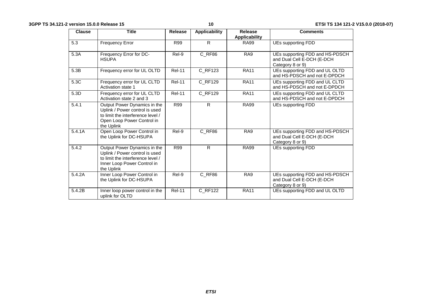| <b>Clause</b> | <b>Title</b>                                                                                                                                     | <b>Release</b> | <b>Applicability</b> | <b>Release</b><br><b>Applicability</b> | <b>Comments</b>                                                                   |
|---------------|--------------------------------------------------------------------------------------------------------------------------------------------------|----------------|----------------------|----------------------------------------|-----------------------------------------------------------------------------------|
| 5.3           | <b>Frequency Error</b>                                                                                                                           | R99            | $\mathsf{R}$         | <b>RA99</b>                            | UEs supporting FDD                                                                |
| 5.3A          | Frequency Error for DC-<br><b>HSUPA</b>                                                                                                          | Rel-9          | C_RF86               | RA <sub>9</sub>                        | UEs supporting FDD and HS-PDSCH<br>and Dual Cell E-DCH (E-DCH<br>Category 8 or 9) |
| 5.3B          | Frequency error for UL OLTD                                                                                                                      | <b>Rel-11</b>  | C_RF123              | <b>RA11</b>                            | UEs supporting FDD and UL OLTD<br>and HS-PDSCH and not E-DPDCH                    |
| 5.3C          | Frequency error for UL CLTD<br>Activation state 1                                                                                                | <b>Rel-11</b>  | C_RF129              | <b>RA11</b>                            | UEs supporting FDD and UL CLTD<br>and HS-PDSCH and not E-DPDCH                    |
| 5.3D          | Frequency error for UL CLTD<br>Activation state 2 and 3                                                                                          | <b>Rel-11</b>  | C_RF129              | <b>RA11</b>                            | UEs supporting FDD and UL CLTD<br>and HS-PDSCH and not E-DPDCH                    |
| 5.4.1         | Output Power Dynamics in the<br>Uplink / Power control is used<br>to limit the interference level /<br>Open Loop Power Control in<br>the Uplink  | R99            | R.                   | <b>RA99</b>                            | UEs supporting FDD                                                                |
| 5.4.1A        | Open Loop Power Control in<br>the Uplink for DC-HSUPA                                                                                            | Rel-9          | C_RF86               | RA9                                    | UEs supporting FDD and HS-PDSCH<br>and Dual Cell E-DCH (E-DCH<br>Category 8 or 9) |
| 5.4.2         | Output Power Dynamics in the<br>Uplink / Power control is used<br>to limit the interference level /<br>Inner Loop Power Control in<br>the Uplink | R99            | R                    | <b>RA99</b>                            | UEs supporting FDD                                                                |
| 5.4.2A        | Inner Loop Power Control in<br>the Uplink for DC-HSUPA                                                                                           | Rel-9          | C_RF86               | RA9                                    | UEs supporting FDD and HS-PDSCH<br>and Dual Cell E-DCH (E-DCH<br>Category 8 or 9) |
| 5.4.2B        | Inner loop power control in the<br>uplink for OLTD                                                                                               | <b>Rel-11</b>  | C_RF122              | <b>RA11</b>                            | UEs supporting FDD and UL OLTD                                                    |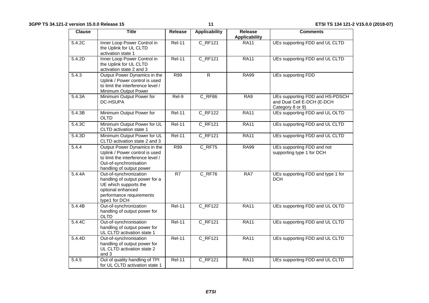| <b>Clause</b> | <b>Title</b>                                                                                                                                              | <b>Release</b> | <b>Applicability</b> | <b>Release</b><br><b>Applicability</b> | <b>Comments</b>                                                                   |
|---------------|-----------------------------------------------------------------------------------------------------------------------------------------------------------|----------------|----------------------|----------------------------------------|-----------------------------------------------------------------------------------|
| 5.4.2C        | Inner Loop Power Control in<br>the Uplink for UL CLTD<br>activation state 1                                                                               | <b>Rel-11</b>  | C_RF121              | <b>RA11</b>                            | UEs supporting FDD and UL CLTD                                                    |
| 5.4.2D        | Inner Loop Power Control in<br>the Uplink for UL CLTD<br>activation state 2 and 3                                                                         | <b>Rel-11</b>  | C_RF121              | <b>RA11</b>                            | UEs supporting FDD and UL CLTD                                                    |
| 5.4.3         | Output Power Dynamics in the<br>Uplink / Power control is used<br>to limit the interference level /<br>Minimum Output Power                               | <b>R99</b>     | $\overline{R}$       | <b>RA99</b>                            | UEs supporting FDD                                                                |
| 5.4.3A        | Minimum Output Power for<br>DC-HSUPA                                                                                                                      | Rel-9          | C_RF86               | RA9                                    | UEs supporting FDD and HS-PDSCH<br>and Dual Cell E-DCH (E-DCH<br>Category 8 or 9) |
| 5.4.3B        | Minimum Output Power for<br><b>OLTD</b>                                                                                                                   | <b>Rel-11</b>  | C_RF122              | <b>RA11</b>                            | UEs supporting FDD and UL OLTD                                                    |
| 5.4.3C        | Minimum Output Power for UL<br>CLTD activation state 1                                                                                                    | <b>Rel-11</b>  | C_RF121              | <b>RA11</b>                            | UEs supporting FDD and UL CLTD                                                    |
| 5.4.3D        | Minimum Output Power for UL<br>CLTD activation state 2 and 3                                                                                              | <b>Rel-11</b>  | C_RF121              | <b>RA11</b>                            | UEs supporting FDD and UL CLTD                                                    |
| 5.4.4         | Output Power Dynamics in the<br>Uplink / Power control is used<br>to limit the interference level /<br>Out-of-synchronisation<br>handling of output power | R99            | $C$ <sub>_RF75</sub> | <b>RA99</b>                            | UEs supporting FDD and not<br>supporting type 1 for DCH                           |
| 5.4.4A        | Out-of-synchronization<br>handling of output power for a<br>UE which supports the<br>optional enhanced<br>performance requirements<br>type1 for DCH       | R7             | C_RF76               | RA7                                    | UEs supporting FDD and type 1 for<br><b>DCH</b>                                   |
| 5.4.4B        | Out-of-synchronization<br>handling of output power for<br>OLTD                                                                                            | <b>Rel-11</b>  | C_RF122              | <b>RA11</b>                            | UEs supporting FDD and UL OLTD                                                    |
| 5.4.4C        | Out-of-synchronisation<br>handling of output power for<br>UL CLTD activation state 1                                                                      | $ReI-11$       | C_RF121              | <b>RA11</b>                            | UEs supporting FDD and UL CLTD                                                    |
| 5.4.4D        | Out-of-synchronisation<br>handling of output power for<br>UL CLTD activation state 2<br>and 3                                                             | <b>Rel-11</b>  | C_RF121              | <b>RA11</b>                            | UEs supporting FDD and UL CLTD                                                    |
| 5.4.5         | Out of quality handling of TPI<br>for UL CLTD activation state 1                                                                                          | <b>Rel-11</b>  | C_RF121              | <b>RA11</b>                            | UEs supporting FDD and UL CLTD                                                    |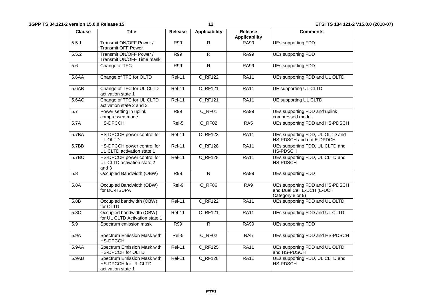| <b>Clause</b> | <b>Title</b>                                                              | <b>Release</b> | <b>Applicability</b> | <b>Release</b><br><b>Applicability</b> | <b>Comments</b>                                                                   |
|---------------|---------------------------------------------------------------------------|----------------|----------------------|----------------------------------------|-----------------------------------------------------------------------------------|
| 5.5.1         | Transmit ON/OFF Power /<br><b>Transmit OFF Power</b>                      | R99            | $\mathsf{R}$         | <b>RA99</b>                            | UEs supporting FDD                                                                |
| 5.5.2         | Transmit ON/OFF Power /<br>Transmit ON/OFF Time mask                      | R99            | $\overline{R}$       | <b>RA99</b>                            | UEs supporting FDD                                                                |
| 5.6           | Change of TFC                                                             | R99            | R.                   | <b>RA99</b>                            | UEs supporting FDD                                                                |
| 5.6AA         | Change of TFC for OLTD                                                    | <b>Rel-11</b>  | C_RF122              | <b>RA11</b>                            | UEs supporting FDD and UL OLTD                                                    |
| 5.6AB         | Change of TFC for UL CLTD<br>activation state 1                           | <b>Rel-11</b>  | C_RF121              | <b>RA11</b>                            | UE supporting UL CLTD                                                             |
| 5.6AC         | Change of TFC for UL CLTD<br>activation state 2 and 3                     | <b>Rel-11</b>  | C_RF121              | <b>RA11</b>                            | UE supporting UL CLTD                                                             |
| 5.7           | Power setting in uplink<br>compressed mode                                | R99            | C_RF01               | <b>RA99</b>                            | UEs supporting FDD and uplink<br>compressed mode.                                 |
| 5.7A          | <b>HS-DPCCH</b>                                                           | Rel-5          | C_RF02               | RA <sub>5</sub>                        | UEs supporting FDD and HS-PDSCH                                                   |
| 5.7BA         | HS-DPCCH power control for<br>UL OLTD                                     | <b>Rel-11</b>  | C_RF123              | <b>RA11</b>                            | UEs supporting FDD, UL OLTD and<br>HS-PDSCH and not E-DPDCH                       |
| 5.7BB         | HS-DPCCH power control for<br>UL CLTD activation state 1                  | <b>Rel-11</b>  | C_RF128              | <b>RA11</b>                            | UEs supporting FDD, UL CLTD and<br>HS-PDSCH                                       |
| 5.7BC         | HS-DPCCH power control for<br>UL CLTD activation state 2<br>and 3         | <b>Rel-11</b>  | $C_RF128$            | <b>RA11</b>                            | UEs supporting FDD, UL CLTD and<br><b>HS-PDSCH</b>                                |
| 5.8           | Occupied Bandwidth (OBW)                                                  | R99            | $\overline{R}$       | <b>RA99</b>                            | UEs supporting FDD                                                                |
| 5.8A          | Occupied Bandwidth (OBW)<br>for DC-HSUPA                                  | Rel-9          | C_RF86               | RA9                                    | UEs supporting FDD and HS-PDSCH<br>and Dual Cell E-DCH (E-DCH<br>Category 8 or 9) |
| 5.8B          | Occupied bandwidth (OBW)<br>for OLTD                                      | <b>Rel-11</b>  | C_RF122              | <b>RA11</b>                            | UEs supporting FDD and UL OLTD                                                    |
| 5.8C          | Occupied bandwidth (OBW)<br>for UL CLTD Activation state 1                | <b>Rel-11</b>  | C_RF121              | <b>RA11</b>                            | UEs supporting FDD and UL CLTD                                                    |
| 5.9           | Spectrum emission mask                                                    | R99            | $\mathsf{R}$         | <b>RA99</b>                            | UEs supporting FDD                                                                |
| 5.9A          | Spectrum Emission Mask with<br>HS-DPCCH                                   | $Rel-5$        | C_RF02               | RA <sub>5</sub>                        | UEs supporting FDD and HS-PDSCH                                                   |
| 5.9AA         | Spectrum Emission Mask with<br>HS-DPCCH for OLTD                          | <b>Rel-11</b>  | C_RF125              | <b>RA11</b>                            | UEs supporting FDD and UL OLTD<br>and HS-PDSCH                                    |
| 5.9AB         | Spectrum Emission Mask with<br>HS-DPCCH for UL CLTD<br>activation state 1 | <b>Rel-11</b>  | C_RF128              | <b>RA11</b>                            | UEs supporting FDD, UL CLTD and<br>HS-PDSCH                                       |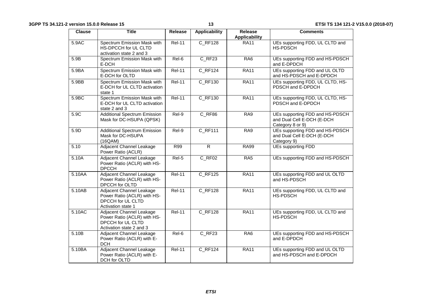| <b>Clause</b>     | <b>Title</b>                                                                                             | <b>Release</b> | <b>Applicability</b> | <b>Release</b><br><b>Applicability</b> | <b>Comments</b>                                                                   |
|-------------------|----------------------------------------------------------------------------------------------------------|----------------|----------------------|----------------------------------------|-----------------------------------------------------------------------------------|
| 5.9AC             | Spectrum Emission Mask with<br>HS-DPCCH for UL CLTD<br>activation state 2 and 3                          | <b>Rel-11</b>  | C_RF128              | <b>RA11</b>                            | UEs supporting FDD, UL CLTD and<br><b>HS-PDSCH</b>                                |
| 5.9B              | Spectrum Emission Mask with<br>E-DCH                                                                     | Rel-6          | C_RF23               | RA <sub>6</sub>                        | UEs supporting FDD and HS-PDSCH<br>and E-DPDCH                                    |
| 5.9BA             | Spectrum Emission Mask with<br>E-DCH for OLTD                                                            | <b>Rel-11</b>  | C_RF124              | <b>RA11</b>                            | UEs supporting FDD and UL OLTD<br>and HS-PDSCH and E-DPDCH                        |
| 5.9B <sub>B</sub> | Spectrum Emission Mask with<br>E-DCH for UL CLTD activation<br>state 1                                   | $Rel-11$       | C_RF130              | <b>RA11</b>                            | UEs supporting FDD, UL CLTD, HS-<br>PDSCH and E-DPDCH                             |
| 5.9BC             | Spectrum Emission Mask with<br>E-DCH for UL CLTD activation<br>state 2 and 3                             | <b>Rel-11</b>  | C_RF130              | <b>RA11</b>                            | UEs supporting FDD, UL CLTD, HS-<br>PDSCH and E-DPDCH                             |
| 5.9C              | <b>Additional Spectrum Emission</b><br>Mask for DC-HSUPA (QPSK)                                          | $ReI-9$        | C_RF86               | RA9                                    | UEs supporting FDD and HS-PDSCH<br>and Dual Cell E-DCH (E-DCH<br>Category 8 or 9) |
| 5.9D              | <b>Additional Spectrum Emission</b><br>Mask for DC-HSUPA<br>(16QAM)                                      | Rel-9          | C_RF111              | RA9                                    | UEs supporting FDD and HS-PDSCH<br>and Dual Cell E-DCH (E-DCH<br>Category 9)      |
| 5.10              | Adjacent Channel Leakage<br>Power Ratio (ACLR)                                                           | R99            | $\overline{R}$       | <b>RA99</b>                            | <b>UEs supporting FDD</b>                                                         |
| 5.10A             | Adjacent Channel Leakage<br>Power Ratio (ACLR) with HS-<br><b>DPCCH</b>                                  | Rel-5          | C_RF02               | RA <sub>5</sub>                        | UEs supporting FDD and HS-PDSCH                                                   |
| 5.10AA            | Adjacent Channel Leakage<br>Power Ratio (ACLR) with HS-<br>DPCCH for OLTD                                | <b>Rel-11</b>  | C_RF125              | <b>RA11</b>                            | UEs supporting FDD and UL OLTD<br>and HS-PDSCH                                    |
| 5.10AB            | Adjacent Channel Leakage<br>Power Ratio (ACLR) with HS-<br>DPCCH for UL CLTD<br>Activation state 1       | <b>Rel-11</b>  | $C_RF128$            | <b>RA11</b>                            | UEs supporting FDD, UL CLTD and<br>HS-PDSCH                                       |
| 5.10AC            | Adjacent Channel Leakage<br>Power Ratio (ACLR) with HS-<br>DPCCH for UL CLTD<br>Activation state 2 and 3 | <b>Rel-11</b>  | C_RF128              | <b>RA11</b>                            | UEs supporting FDD, UL CLTD and<br>HS-PDSCH                                       |
| 5.10B             | Adjacent Channel Leakage<br>Power Ratio (ACLR) with E-<br><b>DCH</b>                                     | Rel-6          | C_RF23               | RA <sub>6</sub>                        | UEs supporting FDD and HS-PDSCH<br>and E-DPDCH                                    |
| 5.10BA            | Adjacent Channel Leakage<br>Power Ratio (ACLR) with E-<br>DCH for OLTD                                   | <b>Rel-11</b>  | C_RF124              | <b>RA11</b>                            | UEs supporting FDD and UL OLTD<br>and HS-PDSCH and E-DPDCH                        |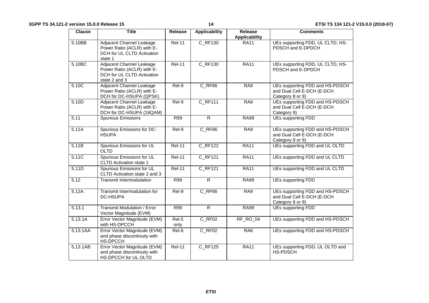| <b>Clause</b> | <b>Title</b>                                                                                          | Release            | <b>Applicability</b> | <b>Release</b><br><b>Applicability</b> | <b>Comments</b>                                                                   |
|---------------|-------------------------------------------------------------------------------------------------------|--------------------|----------------------|----------------------------------------|-----------------------------------------------------------------------------------|
| 5.10BB        | Adjacent Channel Leakage<br>Power Ratio (ACLR) with E-<br>DCH for UL CLTD Activation<br>state 1       | <b>Rel-11</b>      | C_RF130              | <b>RA11</b>                            | UEs supporting FDD, UL CLTD, HS-<br>PDSCH and E-DPDCH                             |
| 5.10BC        | Adjacent Channel Leakage<br>Power Ratio (ACLR) with E-<br>DCH for UL CLTD Activation<br>state 2 and 3 | <b>Rel-11</b>      | C_RF130              | <b>RA11</b>                            | UEs supporting FDD, UL CLTD, HS-<br>PDSCH and E-DPDCH                             |
| 5.10C         | Adjacent Channel Leakage<br>Power Ratio (ACLR) with E-<br>DCH for DC-HSUPA (QPSK)                     | Rel-9              | C_RF86               | RA9                                    | UEs supporting FDD and HS-PDSCH<br>and Dual Cell E-DCH (E-DCH<br>Category 8 or 9) |
| 5.10D         | Adjacent Channel Leakage<br>Power Ratio (ACLR) with E-<br>DCH for DC-HSUPA (16QAM)                    | $ReI-9$            | C_RF111              | RA9                                    | UEs supporting FDD and HS-PDSCH<br>and Dual Cell E-DCH (E-DCH<br>Category 9)      |
| 5.11          | <b>Spurious Emissions</b>                                                                             | R99                | $\overline{R}$       | <b>RA99</b>                            | <b>UEs supporting FDD</b>                                                         |
| 5.11A         | Spurious Emissions for DC-<br><b>HSUPA</b>                                                            | $\overline{Re}$ -9 | C_RF86               | RA9                                    | UEs supporting FDD and HS-PDSCH<br>and Dual Cell E-DCH (E-DCH<br>Category 8 or 9) |
| 5.11B         | Spurious Emissions for UL<br><b>OLTD</b>                                                              | <b>Rel-11</b>      | C_RF122              | <b>RA11</b>                            | UEs supporting FDD and UL OLTD                                                    |
| 5.11C         | Spurious Emissions for UL<br><b>CLTD Activation state 1</b>                                           | <b>Rel-11</b>      | C_RF121              | <b>RA11</b>                            | UEs supporting FDD and UL CLTD                                                    |
| 5.11D         | Spurious Emissions for UL<br>CLTD Activation state 2 and 3                                            | <b>Rel-11</b>      | C_RF121              | <b>RA11</b>                            | UEs supporting FDD and UL CLTD                                                    |
| 5.12          | <b>Transmit Intermodulation</b>                                                                       | R99                | $\mathsf{R}$         | <b>RA99</b>                            | UEs supporting FDD                                                                |
| 5.12A         | Transmit Intermodulation for<br>DC-HSUPA                                                              | Rel-9              | C_RF86               | RA9                                    | UEs supporting FDD and HS-PDSCH<br>and Dual Cell E-DCH (E-DCH<br>Category 8 or 9) |
| 5.13.1        | Transmit Modulation / Error<br>Vector Magnitude (EVM)                                                 | R99                | $\mathsf{R}$         | <b>RA99</b>                            | UEs supporting FDD                                                                |
| 5.13.1A       | Error Vector Magnitude (EVM)<br>with HS-DPCCH                                                         | Rel-5<br>only      | C_RF02               | RF_RO_04                               | UEs supporting FDD and HS-PDSCH                                                   |
| 5.13.1AA      | Error Vector Magnitude (EVM)<br>and phase discontinuity with<br>HS-DPCCH                              | $Rel-6$            | C_RF02               | RA <sub>6</sub>                        | UEs supporting FDD and HS-PDSCH                                                   |
| 5.13.1AB      | Error Vector Magnitude (EVM)<br>and phase discontinuity with<br>HS-DPCCH for UL OLTD                  | <b>Rel-11</b>      | C_RF125              | <b>RA11</b>                            | UEs supporting FDD, UL OLTD and<br><b>HS-PDSCH</b>                                |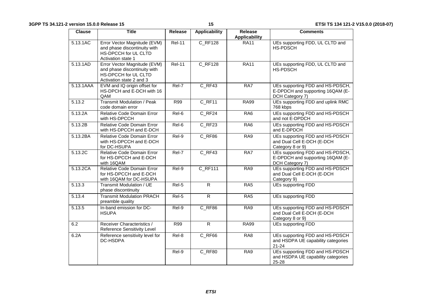| <b>Clause</b> | <b>Title</b>                                                                                                     | <b>Release</b>   | <b>Applicability</b> | <b>Release</b><br><b>Applicability</b> | <b>Comments</b>                                                                         |
|---------------|------------------------------------------------------------------------------------------------------------------|------------------|----------------------|----------------------------------------|-----------------------------------------------------------------------------------------|
| 5.13.1AC      | Error Vector Magnitude (EVM)<br>and phase discontinuity with<br>HS-DPCCH for UL CLTD<br>Activation state 1       | <b>Rel-11</b>    | <b>C_RF128</b>       | <b>RA11</b>                            | UEs supporting FDD, UL CLTD and<br>HS-PDSCH                                             |
| 5.13.1AD      | Error Vector Magnitude (EVM)<br>and phase discontinuity with<br>HS-DPCCH for UL CLTD<br>Activation state 2 and 3 | <b>Rel-11</b>    | <b>C_RF128</b>       | <b>RA11</b>                            | UEs supporting FDD, UL CLTD and<br><b>HS-PDSCH</b>                                      |
| 5.13.1AAA     | EVM and IQ origin offset for<br>HS-DPCH and E-DCH with 16<br>QAM                                                 | Rel-7            | C_RF43               | RA7                                    | UEs supporting FDD and HS-PDSCH,<br>E-DPDCH and supporting 16QAM (E-<br>DCH Category 7) |
| 5.13.2        | <b>Transmit Modulation / Peak</b><br>code domain error                                                           | R99              | C_RF11               | <b>RA99</b>                            | UEs supporting FDD and uplink RMC<br>768 kbps                                           |
| 5.13.2A       | Relative Code Domain Error<br>with HS-DPCCH                                                                      | Rel-6            | C_RF24               | $R\overline{A6}$                       | UEs supporting FDD and HS-PDSCH<br>and not E-DPDCH                                      |
| 5.13.2B       | Relative Code Domain Error<br>with HS-DPCCH and E-DCH                                                            | Rel-6            | C_RF23               | RA <sub>6</sub>                        | UEs supporting FDD and HS-PDSCH<br>and E-DPDCH                                          |
| 5.13.2BA      | Relative Code Domain Error<br>with HS-DPCCH and E-DCH<br>for DC-HSUPA                                            | $ReI-9$          | C_RF86               | R <sub>A9</sub>                        | UEs supporting FDD and HS-PDSCH<br>and Dual Cell E-DCH (E-DCH<br>Category 8 or 9)       |
| 5.13.2C       | Relative Code Domain Error<br>for HS-DPCCH and E-DCH<br>with 16QAM                                               | $\overline{Rel}$ | C_RF43               | RA7                                    | UEs supporting FDD and HS-PDSCH,<br>E-DPDCH and supporting 16QAM (E-<br>DCH Category 7) |
| 5.13.2CA      | Relative Code Domain Error<br>for HS-DPCCH and E-DCH<br>with 16QAM for DC-HSUPA                                  | Rel-9            | C_RF111              | R <sub>A9</sub>                        | UEs supporting FDD and HS-PDSCH<br>and Dual Cell E-DCH (E-DCH<br>Category 9)            |
| 5.13.3        | Transmit Modulation / UE<br>phase discontinuity                                                                  | Rel-5            | $\mathsf{R}$         | RA <sub>5</sub>                        | <b>UEs supporting FDD</b>                                                               |
| 5.13.4        | <b>Transmit Modulation PRACH</b><br>preamble quality                                                             | $Rel-5$          | $\overline{R}$       | RA <sub>5</sub>                        | UEs supporting FDD                                                                      |
| 5.13.5        | In-band emission for DC-<br><b>HSUPA</b>                                                                         | Rel-9            | C_RF86               | RA9                                    | UEs supporting FDD and HS-PDSCH<br>and Dual Cell E-DCH (E-DCH<br>Category 8 or 9)       |
| 6.2           | Receiver Characteristics /<br>Reference Sensitivity Level                                                        | R99              | $\overline{R}$       | <b>RA99</b>                            | UEs supporting FDD                                                                      |
| 6.2A          | Reference sensitivity level for<br>DC-HSDPA                                                                      | Rel-8            | C_RF66               | RA8                                    | UEs supporting FDD and HS-PDSCH<br>and HSDPA UE capability categories<br>$21 - 24$      |
|               |                                                                                                                  | Rel-9            | C_RF80               | RA9                                    | UEs supporting FDD and HS-PDSCH<br>and HSDPA UE capability categories<br>25-28          |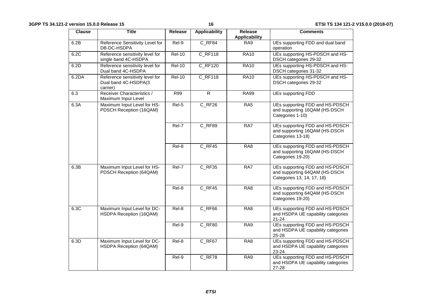| <b>Clause</b> | <b>Title</b>                                                        | <b>Release</b>    | <b>Applicability</b>  | <b>Release</b><br><b>Applicability</b> | <b>Comments</b>                                                                                |
|---------------|---------------------------------------------------------------------|-------------------|-----------------------|----------------------------------------|------------------------------------------------------------------------------------------------|
| 6.2B          | Reference Sensitivity Level for<br>DB-DC-HSDPA                      | Rel-9             | C_RF84                | RA9                                    | UEs supporting FDD and dual band<br>operation                                                  |
| 6.2C          | Reference sensitivity level for<br>single band 4C-HSDPA             | <b>Rel-10</b>     | C_RF118               | <b>RA10</b>                            | UEs supporting HS-PDSCH and HS-<br>DSCH categories 29-32                                       |
| 6.2D          | Reference sensitivity level for<br>Dual band 4C-HSDPA               | <b>Rel-10</b>     | C_RF120               | <b>RA10</b>                            | UEs supporting HS-PDSCH and HS-<br>DSCH categories 31-32                                       |
| 6.2DA         | Reference sensitivity level for<br>Dual band 4C-HSDPA(3<br>carrier) | <b>Rel-10</b>     | $C$ <sub>_RF118</sub> | <b>RA10</b>                            | UEs supporting HS-PDSCH and HS-<br>DSCH categories 29-32                                       |
| 6.3           | Receiver Characteristics /<br>Maximum Input Level                   | R99               | $\overline{R}$        | <b>RA99</b>                            | UEs supporting FDD                                                                             |
| 6.3A          | Maximum Input Level for HS-<br>PDSCH Reception (16QAM)              | $\overline{Rel5}$ | C_RF26                | RA <sub>5</sub>                        | UEs supporting FDD and HS-PDSCH<br>and supporting 16QAM (HS-DSCH<br>Categories 1-10)           |
|               |                                                                     | Rel-7             | C_RF89                | RA7                                    | UEs supporting FDD and HS-PDSCH<br>and supporting 16QAM (HS-DSCH<br>Categories 13-18)          |
|               |                                                                     | Rel-8             | C_RF45                | RA <sub>8</sub>                        | UEs supporting FDD and HS-PDSCH<br>and supporting 16QAM (HS-DSCH<br>Categories 19-20)          |
| 6.3B          | Maximum Input Level for HS-<br>PDSCH Reception (64QAM)              | Rel-7             | C_RF35                | RAT                                    | UEs supporting FDD and HS-PDSCH<br>and supporting 64QAM (HS-DSCH<br>Categories 13, 14, 17, 18) |
|               |                                                                     | Rel-8             | C_RF45                | RA8                                    | UEs supporting FDD and HS-PDSCH<br>and supporting 64QAM (HS-DSCH<br>Categories 19-20)          |
| 6.3C          | Maximum Input Level for DC-<br>HSDPA Reception (16QAM)              | Rel-8             | C_RF66                | RA <sub>8</sub>                        | UEs supporting FDD and HS-PDSCH<br>and HSDPA UE capability categories<br>$21 - 24$             |
|               |                                                                     | Rel-9             | C_RF80                | RA9                                    | UEs supporting FDD and HS-PDSCH<br>and HSDPA UE capability categories<br>25-28                 |
| 6.3D          | Maximum Input Level for DC-<br>HSDPA Reception (64QAM)              | $Rel-8$           | C_RF67                | RAB                                    | UEs supporting FDD and HS-PDSCH<br>and HSDPA UE capability categories<br>23-24                 |
|               |                                                                     | Rel-9             | $C$ <sub>RF78</sub>   | R <sub>A9</sub>                        | UEs supporting FDD and HS-PDSCH<br>and HSDPA UE capability categories<br>27-28                 |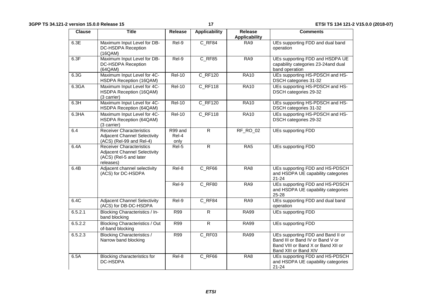| <b>Clause</b> | <b>Title</b>                                                                                                  | <b>Release</b>           | <b>Applicability</b> | <b>Release</b><br><b>Applicability</b> | <b>Comments</b>                                                                                                                      |
|---------------|---------------------------------------------------------------------------------------------------------------|--------------------------|----------------------|----------------------------------------|--------------------------------------------------------------------------------------------------------------------------------------|
| 6.3E          | Maximum Input Level for DB-<br>DC-HSDPA Reception<br>(16QAM)                                                  | Rel-9                    | C_RF84               | RA9                                    | UEs supporting FDD and dual band<br>operation                                                                                        |
| 6.3F          | Maximum Input Level for DB-<br>DC-HSDPA Reception<br>(64QAM)                                                  | Rel-9                    | <b>C_RF85</b>        | RA9                                    | UEs supporting FDD and HSDPA UE<br>capability categories 23-24 and dual<br>band operation                                            |
| 6.3G          | Maximum Input Level for 4C-<br>HSDPA Reception (16QAM)                                                        | <b>Rel-10</b>            | C_RF120              | <b>RA10</b>                            | UEs supporting HS-PDSCH and HS-<br>DSCH categories 31-32                                                                             |
| 6.3GA         | Maximum Input Level for 4C-<br>HSDPA Reception (16QAM)<br>(3 carrier)                                         | $Rel-10$                 | <b>C_RF118</b>       | <b>RA10</b>                            | UEs supporting HS-PDSCH and HS-<br>DSCH categories 29-32                                                                             |
| 6.3H          | Maximum Input Level for 4C-<br>HSDPA Reception (64QAM)                                                        | $Rel-10$                 | <b>C_RF120</b>       | <b>RA10</b>                            | UEs supporting HS-PDSCH and HS-<br>DSCH categories 31-32                                                                             |
| 6.3HA         | Maximum Input Level for 4C-<br>HSDPA Reception (64QAM)<br>(3 carrier)                                         | $Rel-10$                 | C_RF118              | <b>RA10</b>                            | UEs supporting HS-PDSCH and HS-<br>DSCH categories 29-32                                                                             |
| 6.4           | <b>Receiver Characteristics</b><br><b>Adjacent Channel Selectivity</b><br>(ACS) (Rel-99 and Rel-4)            | R99 and<br>Rel-4<br>only | $\overline{R}$       | RF_RO_02                               | <b>UEs supporting FDD</b>                                                                                                            |
| 6.4A          | <b>Receiver Characteristics</b><br><b>Adjacent Channel Selectivity</b><br>(ACS) (Rel-5 and later<br>releases) | Rel-5                    | $\mathsf{R}$         | RA <sub>5</sub>                        | UEs supporting FDD                                                                                                                   |
| 6.4B          | Adjacent channel selectivity<br>(ACS) for DC-HSDPA                                                            | Rel-8                    | C_RF66               | RA <sub>8</sub>                        | UEs supporting FDD and HS-PDSCH<br>and HSDPA UE capability categories<br>$21 - 24$                                                   |
|               |                                                                                                               | Rel-9                    | C_RF80               | RA9                                    | UEs supporting FDD and HS-PDSCH<br>and HSDPA UE capability categories<br>25-28                                                       |
| 6.4C          | <b>Adjacent Channel Selectivity</b><br>(ACS) for DB-DC-HSDPA                                                  | Rel-9                    | C_RF84               | RA9                                    | UEs supporting FDD and dual band<br>operation                                                                                        |
| 6.5.2.1       | Blocking Characteristics / In-<br>band blocking                                                               | R99                      | $\mathsf{R}$         | <b>RA99</b>                            | <b>UEs supporting FDD</b>                                                                                                            |
| 6.5.2.2       | <b>Blocking Characteristics / Out</b><br>of-band blocking                                                     | R99                      | $\mathsf{R}$         | <b>RA99</b>                            | UEs supporting FDD                                                                                                                   |
| 6.5.2.3       | <b>Blocking Characteristics /</b><br>Narrow band blocking                                                     | R99                      | C_RF03               | $R\overline{A}99$                      | UEs supporting FDD and Band II or<br>Band III or Band IV or Band V or<br>Band VIII or Band X or Band XII or<br>Band XIII or Band XIV |
| 6.5A          | Blocking characteristics for<br>DC-HSDPA                                                                      | Rel-8                    | C_RF66               | RA <sub>8</sub>                        | UEs supporting FDD and HS-PDSCH<br>and HSDPA UE capability categories<br>$21 - 24$                                                   |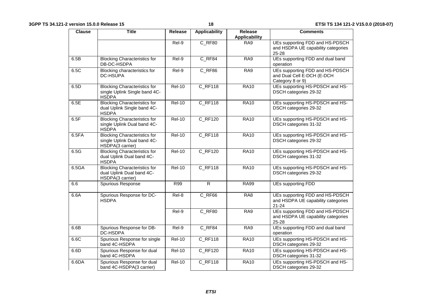| <b>Clause</b> | <b>Title</b>                                                                           | <b>Release</b> | <b>Applicability</b> | <b>Release</b><br><b>Applicability</b> | <b>Comments</b>                                                                    |
|---------------|----------------------------------------------------------------------------------------|----------------|----------------------|----------------------------------------|------------------------------------------------------------------------------------|
|               |                                                                                        | Rel-9          | C_RF80               | RA <sub>9</sub>                        | UEs supporting FDD and HS-PDSCH<br>and HSDPA UE capability categories<br>25-28     |
| 6.5B          | <b>Blocking Characteristics for</b><br>DB-DC-HSDPA                                     | Rel-9          | C_RF84               | R <sub>A9</sub>                        | UEs supporting FDD and dual band<br>operation                                      |
| 6.5C          | Blocking characteristics for<br>DC-HSUPA                                               | Rel-9          | C_RF86               | RA9                                    | UEs supporting FDD and HS-PDSCH<br>and Dual Cell E-DCH (E-DCH<br>Category 8 or 9)  |
| 6.5D          | <b>Blocking Characteristics for</b><br>single Uplink Single band 4C-<br><b>HSDPA</b>   | <b>Rel-10</b>  | C_RF118              | <b>RA10</b>                            | UEs supporting HS-PDSCH and HS-<br>DSCH categories 29-32                           |
| 6.5E          | <b>Blocking Characteristics for</b><br>dual Uplink Single band 4C-<br><b>HSDPA</b>     | $Rel-10$       | C_RF118              | <b>RA10</b>                            | UEs supporting HS-PDSCH and HS-<br>DSCH categories 29-32                           |
| 6.5F          | <b>Blocking Characteristics for</b><br>single Uplink Dual band 4C-<br><b>HSDPA</b>     | <b>Rel-10</b>  | <b>C_RF120</b>       | <b>RA10</b>                            | UEs supporting HS-PDSCH and HS-<br>DSCH categories 31-32                           |
| 6.5FA         | <b>Blocking Characteristics for</b><br>single Uplink Dual band 4C-<br>HSDPA(3 carrier) | <b>Rel-10</b>  | C_RF118              | <b>RA10</b>                            | UEs supporting HS-PDSCH and HS-<br>DSCH categories 29-32                           |
| 6.5G          | <b>Blocking Characteristics for</b><br>dual Uplink Dual band 4C-<br><b>HSDPA</b>       | <b>Rel-10</b>  | C_RF120              | <b>RA10</b>                            | UEs supporting HS-PDSCH and HS-<br>DSCH categories 31-32                           |
| 6.5GA         | <b>Blocking Characteristics for</b><br>dual Uplink Dual band 4C-<br>HSDPA(3 carrier)   | <b>Rel-10</b>  | C_RF118              | <b>RA10</b>                            | UEs supporting HS-PDSCH and HS-<br>DSCH categories 29-32                           |
| 6.6           | Spurious Response                                                                      | R99            | $\overline{R}$       | <b>RA99</b>                            | <b>UEs supporting FDD</b>                                                          |
| 6.6A          | Spurious Response for DC-<br><b>HSDPA</b>                                              | Rel-8          | C_RF66               | RAB                                    | UEs supporting FDD and HS-PDSCH<br>and HSDPA UE capability categories<br>$21 - 24$ |
|               |                                                                                        | Rel-9          | C_RF80               | R <sub>A9</sub>                        | UEs supporting FDD and HS-PDSCH<br>and HSDPA UE capability categories<br>25-28     |
| 6.6B          | Spurious Response for DB-<br>DC-HSDPA                                                  | Rel-9          | C_RF84               | RA9                                    | UEs supporting FDD and dual band<br>operation                                      |
| 6.6C          | Spurious Response for single<br>band 4C-HSDPA                                          | <b>Rel-10</b>  | C_RF118              | <b>RA10</b>                            | UEs supporting HS-PDSCH and HS-<br>DSCH categories 29-32                           |
| 6.6D          | Spurious Response for dual<br>band 4C-HSDPA                                            | <b>Rel-10</b>  | C_RF120              | <b>RA10</b>                            | UEs supporting HS-PDSCH and HS-<br>DSCH categories 31-32                           |
| 6.6DA         | Spurious Response for dual<br>band 4C-HSDPA(3 carrier)                                 | <b>Rel-10</b>  | C_RF118              | <b>RA10</b>                            | UEs supporting HS-PDSCH and HS-<br>DSCH categories 29-32                           |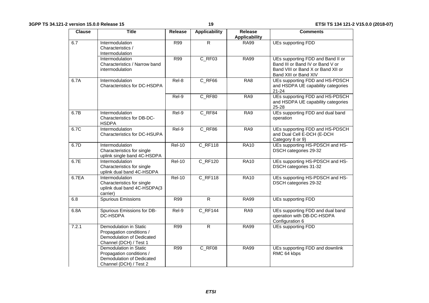| <b>Clause</b> | <b>Title</b>                                                                                              | Release       | <b>Applicability</b> | <b>Release</b><br><b>Applicability</b> | <b>Comments</b>                                                                                                                      |
|---------------|-----------------------------------------------------------------------------------------------------------|---------------|----------------------|----------------------------------------|--------------------------------------------------------------------------------------------------------------------------------------|
| 6.7           | Intermodulation<br>Characteristics /<br>Intermodulation                                                   | R99           | $\overline{R}$       | <b>RA99</b>                            | UEs supporting FDD                                                                                                                   |
|               | Intermodulation<br>Characteristics / Narrow band<br>intermodulation                                       | R99           | C_RF03               | <b>RA99</b>                            | UEs supporting FDD and Band II or<br>Band III or Band IV or Band V or<br>Band VIII or Band X or Band XII or<br>Band XIII or Band XIV |
| 6.7A          | Intermodulation<br>Characteristics for DC-HSDPA                                                           | Rel-8         | C_RF66               | RA <sub>8</sub>                        | UEs supporting FDD and HS-PDSCH<br>and HSDPA UE capability categories<br>$21 - 24$                                                   |
|               |                                                                                                           | Rel-9         | C_RF80               | RA9                                    | UEs supporting FDD and HS-PDSCH<br>and HSDPA UE capability categories<br>25-28                                                       |
| 6.7B          | Intermodulation<br>Characteristics for DB-DC-<br><b>HSDPA</b>                                             | Rel-9         | C_RF84               | RA9                                    | UEs supporting FDD and dual band<br>operation                                                                                        |
| 6.7C          | Intermodulation<br>Characteristics for DC-HSUPA                                                           | Rel-9         | C_RF86               | RA9                                    | UEs supporting FDD and HS-PDSCH<br>and Dual Cell E-DCH (E-DCH<br>Category 8 or 9)                                                    |
| 6.7D          | Intermodulation<br>Characteristics for single<br>uplink single band 4C-HSDPA                              | <b>Rel-10</b> | C_RF118              | <b>RA10</b>                            | UEs supporting HS-PDSCH and HS-<br>DSCH categories 29-32                                                                             |
| 6.7E          | Intermodulation<br>Characteristics for single<br>uplink dual band 4C-HSDPA                                | <b>Rel-10</b> | C_RF120              | <b>RA10</b>                            | UEs supporting HS-PDSCH and HS-<br>DSCH categories 31-32                                                                             |
| 6.7EA         | Intermodulation<br>Characteristics for single<br>uplink dual band 4C-HSDPA(3<br>carrier)                  | <b>Rel-10</b> | C_RF118              | <b>RA10</b>                            | UEs supporting HS-PDSCH and HS-<br>DSCH categories 29-32                                                                             |
| 6.8           | <b>Spurious Emissions</b>                                                                                 | R99           | $\overline{R}$       | <b>RA99</b>                            | UEs supporting FDD                                                                                                                   |
| 6.8A          | Spurious Emissions for DB-<br>DC-HSDPA                                                                    | Rel-9         | <b>C_RF144</b>       | R <sub>A9</sub>                        | UEs supporting FDD and dual band<br>operation with DB-DC-HSDPA<br>Configuration 6                                                    |
| 7.2.1         | Demodulation in Static<br>Propagation conditions /<br>Demodulation of Dedicated<br>Channel (DCH) / Test 1 | R99           | $\mathsf{R}$         | <b>RA99</b>                            | UEs supporting FDD                                                                                                                   |
|               | Demodulation in Static<br>Propagation conditions /<br>Demodulation of Dedicated<br>Channel (DCH) / Test 2 | R99           | C_RF08               | <b>RA99</b>                            | UEs supporting FDD and downlink<br>RMC 64 kbps                                                                                       |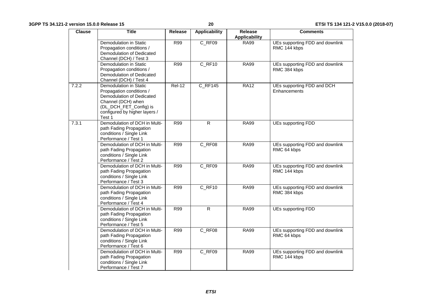| <b>Clause</b> | <b>Title</b>                                                                                                                                                               | Release       | <b>Applicability</b> | <b>Release</b><br><b>Applicability</b> | <b>Comments</b>                                 |
|---------------|----------------------------------------------------------------------------------------------------------------------------------------------------------------------------|---------------|----------------------|----------------------------------------|-------------------------------------------------|
|               | Demodulation in Static<br>Propagation conditions /<br>Demodulation of Dedicated<br>Channel (DCH) / Test 3                                                                  | <b>R99</b>    | C_RF09               | <b>RA99</b>                            | UEs supporting FDD and downlink<br>RMC 144 kbps |
|               | Demodulation in Static<br>Propagation conditions /<br>Demodulation of Dedicated<br>Channel (DCH) / Test 4                                                                  | R99           | C_RF10               | <b>RA99</b>                            | UEs supporting FDD and downlink<br>RMC 384 kbps |
| 7.2.2         | Demodulation in Static<br>Propagation conditions /<br>Demodulation of Dedicated<br>Channel (DCH) when<br>(DL_DCH_FET_Config) is<br>configured by higher layers /<br>Test 1 | <b>Rel-12</b> | C_RF145              | <b>RA12</b>                            | UEs supporting FDD and DCH<br>Enhancements      |
| 7.3.1         | Demodulation of DCH in Multi-<br>path Fading Propagation<br>conditions / Single Link<br>Performance / Test 1                                                               | R99           | $\mathsf{R}$         | <b>RA99</b>                            | UEs supporting FDD                              |
|               | Demodulation of DCH in Multi-<br>path Fading Propagation<br>conditions / Single Link<br>Performance / Test 2                                                               | R99           | C_RF08               | <b>RA99</b>                            | UEs supporting FDD and downlink<br>RMC 64 kbps  |
|               | Demodulation of DCH in Multi-<br>path Fading Propagation<br>conditions / Single Link<br>Performance / Test 3                                                               | R99           | C_RF09               | <b>RA99</b>                            | UEs supporting FDD and downlink<br>RMC 144 kbps |
|               | Demodulation of DCH in Multi-<br>path Fading Propagation<br>conditions / Single Link<br>Performance / Test 4                                                               | R99           | C_RF10               | <b>RA99</b>                            | UEs supporting FDD and downlink<br>RMC 384 kbps |
|               | Demodulation of DCH in Multi-<br>path Fading Propagation<br>conditions / Single Link<br>Performance / Test 5                                                               | R99           | $\overline{R}$       | <b>RA99</b>                            | UEs supporting FDD                              |
|               | Demodulation of DCH in Multi-<br>path Fading Propagation<br>conditions / Single Link<br>Performance / Test 6                                                               | R99           | C_RF08               | <b>RA99</b>                            | UEs supporting FDD and downlink<br>RMC 64 kbps  |
|               | Demodulation of DCH in Multi-<br>path Fading Propagation<br>conditions / Single Link<br>Performance / Test 7                                                               | R99           | C_RF09               | <b>RA99</b>                            | UEs supporting FDD and downlink<br>RMC 144 kbps |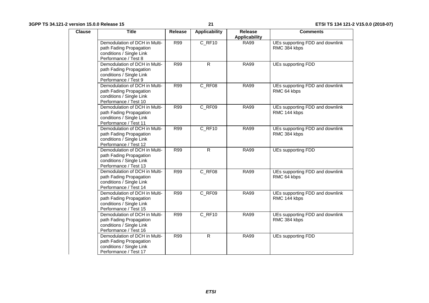#### **3GPP TS 34.121-2 version 15.0.0 Release 15**

| <b>Clause</b> | <b>Title</b>                                                                                                  | <b>Release</b> | <b>Applicability</b> | <b>Release</b><br><b>Applicability</b> | <b>Comments</b>                                 |
|---------------|---------------------------------------------------------------------------------------------------------------|----------------|----------------------|----------------------------------------|-------------------------------------------------|
|               | Demodulation of DCH in Multi-<br>path Fading Propagation<br>conditions / Single Link<br>Performance / Test 8  | <b>R99</b>     | C_RF10               | <b>RA99</b>                            | UEs supporting FDD and downlink<br>RMC 384 kbps |
|               | Demodulation of DCH in Multi-<br>path Fading Propagation<br>conditions / Single Link<br>Performance / Test 9  | R99            | $\overline{R}$       | <b>RA99</b>                            | <b>UEs supporting FDD</b>                       |
|               | Demodulation of DCH in Multi-<br>path Fading Propagation<br>conditions / Single Link<br>Performance / Test 10 | R99            | C_RF08               | <b>RA99</b>                            | UEs supporting FDD and downlink<br>RMC 64 kbps  |
|               | Demodulation of DCH in Multi-<br>path Fading Propagation<br>conditions / Single Link<br>Performance / Test 11 | <b>R99</b>     | C_RF09               | <b>RA99</b>                            | UEs supporting FDD and downlink<br>RMC 144 kbps |
|               | Demodulation of DCH in Multi-<br>path Fading Propagation<br>conditions / Single Link<br>Performance / Test 12 | R99            | C_RF10               | <b>RA99</b>                            | UEs supporting FDD and downlink<br>RMC 384 kbps |
|               | Demodulation of DCH in Multi-<br>path Fading Propagation<br>conditions / Single Link<br>Performance / Test 13 | <b>R99</b>     | $\mathsf{R}$         | <b>RA99</b>                            | UEs supporting FDD                              |
|               | Demodulation of DCH in Multi-<br>path Fading Propagation<br>conditions / Single Link<br>Performance / Test 14 | R99            | C_RF08               | <b>RA99</b>                            | UEs supporting FDD and downlink<br>RMC 64 kbps  |
|               | Demodulation of DCH in Multi-<br>path Fading Propagation<br>conditions / Single Link<br>Performance / Test 15 | R99            | C_RF09               | <b>RA99</b>                            | UEs supporting FDD and downlink<br>RMC 144 kbps |
|               | Demodulation of DCH in Multi-<br>path Fading Propagation<br>conditions / Single Link<br>Performance / Test 16 | R99            | C_RF10               | <b>RA99</b>                            | UEs supporting FDD and downlink<br>RMC 384 kbps |
|               | Demodulation of DCH in Multi-<br>path Fading Propagation<br>conditions / Single Link<br>Performance / Test 17 | R99            | $\overline{R}$       | <b>RA99</b>                            | UEs supporting FDD                              |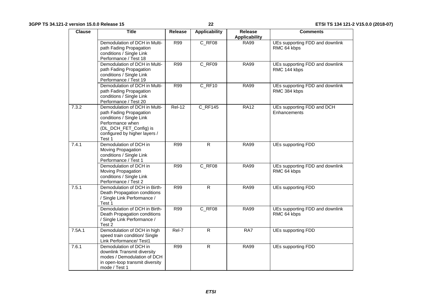#### **3GPP TS 34.121-2 version 15.0.0 Release 15**

| <b>Clause</b> | <b>Title</b>                                                                                                                                                                  | Release    | <b>Applicability</b> | <b>Release</b><br><b>Applicability</b> | <b>Comments</b>                                 |
|---------------|-------------------------------------------------------------------------------------------------------------------------------------------------------------------------------|------------|----------------------|----------------------------------------|-------------------------------------------------|
|               | Demodulation of DCH in Multi-<br>path Fading Propagation<br>conditions / Single Link<br>Performance / Test 18                                                                 | <b>R99</b> | C_RF08               | <b>RA99</b>                            | UEs supporting FDD and downlink<br>RMC 64 kbps  |
|               | Demodulation of DCH in Multi-<br>path Fading Propagation<br>conditions / Single Link<br>Performance / Test 19                                                                 | R99        | C_RF09               | <b>RA99</b>                            | UEs supporting FDD and downlink<br>RMC 144 kbps |
|               | Demodulation of DCH in Multi-<br>path Fading Propagation<br>conditions / Single Link<br>Performance / Test 20                                                                 | R99        | C_RF10               | <b>RA99</b>                            | UEs supporting FDD and downlink<br>RMC 384 kbps |
| 7.3.2         | Demodulation of DCH in Multi-<br>path Fading Propagation<br>conditions / Single Link<br>Performance when<br>(DL_DCH_FET_Config) is<br>configured by higher layers /<br>Test 1 | $Rel-12$   | <b>C_RF145</b>       | <b>RA12</b>                            | UEs supporting FDD and DCH<br>Enhancements      |
| 7.4.1         | Demodulation of DCH in<br>Moving Propagation<br>conditions / Single Link<br>Performance / Test 1                                                                              | <b>R99</b> | $\overline{R}$       | <b>RA99</b>                            | <b>UEs supporting FDD</b>                       |
|               | Demodulation of DCH in<br>Moving Propagation<br>conditions / Single Link<br>Performance / Test 2                                                                              | R99        | C_RF08               | <b>RA99</b>                            | UEs supporting FDD and downlink<br>RMC 64 kbps  |
| 7.5.1         | Demodulation of DCH in Birth-<br>Death Propagation conditions<br>/ Single Link Performance /<br>Test 1                                                                        | R99        | ${\sf R}$            | <b>RA99</b>                            | <b>UEs supporting FDD</b>                       |
|               | Demodulation of DCH in Birth-<br>Death Propagation conditions<br>/ Single Link Performance /<br>Test 2                                                                        | R99        | C_RF08               | <b>RA99</b>                            | UEs supporting FDD and downlink<br>RMC 64 kbps  |
| 7.5A.1        | Demodulation of DCH in high<br>speed train condition/ Single<br>Link Performance/ Test1                                                                                       | Rel-7      | $\overline{R}$       | RA7                                    | UEs supporting FDD                              |
| 7.6.1         | Demodulation of DCH in<br>downlink Transmit diversity<br>modes / Demodulation of DCH<br>in open-loop transmit diversity<br>mode / Test 1                                      | R99        | $\mathsf{R}$         | <b>RA99</b>                            | UEs supporting FDD                              |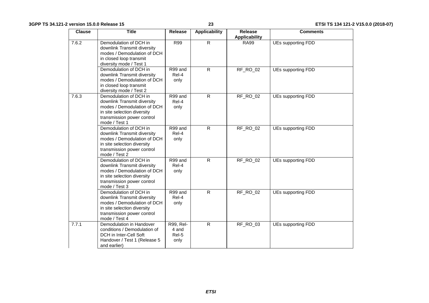| <b>Clause</b> | <b>Title</b>                                                                                                                                                       | Release                             | <b>Applicability</b> | Release<br><b>Applicability</b> | <b>Comments</b>    |
|---------------|--------------------------------------------------------------------------------------------------------------------------------------------------------------------|-------------------------------------|----------------------|---------------------------------|--------------------|
| 7.6.2         | Demodulation of DCH in<br>downlink Transmit diversity<br>modes / Demodulation of DCH<br>in closed loop transmit<br>diversity mode / Test 1                         | R99                                 | $\mathsf{R}$         | <b>RA99</b>                     | UEs supporting FDD |
|               | Demodulation of DCH in<br>downlink Transmit diversity<br>modes / Demodulation of DCH<br>in closed loop transmit<br>diversity mode / Test 2                         | R99 and<br>Rel-4<br>only            | $\overline{R}$       | RF_RO_02                        | UEs supporting FDD |
| 7.6.3         | Demodulation of DCH in<br>downlink Transmit diversity<br>modes / Demodulation of DCH<br>in site selection diversity<br>transmission power control<br>mode / Test 1 | R99 and<br>Rel-4<br>only            | $\mathsf{R}$         | RF_RO_02                        | UEs supporting FDD |
|               | Demodulation of DCH in<br>downlink Transmit diversity<br>modes / Demodulation of DCH<br>in site selection diversity<br>transmission power control<br>mode / Test 2 | R99 and<br>Rel-4<br>only            | $\overline{R}$       | RF_RO_02                        | UEs supporting FDD |
|               | Demodulation of DCH in<br>downlink Transmit diversity<br>modes / Demodulation of DCH<br>in site selection diversity<br>transmission power control<br>mode / Test 3 | R99 and<br>Rel-4<br>only            | $\overline{R}$       | RF_RO_02                        | UEs supporting FDD |
|               | Demodulation of DCH in<br>downlink Transmit diversity<br>modes / Demodulation of DCH<br>in site selection diversity<br>transmission power control<br>mode / Test 4 | R99 and<br>Rel-4<br>only            | $\overline{R}$       | RF_RO_02                        | UEs supporting FDD |
| 7.7.1         | Demodulation in Handover<br>conditions / Demodulation of<br>DCH in Inter-Cell Soft<br>Handover / Test 1 (Release 5<br>and earlier)                                 | R99, Rel-<br>4 and<br>Rel-5<br>only | $\overline{R}$       | RF_RO_03                        | UEs supporting FDD |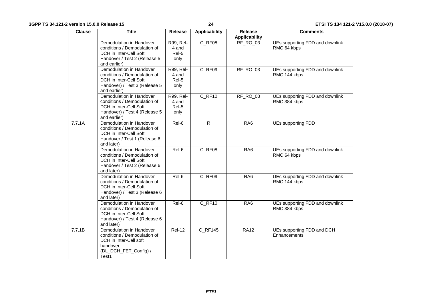#### **3GPP TS 34.121-2 version 15.0.0 Release 15**

| Clause | <b>Title</b>                                                                                                                        | <b>Release</b>                      | <b>Applicability</b> | <b>Release</b><br><b>Applicability</b> | <b>Comments</b>                                 |
|--------|-------------------------------------------------------------------------------------------------------------------------------------|-------------------------------------|----------------------|----------------------------------------|-------------------------------------------------|
|        | Demodulation in Handover<br>conditions / Demodulation of<br>DCH in Inter-Cell Soft<br>Handover / Test 2 (Release 5<br>and earlier)  | R99, Rel-<br>4 and<br>Rel-5<br>only | C_RF08               | RF_RO_03                               | UEs supporting FDD and downlink<br>RMC 64 kbps  |
|        | Demodulation in Handover<br>conditions / Demodulation of<br>DCH in Inter-Cell Soft<br>Handover) / Test 3 (Release 5<br>and earlier) | R99, Rel-<br>4 and<br>Rel-5<br>only | C_RF09               | RF_RO_03                               | UEs supporting FDD and downlink<br>RMC 144 kbps |
|        | Demodulation in Handover<br>conditions / Demodulation of<br>DCH in Inter-Cell Soft<br>Handover) / Test 4 (Release 5<br>and earlier) | R99, Rel-<br>4 and<br>Rel-5<br>only | C_RF10               | RF_RO_03                               | UEs supporting FDD and downlink<br>RMC 384 kbps |
| 7.7.1A | Demodulation in Handover<br>conditions / Demodulation of<br>DCH in Inter-Cell Soft<br>Handover / Test 1 (Release 6<br>and later)    | Rel-6                               | $\overline{R}$       | RA <sub>6</sub>                        | UEs supporting FDD                              |
|        | Demodulation in Handover<br>conditions / Demodulation of<br>DCH in Inter-Cell Soft<br>Handover / Test 2 (Release 6<br>and later)    | Rel-6                               | C_RF08               | RA <sub>6</sub>                        | UEs supporting FDD and downlink<br>RMC 64 kbps  |
|        | Demodulation in Handover<br>conditions / Demodulation of<br>DCH in Inter-Cell Soft<br>Handover) / Test 3 (Release 6<br>and later)   | Rel-6                               | C_RF09               | RA <sub>6</sub>                        | UEs supporting FDD and downlink<br>RMC 144 kbps |
|        | Demodulation in Handover<br>conditions / Demodulation of<br>DCH in Inter-Cell Soft<br>Handover) / Test 4 (Release 6<br>and later)   | Rel-6                               | C_RF10               | RA <sub>6</sub>                        | UEs supporting FDD and downlink<br>RMC 384 kbps |
| 7.7.1B | Demodulation in Handover<br>conditions / Demodulation of<br>DCH in Inter-Cell soft<br>handover<br>(DL_DCH_FET_Config) /<br>Test1    | <b>Rel-12</b>                       | C_RF145              | <b>RA12</b>                            | UEs supporting FDD and DCH<br>Enhancements      |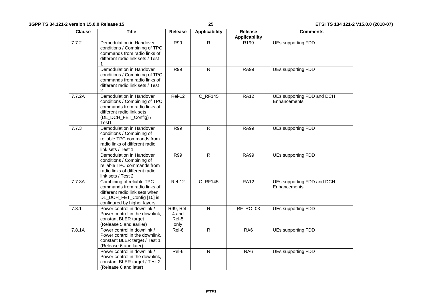| <b>Clause</b> | <b>Title</b>                                                                                                                                             | <b>Release</b>                        | Applicability  | <b>Release</b><br><b>Applicability</b> | <b>Comments</b>                            |
|---------------|----------------------------------------------------------------------------------------------------------------------------------------------------------|---------------------------------------|----------------|----------------------------------------|--------------------------------------------|
| 7.7.2         | Demodulation in Handover<br>conditions / Combining of TPC<br>commands from radio links of<br>different radio link sets / Test                            | R99                                   | R              | R <sub>199</sub>                       | UEs supporting FDD                         |
|               | Demodulation in Handover<br>conditions / Combining of TPC<br>commands from radio links of<br>different radio link sets / Test<br>2                       | R99                                   | $\overline{R}$ | <b>RA99</b>                            | UEs supporting FDD                         |
| 7.7.2A        | Demodulation in Handover<br>conditions / Combining of TPC<br>commands from radio links of<br>different radio link sets<br>(DL_DCH_FET_Config) /<br>Test1 | <b>Rel-12</b>                         | C_RF145        | <b>RA12</b>                            | UEs supporting FDD and DCH<br>Enhancements |
| 7.7.3         | Demodulation in Handover<br>conditions / Combining of<br>reliable TPC commands from<br>radio links of different radio<br>link sets / Test 1              | R99                                   | $\overline{R}$ | <b>RA99</b>                            | UEs supporting FDD                         |
|               | Demodulation in Handover<br>conditions / Combining of<br>reliable TPC commands from<br>radio links of different radio<br>link sets / Test 2              | R99                                   | ${\sf R}$      | <b>RA99</b>                            | UEs supporting FDD                         |
| 7.7.3A        | Combining of reliable TPC<br>commands from radio links of<br>different radio link sets when<br>DL_DCH_FET_Config [10] is<br>configured by higher layers  | $Rel-12$                              | C_RF145        | <b>RA12</b>                            | UEs supporting FDD and DCH<br>Enhancements |
| 7.8.1         | Power control in downlink /<br>Power control in the downlink,<br>constant BLER target<br>(Release 5 and earlier)                                         | $R99, Rel-$<br>4 and<br>Rel-5<br>only | $\overline{R}$ | RF_RO_03                               | UEs supporting FDD                         |
| 7.8.1A        | Power control in downlink /<br>Power control in the downlink,<br>constant BLER target / Test 1<br>(Release 6 and later)                                  | Rel-6                                 | ${\sf R}$      | RA <sub>6</sub>                        | UEs supporting FDD                         |
|               | Power control in downlink /<br>Power control in the downlink,<br>constant BLER target / Test 2<br>(Release 6 and later)                                  | Rel-6                                 | $\overline{R}$ | RA <sub>6</sub>                        | UEs supporting FDD                         |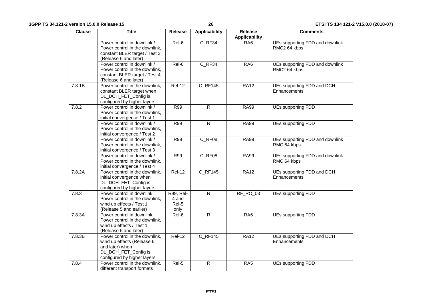#### **3GPP TS 34.121-2 version 15.0.0 Release 15**

| <b>Clause</b> | <b>Title</b>                                                                                                                           | <b>Release</b>                      | <b>Applicability</b> | <b>Release</b><br><b>Applicability</b> | <b>Comments</b>                                 |
|---------------|----------------------------------------------------------------------------------------------------------------------------------------|-------------------------------------|----------------------|----------------------------------------|-------------------------------------------------|
|               | Power control in downlink /<br>Power control in the downlink,<br>constant BLER target / Test 3<br>(Release 6 and later)                | Rel-6                               | C_RF34               | RA <sub>6</sub>                        | UEs supporting FDD and downlink<br>RMC2 64 kbps |
|               | Power control in downlink /<br>Power control in the downlink,<br>constant BLER target / Test 4<br>(Release 6 and later)                | Rel-6                               | C_RF34               | RA <sub>6</sub>                        | UEs supporting FDD and downlink<br>RMC2 64 kbps |
| 7.8.1B        | Power control in the downlink,<br>constant BLER target when<br>DL_DCH_FET_Config is<br>configured by higher layers                     | <b>Rel-12</b>                       | C_RF145              | <b>RA12</b>                            | UEs supporting FDD and DCH<br>Enhancements      |
| 7.8.2         | Power control in downlink /<br>Power control in the downlink,<br>initial convergence / Test 1                                          | R99                                 | $\overline{R}$       | <b>RA99</b>                            | <b>UEs supporting FDD</b>                       |
|               | Power control in downlink /<br>Power control in the downlink,<br>initial convergence / Test 2                                          | R99                                 | $\mathsf{R}$         | <b>RA99</b>                            | UEs supporting FDD                              |
|               | Power control in downlink /<br>Power control in the downlink,<br>initial convergence / Test 3                                          | R99                                 | C_RF08               | <b>RA99</b>                            | UEs supporting FDD and downlink<br>RMC 64 kbps  |
|               | Power control in downlink /<br>Power control in the downlink,<br>initial convergence / Test 4                                          | R99                                 | C_RF08               | <b>RA99</b>                            | UEs supporting FDD and downlink<br>RMC 64 kbps  |
| 7.8.2A        | Power control in the downlink,<br>initial convergence when<br>DL_DCH_FET_Config is<br>configured by higher layers                      | $Rel-12$                            | C_RF145              | <b>RA12</b>                            | UEs supporting FDD and DCH<br>Enhancements      |
| 7.8.3         | Power control in downlink<br>Power control in the downlink,<br>wind up effects / Test 1<br>(Release 5 and earlier)                     | R99, Rel-<br>4 and<br>Rel-5<br>only | $\mathsf{R}$         | RF_RO_03                               | UEs supporting FDD                              |
| 7.8.3A        | Power control in downlink<br>Power control in the downlink,<br>wind up effects / Test 1<br>(Release 6 and later)                       | Rel-6                               | $\overline{R}$       | R <sub>AB</sub>                        | UEs supporting FDD                              |
| 7.8.3B        | Power control in the downlink,<br>wind up effects (Release 6<br>and later) when<br>DL_DCH_FET_Config is<br>configured by higher layers | <b>Rel-12</b>                       | C_RF145              | <b>RA12</b>                            | UEs supporting FDD and DCH<br>Enhancements      |
| 7.8.4         | Power control in the downlink,<br>different transport formats                                                                          | Rel-5                               | $\overline{R}$       | RA <sub>5</sub>                        | UEs supporting FDD                              |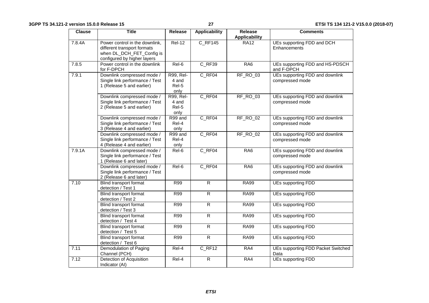| <b>Clause</b> | <b>Title</b>                                                                                                              | <b>Release</b>                      | <b>Applicability</b> | <b>Release</b><br><b>Applicability</b> | <b>Comments</b>                                    |
|---------------|---------------------------------------------------------------------------------------------------------------------------|-------------------------------------|----------------------|----------------------------------------|----------------------------------------------------|
| 7.8.4A        | Power control in the downlink,<br>different transport formats<br>when DL_DCH_FET_Config is<br>configured by higher layers | <b>Rel-12</b>                       | C_RF145              | <b>RA12</b>                            | UEs supporting FDD and DCH<br>Enhancements         |
| 7.8.5         | Power control in the downlink<br>for F-DPCH                                                                               | Rel-6                               | C_RF39               | RA <sub>6</sub>                        | UEs supporting FDD and HS-PDSCH<br>and F-DPCH      |
| 7.9.1         | Downlink compressed mode /<br>Single link performance / Test<br>1 (Release 5 and earlier)                                 | R99, Rel-<br>4 and<br>Rel-5<br>only | C_RF04               | RF_RO_03                               | UEs supporting FDD and downlink<br>compressed mode |
|               | Downlink compressed mode /<br>Single link performance / Test<br>2 (Release 5 and earlier)                                 | R99, Rel-<br>4 and<br>Rel-5<br>only | C_RF04               | RF_RO_03                               | UEs supporting FDD and downlink<br>compressed mode |
|               | Downlink compressed mode /<br>Single link performance / Test<br>3 (Release 4 and earlier)                                 | R99 and<br>Rel-4<br>only            | C_RF04               | RF_RO_02                               | UEs supporting FDD and downlink<br>compressed mode |
|               | Downlink compressed mode /<br>Single link performance / Test<br>4 (Release 4 and earlier)                                 | R99 and<br>Rel-4<br>only            | C_RF04               | <b>RF RO 02</b>                        | UEs supporting FDD and downlink<br>compressed mode |
| 7.9.1A        | Downlink compressed mode /<br>Single link performance / Test<br>1 (Release 6 and later)                                   | Rel-6                               | C_RF04               | RA <sub>6</sub>                        | UEs supporting FDD and downlink<br>compressed mode |
|               | Downlink compressed mode /<br>Single link performance / Test<br>2 (Release 6 and later)                                   | Rel-6                               | C_RF04               | RA <sub>6</sub>                        | UEs supporting FDD and downlink<br>compressed mode |
| 7.10          | Blind transport format<br>detection / Test 1                                                                              | R99                                 | $\overline{R}$       | <b>RA99</b>                            | UEs supporting FDD                                 |
|               | Blind transport format<br>detection / Test 2                                                                              | R99                                 | $\mathsf{R}$         | <b>RA99</b>                            | UEs supporting FDD                                 |
|               | Blind transport format<br>detection / Test 3                                                                              | <b>R99</b>                          | $\overline{R}$       | <b>RA99</b>                            | UEs supporting FDD                                 |
|               | Blind transport format<br>detection / Test 4                                                                              | R99                                 | $\overline{R}$       | <b>RA99</b>                            | UEs supporting FDD                                 |
|               | <b>Blind transport format</b><br>detection / Test 5                                                                       | R99                                 | $\overline{R}$       | <b>RA99</b>                            | UEs supporting FDD                                 |
|               | Blind transport format<br>detection / Test 6                                                                              | R99                                 | $\overline{R}$       | <b>RA99</b>                            | UEs supporting FDD                                 |
| 7.11          | Demodulation of Paging<br>Channel (PCH)                                                                                   | Rel-4                               | C_RF12               | RA4                                    | UEs supporting FDD Packet Switched<br>Data         |
| 7.12          | Detection of Acquisition<br>Indicator (AI)                                                                                | Rel-4                               | $\overline{R}$       | RA4                                    | UEs supporting FDD                                 |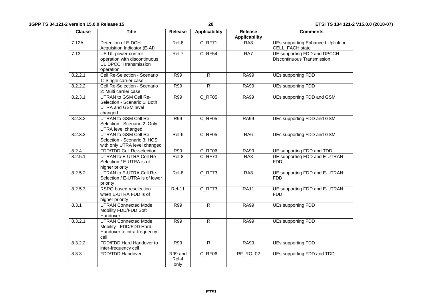| <b>Clause</b> | <b>Title</b>                                                                                  | Release                  | <b>Applicability</b> | <b>Release</b><br><b>Applicability</b> | <b>Comments</b>                                           |
|---------------|-----------------------------------------------------------------------------------------------|--------------------------|----------------------|----------------------------------------|-----------------------------------------------------------|
| 7.12A         | Detection of E-DCH<br>Acquisition Indicator (E-AI)                                            | Rel-8                    | C_RF71               | RA <sub>8</sub>                        | UEs supporting Enhanced Uplink on<br>CELL_FACH state      |
| 7.13          | UE UL power control<br>operation with discontinuous<br>UL DPCCH transmission<br>operation     | $ReI-7$                  | C_RF54               | RA7                                    | UE supporting FDD and DPCCH<br>Discontinuous Transmission |
| 8.2.2.1       | Cell Re-Selection - Scenario<br>1: Single carrier case                                        | R99                      | $\overline{R}$       | <b>RA99</b>                            | UEs supporting FDD                                        |
| 8.2.2.2       | Cell Re-Selection - Scenario<br>2: Multi carrier case                                         | R99                      | $\overline{R}$       | <b>RA99</b>                            | UEs supporting FDD                                        |
| 8.2.3.1       | UTRAN to GSM Cell Re-<br>Selection - Scenario 1: Both<br><b>UTRA and GSM level</b><br>changed | R99                      | C_RF05               | <b>RA99</b>                            | UEs supporting FDD and GSM                                |
| 8.2.3.2       | UTRAN to GSM Cell Re-<br>Selection - Scenario 2: Only<br>UTRA level changed                   | R99                      | C_RF05               | <b>RA99</b>                            | UEs supporting FDD and GSM                                |
| 8.2.3.3       | UTRAN to GSM Cell Re-<br>Selection - Scenario 3: HCS<br>with only UTRA level changed          | $Rel-6$                  | C_RF05               | R <sub>AB</sub>                        | UEs supporting FDD and GSM                                |
| 8.2.4         | FDD/TDD Cell Re-selection                                                                     | R99                      | C_RF06               | <b>RA99</b>                            | UE supporting FDD and TDD                                 |
| 8.2.5.1       | UTRAN to E-UTRA Cell Re-<br>Selection / E-UTRA is of<br>higher priority                       | Rel-8                    | C_RF73               | RA <sub>8</sub>                        | UE supporting FDD and E-UTRAN<br><b>FDD</b>               |
| 8.2.5.2       | UTRAN to E-UTRA Cell Re-<br>Selection / E-UTRA is of lower<br>priority                        | $Rel-8$                  | C_RF73               | RAB                                    | UE supporting FDD and E-UTRAN<br><b>FDD</b>               |
| 8.2.5.3       | RSRQ based reselection<br>when E-UTRA FDD is of<br>higher priority                            | <b>Rel-11</b>            | C_RF73               | <b>RA11</b>                            | UE supporting FDD and E-UTRAN<br><b>FDD</b>               |
| 8.3.1         | <b>UTRAN Connected Mode</b><br>Mobility FDD/FDD Soft<br>Handover                              | R99                      | $\mathsf{R}$         | <b>RA99</b>                            | UEs supporting FDD                                        |
| 8.3.2.1       | <b>UTRAN Connected Mode</b><br>Mobility - FDD/FDD Hard<br>Handover to intra-frequency<br>cell | R99                      | $\overline{R}$       | <b>RA99</b>                            | UEs supporting FDD                                        |
| 8.3.2.2       | FDD/FDD Hard Handover to<br>inter-frequency cell                                              | R99                      | ${\sf R}$            | <b>RA99</b>                            | UEs supporting FDD                                        |
| 8.3.3         | FDD/TDD Handover                                                                              | R99 and<br>Rel-4<br>only | C_RF06               | $RF_RO_02$                             | UEs supporting FDD and TDD                                |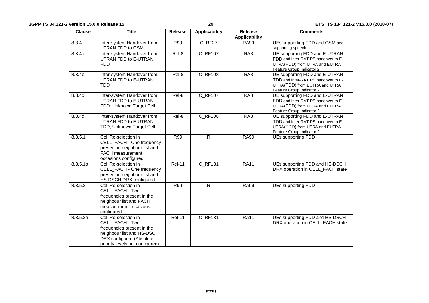| <b>Clause</b> | <b>Title</b>                                                                                                                                                       | <b>Release</b> | <b>Applicability</b> | <b>Release</b><br><b>Applicability</b> | <b>Comments</b>                                                                                                                    |
|---------------|--------------------------------------------------------------------------------------------------------------------------------------------------------------------|----------------|----------------------|----------------------------------------|------------------------------------------------------------------------------------------------------------------------------------|
| 8.3.4         | Inter-system Handover from<br>UTRAN FDD to GSM                                                                                                                     | <b>R99</b>     | $C_RF27$             | <b>RA99</b>                            | UEs supporting FDD and GSM and<br>supporting speech.                                                                               |
| 8.3.4a        | Inter-system Handover from<br>UTRAN FDD to E-UTRAN<br><b>FDD</b>                                                                                                   | $Rel-8$        | C RF107              | RA <sub>8</sub>                        | UE supporting FDD and E-UTRAN<br>FDD and inter-RAT PS handover to E-<br>UTRA(FDD) from UTRA and EUTRA<br>Feature Group Indicator 2 |
| 8.3.4b        | Inter-system Handover from<br>UTRAN FDD to E-UTRAN<br>TDD                                                                                                          | Rel-8          | <b>C_RF108</b>       | RA <sub>8</sub>                        | UE supporting FDD and E-UTRAN<br>TDD and inter-RAT PS handover to E-<br>UTRA(TDD) from EUTRA and UTRA<br>Feature Group Indicator 2 |
| 8.3.4c        | Inter-system Handover from<br>UTRAN FDD to E-UTRAN<br>FDD: Unknown Target Cell                                                                                     | $Rel-8$        | C_RF107              | RAB                                    | UE supporting FDD and E-UTRAN<br>FDD and inter-RAT PS handover to E-<br>UTRA(FDD) from UTRA and EUTRA<br>Feature Group Indicator 2 |
| 8.3.4d        | Inter-system Handover from<br>UTRAN FDD to E-UTRAN<br>TDD; Unknown Target Cell                                                                                     | Rel-8          | <b>C_RF108</b>       | RA <sub>8</sub>                        | UE supporting FDD and E-UTRAN<br>TDD and inter-RAT PS handover to E-<br>UTRA(TDD) from UTRA and EUTRA<br>Feature Group Indicator 2 |
| 8.3.5.1       | Cell Re-selection in<br>CELL_FACH - One frequency<br>present in neighbour list and<br>FACH measurement<br>occasions configured                                     | R99            | $\overline{R}$       | <b>RA99</b>                            | UEs supporting FDD                                                                                                                 |
| 8.3.5.1a      | Cell Re-selection in<br>CELL_FACH - One frequency<br>present in neighbour list and<br>HS-DSCH DRX configured                                                       | <b>Rel-11</b>  | C_RF131              | <b>RA11</b>                            | UEs supporting FDD and HS-DSCH<br>DRX operation in CELL_FACH state                                                                 |
| 8.3.5.2       | Cell Re-selection in<br>CELL_FACH - Two<br>frequencies present in the<br>neighbour list and FACH<br>measurement occasions<br>configured                            | R99            | $\overline{R}$       | <b>RA99</b>                            | UEs supporting FDD                                                                                                                 |
| 8.3.5.2a      | Cell Re-selection in<br>CELL_FACH - Two<br>frequencies present in the<br>neighbour list and HS-DSCH<br>DRX configured (Absolute<br>priority levels not configured) | <b>Rel-11</b>  | C_RF131              | <b>RA11</b>                            | UEs supporting FDD and HS-DSCH<br>DRX operation in CELL_FACH state                                                                 |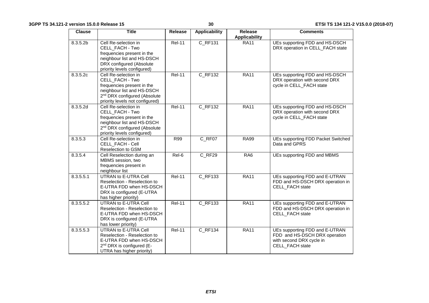| <b>Clause</b> | <b>Title</b>                                                                                                                                                                       | <b>Release</b> | <b>Applicability</b> | <b>Release</b><br><b>Applicability</b> | <b>Comments</b>                                                                                                |
|---------------|------------------------------------------------------------------------------------------------------------------------------------------------------------------------------------|----------------|----------------------|----------------------------------------|----------------------------------------------------------------------------------------------------------------|
| 8.3.5.2b      | Cell Re-selection in<br>CELL_FACH - Two<br>frequencies present in the<br>neighbour list and HS-DSCH<br>DRX configured (Absolute<br>priority levels configured)                     | <b>Rel-11</b>  | C_RF131              | <b>RA11</b>                            | UEs supporting FDD and HS-DSCH<br>DRX operation in CELL_FACH state                                             |
| 8.3.5.2c      | Cell Re-selection in<br>CELL FACH - Two<br>frequencies present in the<br>neighbour list and HS-DSCH<br>2 <sup>nd</sup> DRX configured (Absolute<br>priority levels not configured) | <b>Rel-11</b>  | C_RF132              | <b>RA11</b>                            | UEs supporting FDD and HS-DSCH<br>DRX operation with second DRX<br>cycle in CELL_FACH state                    |
| 8.3.5.2d      | Cell Re-selection in<br>CELL_FACH - Two<br>frequencies present in the<br>neighbour list and HS-DSCH<br>2 <sup>nd</sup> DRX configured (Absolute<br>priority levels configured)     | <b>Rel-11</b>  | C_RF132              | <b>RA11</b>                            | UEs supporting FDD and HS-DSCH<br>DRX operation with second DRX<br>cycle in CELL_FACH state                    |
| 8.3.5.3       | Cell Re-selection in<br>CELL_FACH - Cell<br>Reselection to GSM                                                                                                                     | R99            | C_RF07               | <b>RA99</b>                            | UEs supporting FDD Packet Switched<br>Data and GPRS                                                            |
| 8.3.5.4       | Cell Reselection during an<br>MBMS session, two<br>frequencies present in<br>neighbour list                                                                                        | Rel-6          | C_RF29               | RA <sub>6</sub>                        | UEs supporting FDD and MBMS                                                                                    |
| 8.3.5.5.1     | <b>UTRAN to E-UTRA Cell</b><br>Reselection - Reselection to<br>E-UTRA FDD when HS-DSCH<br>DRX is configured (E-UTRA<br>has higher priority)                                        | <b>Rel-11</b>  | C_RF133              | <b>RA11</b>                            | UEs supporting FDD and E-UTRAN<br>FDD and HS-DSCH DRX operation in<br>CELL_FACH state                          |
| 8.3.5.5.2     | UTRAN to E-UTRA Cell<br>Reselection - Reselection to<br>E-UTRA FDD when HS-DSCH<br>DRX is configured (E-UTRA<br>has lower priority)                                                | <b>Rel-11</b>  | C_RF133              | <b>RA11</b>                            | UEs supporting FDD and E-UTRAN<br>FDD and HS-DSCH DRX operation in<br>CELL_FACH state                          |
| 8.3.5.5.3     | UTRAN to E-UTRA Cell<br>Reselection - Reselection to<br>E-UTRA FDD when HS-DSCH<br>2 <sup>nd</sup> DRX is configured (E-<br>UTRA has higher priority)                              | <b>Rel-11</b>  | C_RF134              | <b>RA11</b>                            | UEs supporting FDD and E-UTRAN<br>FDD and HS-DSCH DRX operation<br>with second DRX cycle in<br>CELL_FACH state |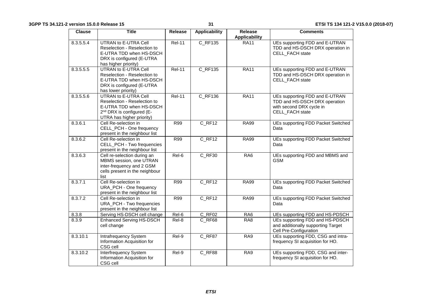| <b>Clause</b> | <b>Title</b>                                                                                                                                          | <b>Release</b>     | <b>Applicability</b> | Release              | <b>Comments</b>                                                                                                |
|---------------|-------------------------------------------------------------------------------------------------------------------------------------------------------|--------------------|----------------------|----------------------|----------------------------------------------------------------------------------------------------------------|
|               |                                                                                                                                                       |                    |                      | <b>Applicability</b> |                                                                                                                |
| 8.3.5.5.4     | UTRAN to E-UTRA Cell<br>Reselection - Reselection to<br>E-UTRA TDD when HS-DSCH<br>DRX is configured (E-UTRA<br>has higher priority)                  | <b>Rel-11</b>      | C_RF135              | <b>RA11</b>          | UEs supporting FDD and E-UTRAN<br>TDD and HS-DSCH DRX operation in<br>CELL_FACH state                          |
| 8.3.5.5.5     | UTRAN to E-UTRA Cell<br>Reselection - Reselection to<br>E-UTRA TDD when HS-DSCH<br>DRX is configured (E-UTRA<br>has lower priority)                   | <b>Rel-11</b>      | C_RF135              | <b>RA11</b>          | UEs supporting FDD and E-UTRAN<br>TDD and HS-DSCH DRX operation in<br>CELL_FACH state                          |
| 8.3.5.5.6     | UTRAN to E-UTRA Cell<br>Reselection - Reselection to<br>E-UTRA TDD when HS-DSCH<br>2 <sup>nd</sup> DRX is configured (E-<br>UTRA has higher priority) | <b>Rel-11</b>      | C_RF136              | <b>RA11</b>          | UEs supporting FDD and E-UTRAN<br>TDD and HS-DSCH DRX operation<br>with second DRX cycle in<br>CELL_FACH state |
| 8.3.6.1       | Cell Re-selection in<br>CELL_PCH - One frequency<br>present in the neighbour list                                                                     | R99                | C_RF12               | <b>RA99</b>          | UEs supporting FDD Packet Switched<br>Data                                                                     |
| 8.3.6.2       | Cell Re-selection in<br>CELL_PCH - Two frequencies<br>present in the neighbour list                                                                   | R99                | C_RF12               | <b>RA99</b>          | UEs supporting FDD Packet Switched<br>Data                                                                     |
| 8.3.6.3       | Cell re-selection during an<br>MBMS session, one UTRAN<br>inter-frequency and 2 GSM<br>cells present in the neighbour<br>list                         | $Rel-6$            | C_RF30               | $R\overline{A6}$     | UEs supporting FDD and MBMS and<br><b>GSM</b>                                                                  |
| 8.3.7.1       | Cell Re-selection in<br>URA_PCH - One frequency<br>present in the neighbour list                                                                      | R99                | C_RF12               | <b>RA99</b>          | <b>UEs supporting FDD Packet Switched</b><br>Data                                                              |
| 8.3.7.2       | Cell Re-selection in<br>URA_PCH - Two frequencies<br>present in the neighbour list                                                                    | R99                | C_RF12               | <b>RA99</b>          | UEs supporting FDD Packet Switched<br>Data                                                                     |
| 8.3.8         | Serving HS-DSCH cell change                                                                                                                           | $\overline{Rel-6}$ | C_RF02               | RA <sub>6</sub>      | UEs supporting FDD and HS-PDSCH                                                                                |
| 8.3.9         | Enhanced Serving HS-DSCH<br>cell change                                                                                                               | Rel-8              | C_RF68               | RA <sub>8</sub>      | UEs supporting FDD and HS-PDSCH<br>and additionally supporting Target<br>Cell Pre-Configuration                |
| 8.3.10.1      | <b>Intrafrequency System</b><br>Information Acquisition for<br>CSG cell                                                                               | Rel-9              | C_RF87               | RA9                  | UEs supporting FDD, CSG and intra-<br>frequency SI acquisition for HO.                                         |
| 8.3.10.2      | Interfrequency System<br>Information Acquisition for<br>CSG cell                                                                                      | Rel-9              | C_RF88               | $R\overline{A9}$     | UEs supporting FDD, CSG and inter-<br>frequency SI acquisition for HO.                                         |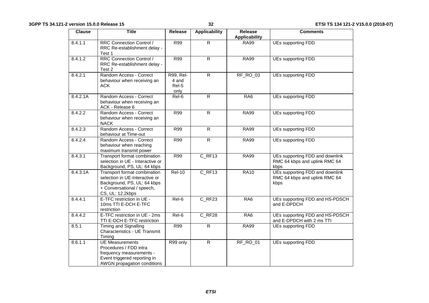| <b>Clause</b> | <b>Title</b>                                                                                                                                    | <b>Release</b>                             | <b>Applicability</b> | <b>Release</b><br><b>Applicability</b> | <b>Comments</b>                                                          |
|---------------|-------------------------------------------------------------------------------------------------------------------------------------------------|--------------------------------------------|----------------------|----------------------------------------|--------------------------------------------------------------------------|
| 8.4.1.1       | RRC Connection Control /<br>RRC Re-establishment delay -<br>Test 1                                                                              | R99                                        | $\mathsf{R}$         | <b>RA99</b>                            | UEs supporting FDD                                                       |
| 8.4.1.2       | RRC Connection Control /<br>RRC Re-establishment delay -<br>Test 2                                                                              | R99                                        | $\overline{R}$       | <b>RA99</b>                            | <b>UEs supporting FDD</b>                                                |
| 8.4.2.1       | Random Access - Correct<br>behaviour when receiving an<br><b>ACK</b>                                                                            | <b>R99, Rel-</b><br>4 and<br>Rel-5<br>only | $\overline{R}$       | RF_RO_03                               | UEs supporting FDD                                                       |
| 8.4.2.1A      | Random Access - Correct<br>behaviour when receiving an<br>ACK - Release 6                                                                       | Rel-6                                      | $\mathsf{R}$         | RA <sub>6</sub>                        | UEs supporting FDD                                                       |
| 8.4.2.2       | Random Access - Correct<br>behaviour when receiving an<br><b>NACK</b>                                                                           | R99                                        | $\mathsf{R}$         | <b>RA99</b>                            | UEs supporting FDD                                                       |
| 8.4.2.3       | Random Access - Correct<br>behaviour at Time-out                                                                                                | R99                                        | $\overline{R}$       | <b>RA99</b>                            | UEs supporting FDD                                                       |
| 8.4.2.4       | Random Access - Correct<br>behaviour when reaching<br>maximum transmit power                                                                    | R99                                        | $\overline{R}$       | <b>RA99</b>                            | <b>UEs supporting FDD</b>                                                |
| 8.4.3.1       | Transport format combination<br>selection in UE - Interactive or<br>Background, PS, UL: 64 kbps                                                 | R99                                        | C_RF13               | <b>RA99</b>                            | UEs supporting FDD and downlink<br>RMC 64 kbps and uplink RMC 64<br>kbps |
| 8.4.3.1A      | Transport format combination<br>selection in UE-Interactive or<br>Background, PS, UL: 64 kbps<br>+ Conversational / speech,<br>CS, UL: 12.2kbps | <b>Rel-10</b>                              | C_RF13               | <b>RA10</b>                            | UEs supporting FDD and downlink<br>RMC 64 kbps and uplink RMC 64<br>kbps |
| 8.4.4.1       | E-TFC restriction in UE -<br>10ms TTI E-DCH E-TFC<br>restriction                                                                                | Rel-6                                      | C_RF23               | RA <sub>6</sub>                        | UEs supporting FDD and HS-PDSCH<br>and E-DPDCH                           |
| 8.4.4.2       | E-TFC restriction in UE - 2ms<br>TTI E-DCH E-TFC restriction                                                                                    | Rel-6                                      | C_RF28               | RA <sub>6</sub>                        | UEs supporting FDD and HS-PDSCH<br>and E-DPDCH with 2 ms TTI             |
| 8.5.1         | Timing and Signalling<br>Characteristics - UE Transmit<br>Timing                                                                                | R99                                        | $\overline{R}$       | <b>RA99</b>                            | UEs supporting FDD                                                       |
| 8.6.1.1       | <b>UE Measurements</b><br>Procedures / FDD intra<br>frequency measurements -<br>Event triggered reporting in<br>AWGN propagation conditions     | R99 only                                   | $\overline{R}$       | RF_RO_01                               | <b>UEs supporting FDD</b>                                                |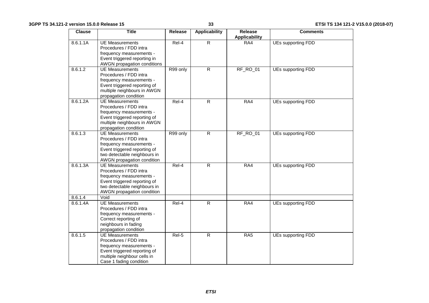| <b>Clause</b> | <b>Title</b>                                                                                                                                                                                        | <b>Release</b> | <b>Applicability</b> | <b>Release</b><br><b>Applicability</b> | <b>Comments</b>    |
|---------------|-----------------------------------------------------------------------------------------------------------------------------------------------------------------------------------------------------|----------------|----------------------|----------------------------------------|--------------------|
| 8.6.1.1A      | <b>UE Measurements</b><br>Procedures / FDD intra<br>frequency measurements -<br>Event triggered reporting in                                                                                        | Rel-4          | $\overline{R}$       | RA4                                    | UEs supporting FDD |
| 8.6.1.2       | AWGN propagation conditions<br><b>UE Measurements</b><br>Procedures / FDD intra<br>frequency measurements -<br>Event triggered reporting of<br>multiple neighbours in AWGN<br>propagation condition | R99 only       | $\mathsf{R}$         | RF_RO_01                               | UEs supporting FDD |
| 8.6.1.2A      | <b>UE Measurements</b><br>Procedures / FDD intra<br>frequency measurements -<br>Event triggered reporting of<br>multiple neighbours in AWGN<br>propagation condition                                | Rel-4          | $\mathsf{R}$         | RA4                                    | UEs supporting FDD |
| 8.6.1.3       | <b>UE Measurements</b><br>Procedures / FDD intra<br>frequency measurements -<br>Event triggered reporting of<br>two detectable neighbours in<br>AWGN propagation condition                          | R99 only       | $\overline{R}$       | RF_RO_01                               | UEs supporting FDD |
| 8.6.1.3A      | <b>UE Measurements</b><br>Procedures / FDD intra<br>frequency measurements -<br>Event triggered reporting of<br>two detectable neighbours in<br>AWGN propagation condition                          | Rel-4          | $\mathsf{R}$         | RA4                                    | UEs supporting FDD |
| 8.6.1.4       | Void                                                                                                                                                                                                |                |                      |                                        |                    |
| 8.6.1.4A      | <b>UE Measurements</b><br>Procedures / FDD intra<br>frequency measurements -<br>Correct reporting of<br>neighbours in fading<br>propagation condition                                               | Rel-4          | $\mathsf{R}$         | RA4                                    | UEs supporting FDD |
| 8.6.1.5       | <b>UE Measurements</b><br>Procedures / FDD intra<br>frequency measurements -<br>Event triggered reporting of<br>multiple neighbour cells in<br>Case 1 fading condition                              | Rel-5          | $\overline{R}$       | RA <sub>5</sub>                        | UEs supporting FDD |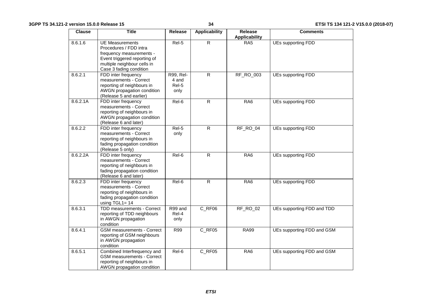| <b>Clause</b> | <b>Title</b>                                                                                                                                                           | Release                             | <b>Applicability</b> | <b>Release</b><br><b>Applicability</b> | <b>Comments</b>            |
|---------------|------------------------------------------------------------------------------------------------------------------------------------------------------------------------|-------------------------------------|----------------------|----------------------------------------|----------------------------|
| 8.6.1.6       | <b>UE Measurements</b><br>Procedures / FDD intra<br>frequency measurements -<br>Event triggered reporting of<br>multiple neighbour cells in<br>Case 3 fading condition | Rel-5                               | $\mathsf{R}$         | RA <sub>5</sub>                        | UEs supporting FDD         |
| 8.6.2.1       | FDD inter frequency<br>measurements - Correct<br>reporting of neighbours in<br>AWGN propagation condition<br>(Release 5 and earlier)                                   | R99, Rel-<br>4 and<br>Rel-5<br>only | $\overline{R}$       | RF_RO_003                              | UEs supporting FDD         |
| 8.6.2.1A      | FDD inter frequency<br>measurements - Correct<br>reporting of neighbours in<br>AWGN propagation condition<br>(Release 6 and later)                                     | Rel-6                               | $\mathsf{R}$         | RA <sub>6</sub>                        | UEs supporting FDD         |
| 8.6.2.2       | FDD inter frequency<br>measurements - Correct<br>reporting of neighbours in<br>fading propagation condition<br>(Release 5 only)                                        | $Rel-5$<br>only                     | $\overline{R}$       | RF_RO_04                               | UEs supporting FDD         |
| 8.6.2.2A      | FDD inter frequency<br>measurements - Correct<br>reporting of neighbours in<br>fading propagation condition<br>(Release 6 and later)                                   | Rel-6                               | $\mathsf{R}$         | RA <sub>6</sub>                        | UEs supporting FDD         |
| 8.6.2.3       | FDD inter frequency<br>measurements - Correct<br>reporting of neighbours in<br>fading propagation condition<br>using $TGL1 = 14$                                       | $Rel-6$                             | $\overline{R}$       | RA <sub>6</sub>                        | <b>UEs supporting FDD</b>  |
| 8.6.3.1       | TDD measurements - Correct<br>reporting of TDD neighbours<br>in AWGN propagation<br>condition                                                                          | R99 and<br>Rel-4<br>only            | C_RF06               | RF_RO_02                               | UEs supporting FDD and TDD |
| 8.6.4.1       | <b>GSM</b> measurements - Correct<br>reporting of GSM neighbours<br>in AWGN propagation<br>condition                                                                   | R99                                 | C_RF05               | <b>RA99</b>                            | UEs supporting FDD and GSM |
| 8.6.5.1       | Combined Interfrequency and<br><b>GSM</b> measurements - Correct<br>reporting of neighbours in<br>AWGN propagation condition                                           | Rel-6                               | C_RF05               | RA <sub>6</sub>                        | UEs supporting FDD and GSM |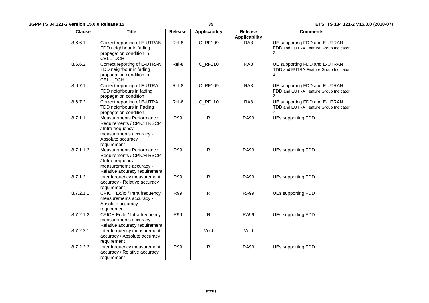| <b>Clause</b> | <b>Title</b>                                                                                                                              | <b>Release</b> | <b>Applicability</b> | <b>Release</b><br><b>Applicability</b> | <b>Comments</b>                                                             |
|---------------|-------------------------------------------------------------------------------------------------------------------------------------------|----------------|----------------------|----------------------------------------|-----------------------------------------------------------------------------|
| 8.6.6.1       | Correct reporting of E-UTRAN<br>FDD neighbour in fading<br>propagation condition in<br>CELL DCH                                           | Rel-8          | C_RF109              | RA <sub>8</sub>                        | UE supporting FDD and E-UTRAN<br>FDD and EUTRA Feature Group Indicator<br>2 |
| 8.6.6.2       | Correct reporting of E-UTRAN<br>TDD neighbour in fading<br>propagation condition in<br>CELL_DCH                                           | Rel-8          | C_RF110              | RA <sub>8</sub>                        | UE supporting FDD and E-UTRAN<br>TDD and EUTRA Feature Group Indicator<br>2 |
| 8.6.7.1       | Correct reporting of E-UTRA<br>FDD neighbours in fading<br>propagation condition                                                          | Rel-8          | C_RF109              | RA <sub>8</sub>                        | UE supporting FDD and E-UTRAN<br>FDD and EUTRA Feature Group Indicator<br>2 |
| 8.6.7.2       | Correct reporting of E-UTRA<br>TDD neighbours in Fading<br>propagation condition                                                          | Rel-8          | C_RF110              | RA <sub>8</sub>                        | UE supporting FDD and E-UTRAN<br>TDD and EUTRA Feature Group Indicator<br>2 |
| 8.7.1.1.1     | Measurements Performance<br>Requirements / CPICH RSCP<br>/ Intra frequency<br>measurements accuracy -<br>Absolute accuracy<br>requirement | R99            | $\overline{R}$       | <b>RA99</b>                            | UEs supporting FDD                                                          |
| 8.7.1.1.2     | Measurements Performance<br>Requirements / CPICH RSCP<br>/ Intra frequency<br>measurements accuracy -<br>Relative accuracy requirement    | R99            | ${\sf R}$            | <b>RA99</b>                            | UEs supporting FDD                                                          |
| 8.7.1.2.1     | Inter frequency measurement<br>accuracy - Relative accuracy<br>requirement                                                                | R99            | $\mathsf{R}$         | <b>RA99</b>                            | UEs supporting FDD                                                          |
| 8.7.2.1.1     | CPICH Ec/lo / Intra frequency<br>measurements accuracy -<br>Absolute accuracy<br>requirement                                              | R99            | $\mathsf{R}$         | <b>RA99</b>                            | <b>UEs supporting FDD</b>                                                   |
| 8.7.2.1.2     | CPICH Ec/lo / Intra frequency<br>measurements accuracy -<br>Relative accuracy requirement                                                 | R99            | $\overline{R}$       | <b>RA99</b>                            | UEs supporting FDD                                                          |
| 8.7.2.2.1     | Inter frequency measurement<br>accuracy / Absolute accuracy<br>requirement                                                                |                | Void                 | Void                                   |                                                                             |
| 8.7.2.2.2     | Inter frequency measurement<br>accuracy / Relative accuracy<br>requirement                                                                | R99            | $\mathsf{R}$         | <b>RA99</b>                            | UEs supporting FDD                                                          |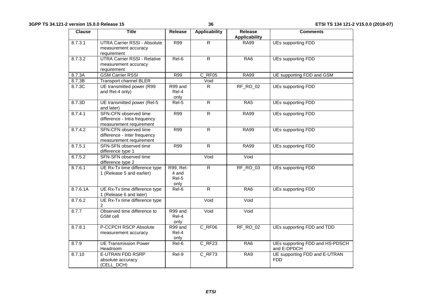| <b>Clause</b> | <b>Title</b>                                                                     | Release                             | <b>Applicability</b> | Release<br><b>Applicability</b> | <b>Comments</b>                                |
|---------------|----------------------------------------------------------------------------------|-------------------------------------|----------------------|---------------------------------|------------------------------------------------|
| 8.7.3.1       | <b>UTRA Carrier RSSI - Absolute</b><br>measurement accuracy<br>requirement       | R99                                 | $\mathsf{R}$         | <b>RA99</b>                     | UEs supporting FDD                             |
| 8.7.3.2       | <b>UTRA Carrier RSSI - Relative</b><br>measurement accuracy<br>requirement       | Rel-6                               | $\overline{R}$       | RA <sub>6</sub>                 | UEs supporting FDD                             |
| 8.7.3A        | <b>GSM Carrier RSSI</b>                                                          | R99                                 | C RF05               | <b>RA99</b>                     | UE supporting FDD and GSM                      |
| 8.7.3B        | Transport channel BLER                                                           |                                     | Void                 |                                 |                                                |
| 8.7.3C        | UE transmitted power (R99<br>and Rel-4 only)                                     | R99 and<br>Rel-4<br>only            | R                    | <b>RF_RO_02</b>                 | UEs supporting FDD                             |
| 8.7.3D        | UE transmitted power (Rel-5<br>and later)                                        | Rel-5                               | $\overline{R}$       | RA <sub>5</sub>                 | UEs supporting FDD                             |
| 8.7.4.1       | SFN-CFN observed time<br>difference - Intra frequency<br>measurement requirement | R99                                 | $\overline{R}$       | <b>RA99</b>                     | UEs supporting FDD                             |
| 8.7.4.2       | SFN-CFN observed time<br>difference - Inter frequency<br>measurement requirement | R99                                 | $\overline{R}$       | <b>RA99</b>                     | UEs supporting FDD                             |
| 8.7.5.1       | SFN-SFN observed time<br>difference type 1                                       | R99                                 | $\overline{R}$       | <b>RA99</b>                     | <b>UEs supporting FDD</b>                      |
| 8.7.5.2       | SFN-SFN observed time<br>difference type 2                                       |                                     | Void                 | $\overline{\text{void}}$        |                                                |
| 8.7.6.1       | UE Rx-Tx time difference type<br>1 (Release 5 and earlier)                       | R99, Rel-<br>4 and<br>Rel-5<br>only | $\overline{R}$       | RF_RO_03                        | UEs supporting FDD                             |
| 8.7.6.1A      | UE Rx-Tx time difference type<br>1 (Release 6 and later)                         | Rel-6                               | $\overline{R}$       | RA <sub>6</sub>                 | UEs supporting FDD                             |
| 8.7.6.2       | UE Rx-Tx time difference type<br>2                                               |                                     | Void                 | Void                            |                                                |
| 8.7.7         | Observed time difference to<br><b>GSM</b> cell                                   | R99 and<br>Rel-4<br>only            | Void                 | Void                            |                                                |
| 8.7.8.1       | P-CCPCH RSCP Absolute<br>measurement accuracy                                    | R99 and<br>Rel-4<br>only            | C_RF06               | RF_RO_02                        | UEs supporting FDD and TDD                     |
| 8.7.9         | <b>UE Transmission Power</b><br>Headroom                                         | Rel-6                               | C_RF23               | RA <sub>6</sub>                 | UEs supporting FDD and HS-PDSCH<br>and E-DPDCH |
| 8.7.10        | E-UTRAN FDD RSRP<br>absolute accuracy<br>(CELL_DCH)                              | Rel-9                               | C_RF73               | RA9                             | UE supporting FDD and E-UTRAN<br><b>FDD</b>    |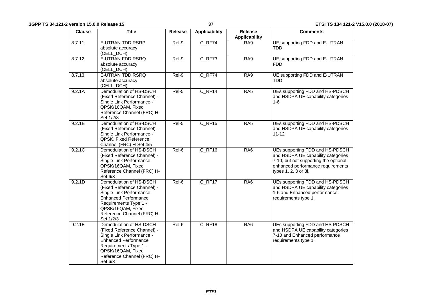| <b>Clause</b> | Title                                                                                                                                                                                                       | <b>Release</b>      | <b>Applicability</b> | <b>Release</b><br><b>Applicability</b> | <b>Comments</b>                                                                                                                                                             |
|---------------|-------------------------------------------------------------------------------------------------------------------------------------------------------------------------------------------------------------|---------------------|----------------------|----------------------------------------|-----------------------------------------------------------------------------------------------------------------------------------------------------------------------------|
| 8.7.11        | E-UTRAN TDD RSRP<br>absolute accuracy<br>(CELL_DCH)                                                                                                                                                         | Rel-9               | C_RF74               | RA9                                    | UE supporting FDD and E-UTRAN<br><b>TDD</b>                                                                                                                                 |
| 8.7.12        | <b>E-UTRAN FDD RSRQ</b><br>absolute accuracy<br>(CELL_DCH)                                                                                                                                                  | Rel-9               | C_RF73               | RA9                                    | UE supporting FDD and E-UTRAN<br><b>FDD</b>                                                                                                                                 |
| 8.7.13        | E-UTRAN TDD RSRQ<br>absolute accuracy<br>(CELL_DCH)                                                                                                                                                         | $\overline{Rel}$ -9 | C_RF74               | R <sub>A9</sub>                        | UE supporting FDD and E-UTRAN<br><b>TDD</b>                                                                                                                                 |
| 9.2.1A        | Demodulation of HS-DSCH<br>(Fixed Reference Channel) -<br>Single Link Performance -<br>QPSK/16QAM, Fixed<br>Reference Channel (FRC) H-<br>Set 1/2/3                                                         | $Rel-5$             | C_RF14               | RA <sub>5</sub>                        | UEs supporting FDD and HS-PDSCH<br>and HSDPA UE capability categories<br>$1 - 6$                                                                                            |
| 9.2.1B        | Demodulation of HS-DSCH<br>(Fixed Reference Channel) -<br>Single Link Performance -<br>QPSK, Fixed Reference<br>Channel (FRC) H-Set 4/5                                                                     | Rel-5               | C_RF15               | RA5                                    | UEs supporting FDD and HS-PDSCH<br>and HSDPA UE capability categories<br>$11 - 12$                                                                                          |
| 9.2.1C        | Demodulation of HS-DSCH<br>(Fixed Reference Channel) -<br>Single Link Performance -<br>QPSK/16QAM, Fixed<br>Reference Channel (FRC) H-<br>Set 6/3                                                           | Rel-6               | C_RF16               | RA <sub>6</sub>                        | UEs supporting FDD and HS-PDSCH<br>and HSDPA UE capability categories<br>7-10, but not supporting the optional<br>enhanced performance requirements<br>types 1, 2, 3 or 3i. |
| 9.2.1D        | Demodulation of HS-DSCH<br>(Fixed Reference Channel) -<br>Single Link Performance -<br><b>Enhanced Performance</b><br>Requirements Type 1 -<br>QPSK/16QAM, Fixed<br>Reference Channel (FRC) H-<br>Set 1/2/3 | $\overline{Rel6}$   | C_RF17               | RA <sub>6</sub>                        | UEs supporting FDD and HS-PDSCH<br>and HSDPA UE capability categories<br>1-6 and Enhanced performance<br>requirements type 1.                                               |
| 9.2.1E        | Demodulation of HS-DSCH<br>(Fixed Reference Channel) -<br>Single Link Performance -<br><b>Enhanced Performance</b><br>Requirements Type 1 -<br>QPSK/16QAM, Fixed<br>Reference Channel (FRC) H-<br>Set 6/3   | Rel-6               | C_RF18               | RA <sub>6</sub>                        | UEs supporting FDD and HS-PDSCH<br>and HSDPA UE capability categories<br>7-10 and Enhanced performance<br>requirements type 1.                                              |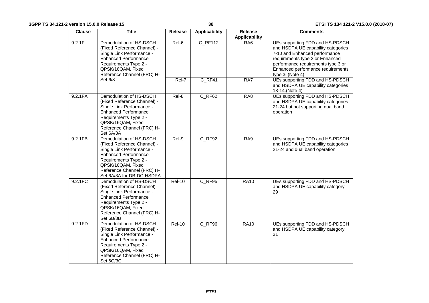| <b>Clause</b> | <b>Title</b>                                                                                                                                                                                                                | <b>Release</b> | <b>Applicability</b> | <b>Release</b><br><b>Applicability</b> | <b>Comments</b>                                                                                                                                                                                                                          |
|---------------|-----------------------------------------------------------------------------------------------------------------------------------------------------------------------------------------------------------------------------|----------------|----------------------|----------------------------------------|------------------------------------------------------------------------------------------------------------------------------------------------------------------------------------------------------------------------------------------|
| 9.2.1F        | Demodulation of HS-DSCH<br>(Fixed Reference Channel) -<br>Single Link Performance -<br><b>Enhanced Performance</b><br>Requirements Type 2 -<br>QPSK/16QAM, Fixed<br>Reference Channel (FRC) H-                              | Rel-6          | C_RF112              | RA <sub>6</sub>                        | UEs supporting FDD and HS-PDSCH<br>and HSDPA UE capability categories<br>7-10 and Enhanced performance<br>requirements type 2 or Enhanced<br>performance requirements type 3 or<br>Enhanced performance requirements<br>type 3i (Note 4) |
|               | Set 6/3                                                                                                                                                                                                                     | Rel-7          | C_RF41               | RA7                                    | UEs supporting FDD and HS-PDSCH<br>and HSDPA UE capability categories<br>13-14.(Note 4)                                                                                                                                                  |
| 9.2.1FA       | Demodulation of HS-DSCH<br>(Fixed Reference Channel) -<br>Single Link Performance -<br><b>Enhanced Performance</b><br>Requirements Type 2 -<br>QPSK/16QAM, Fixed<br>Reference Channel (FRC) H-<br>Set 6A/3A                 | Rel-8          | C_RF62               | RA <sub>8</sub>                        | UEs supporting FDD and HS-PDSCH<br>and HSDPA UE capability categories<br>21-24 but not supporting dual band<br>operation                                                                                                                 |
| 9.2.1FB       | Demodulation of HS-DSCH<br>(Fixed Reference Channel) -<br>Single Link Performance -<br><b>Enhanced Performance</b><br>Requirements Type 2 -<br>QPSK/16QAM, Fixed<br>Reference Channel (FRC) H-<br>Set 6A/3A for DB-DC-HSDPA | Rel-9          | C_RF92               | RA9                                    | UEs supporting FDD and HS-PDSCH<br>and HSDPA UE capability categories<br>21-24 and dual band operation                                                                                                                                   |
| 9.2.1FC       | Demodulation of HS-DSCH<br>(Fixed Reference Channel) -<br>Single Link Performance -<br><b>Enhanced Performance</b><br>Requirements Type 2 -<br>QPSK/16QAM, Fixed<br>Reference Channel (FRC) H-<br>Set 6B/3B                 | <b>Rel-10</b>  | C_RF95               | <b>RA10</b>                            | UEs supporting FDD and HS-PDSCH<br>and HSDPA UE capability category<br>29                                                                                                                                                                |
| 9.2.1FD       | Demodulation of HS-DSCH<br>(Fixed Reference Channel) -<br>Single Link Performance -<br><b>Enhanced Performance</b><br>Requirements Type 2 -<br>QPSK/16QAM, Fixed<br>Reference Channel (FRC) H-<br>Set 6C/3C                 | <b>Rel-10</b>  | C_RF96               | <b>RA10</b>                            | UEs supporting FDD and HS-PDSCH<br>and HSDPA UE capability category<br>31                                                                                                                                                                |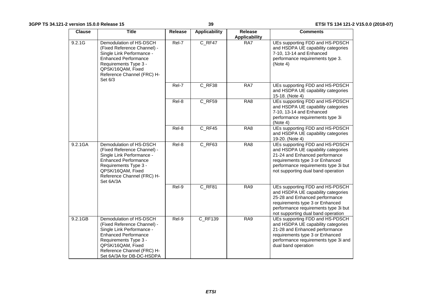| <b>Clause</b> | <b>Title</b>                                                                                                                                                                                                                | Release | <b>Applicability</b> | <b>Release</b><br><b>Applicability</b> | <b>Comments</b>                                                                                                                                                                                                          |
|---------------|-----------------------------------------------------------------------------------------------------------------------------------------------------------------------------------------------------------------------------|---------|----------------------|----------------------------------------|--------------------------------------------------------------------------------------------------------------------------------------------------------------------------------------------------------------------------|
| 9.2.1G        | Demodulation of HS-DSCH<br>(Fixed Reference Channel) -<br>Single Link Performance -<br><b>Enhanced Performance</b><br>Requirements Type 3 -<br>QPSK/16QAM, Fixed<br>Reference Channel (FRC) H-<br>Set 6/3                   | Rel-7   | C_RF47               | RA7                                    | UEs supporting FDD and HS-PDSCH<br>and HSDPA UE capability categories<br>7-10, 13-14 and Enhanced<br>performance requirements type 3.<br>(Note 4)                                                                        |
|               |                                                                                                                                                                                                                             | Rel-7   | C_RF38               | RA7                                    | UEs supporting FDD and HS-PDSCH<br>and HSDPA UE capability categories<br>15-18. (Note 4)                                                                                                                                 |
|               |                                                                                                                                                                                                                             | Rel-8   | C_RF59               | RA <sub>8</sub>                        | UEs supporting FDD and HS-PDSCH<br>and HSDPA UE capability categories<br>7-10, 13-14 and Enhanced<br>performance requirements type 3i<br>(Note 4)                                                                        |
|               |                                                                                                                                                                                                                             | Rel-8   | C_RF45               | RAB                                    | UEs supporting FDD and HS-PDSCH<br>and HSDPA UE capability categories<br>19-20. (Note 4)                                                                                                                                 |
| 9.2.1GA       | Demodulation of HS-DSCH<br>(Fixed Reference Channel) -<br>Single Link Performance -<br><b>Enhanced Performance</b><br>Requirements Type 3 -<br>QPSK/16QAM, Fixed<br>Reference Channel (FRC) H-<br>Set 6A/3A                 | Rel-8   | C_RF63               | RA <sub>8</sub>                        | UEs supporting FDD and HS-PDSCH<br>and HSDPA UE capability categories<br>21-24 and Enhanced performance<br>requirements type 3 or Enhanced<br>performance requirements type 3i but<br>not supporting dual band operation |
|               |                                                                                                                                                                                                                             | Rel-9   | C_RF81               | RA9                                    | UEs supporting FDD and HS-PDSCH<br>and HSDPA UE capability categories<br>25-28 and Enhanced performance<br>requirements type 3 or Enhanced<br>performance requirements type 3i but<br>not supporting dual band operation |
| 9.2.1GB       | Demodulation of HS-DSCH<br>(Fixed Reference Channel) -<br>Single Link Performance -<br><b>Enhanced Performance</b><br>Requirements Type 3 -<br>QPSK/16QAM, Fixed<br>Reference Channel (FRC) H-<br>Set 6A/3A for DB-DC-HSDPA | Rel-9   | C_RF139              | RA9                                    | UEs supporting FDD and HS-PDSCH<br>and HSDPA UE capability categories<br>21-28 and Enhanced performance<br>requirements type 3 or Enhanced<br>performance requirements type 3i and<br>dual band operation                |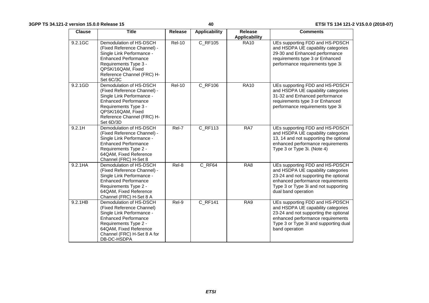| <b>Clause</b> | <b>Title</b>                                                                                                                                                                                                      | <b>Release</b> | <b>Applicability</b> | Release<br><b>Applicability</b> | <b>Comments</b>                                                                                                                                                                                                    |
|---------------|-------------------------------------------------------------------------------------------------------------------------------------------------------------------------------------------------------------------|----------------|----------------------|---------------------------------|--------------------------------------------------------------------------------------------------------------------------------------------------------------------------------------------------------------------|
| 9.2.1GC       | Demodulation of HS-DSCH<br>(Fixed Reference Channel) -<br>Single Link Performance -<br><b>Enhanced Performance</b><br>Requirements Type 3 -<br>QPSK/16QAM, Fixed<br>Reference Channel (FRC) H-<br>Set 6C/3C       | <b>Rel-10</b>  | C_RF105              | <b>RA10</b>                     | UEs supporting FDD and HS-PDSCH<br>and HSDPA UE capability categories<br>29-30 and Enhanced performance<br>requirements type 3 or Enhanced<br>performance requirements type 3i                                     |
| 9.2.1GD       | Demodulation of HS-DSCH<br>(Fixed Reference Channel) -<br>Single Link Performance -<br><b>Enhanced Performance</b><br>Requirements Type 3 -<br>QPSK/16QAM, Fixed<br>Reference Channel (FRC) H-<br>Set 6D/3D       | <b>Rel-10</b>  | C_RF106              | <b>RA10</b>                     | UEs supporting FDD and HS-PDSCH<br>and HSDPA UE capability categories<br>31-32 and Enhanced performance<br>requirements type 3 or Enhanced<br>performance requirements type 3i                                     |
| 9.2.1H        | Demodulation of HS-DSCH<br>(Fixed Reference Channel) -<br>Single Link Performance -<br><b>Enhanced Performance</b><br>Requirements Type 2 -<br>64QAM, Fixed Reference<br>Channel (FRC) H-Set 8                    | Rel-7          | C_RF113              | RA7                             | UEs supporting FDD and HS-PDSCH<br>and HSDPA UE capability categories<br>13, 14 and not supporting the optional<br>enhanced performance requirements<br>Type 3 or Type 3i. (Note 4)                                |
| 9.2.1HA       | Demodulation of HS-DSCH<br>(Fixed Reference Channel) -<br>Single Link Performance -<br><b>Enhanced Performance</b><br>Requirements Type 2 -<br>64QAM, Fixed Reference<br>Channel (FRC) H-Set 8 A                  | Rel-8          | C_RF64               | RA <sub>8</sub>                 | UEs supporting FDD and HS-PDSCH<br>and HSDPA UE capability categories<br>23-24 and not supporting the optional<br>enhanced performance requirements<br>Type 3 or Type 3i and not supporting<br>dual band operation |
| 9.2.1HB       | Demodulation of HS-DSCH<br>(Fixed Reference Channel)<br>Single Link Performance -<br><b>Enhanced Performance</b><br>Requirements Type 2 -<br>64QAM, Fixed Reference<br>Channel (FRC) H-Set 8 A for<br>DB-DC-HSDPA | Rel-9          | <b>C_RF141</b>       | RA <sub>9</sub>                 | UEs supporting FDD and HS-PDSCH<br>and HSDPA UE capability categories<br>23-24 and not supporting the optional<br>enhanced performance requirements<br>Type 3 or Type 3i and supporting dual<br>band operation     |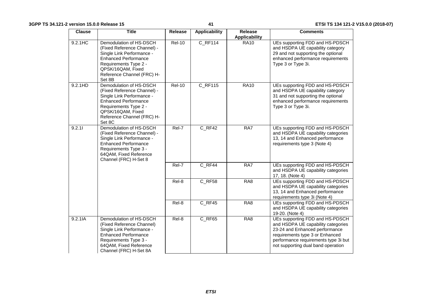| <b>Clause</b> | <b>Title</b>                                                                                                                                                                                             | <b>Release</b> | <b>Applicability</b> | <b>Release</b><br><b>Applicability</b> | <b>Comments</b>                                                                                                                                                                                                          |
|---------------|----------------------------------------------------------------------------------------------------------------------------------------------------------------------------------------------------------|----------------|----------------------|----------------------------------------|--------------------------------------------------------------------------------------------------------------------------------------------------------------------------------------------------------------------------|
| 9.2.1HC       | Demodulation of HS-DSCH<br>(Fixed Reference Channel) -<br>Single Link Performance -<br><b>Enhanced Performance</b><br>Requirements Type 2 -<br>QPSK/16QAM, Fixed<br>Reference Channel (FRC) H-<br>Set 8B | <b>Rel-10</b>  | <b>C_RF114</b>       | <b>RA10</b>                            | UEs supporting FDD and HS-PDSCH<br>and HSDPA UE capability category<br>29 and not supporting the optional<br>enhanced performance requirements<br>Type 3 or Type 3i.                                                     |
| 9.2.1HD       | Demodulation of HS-DSCH<br>(Fixed Reference Channel) -<br>Single Link Performance -<br><b>Enhanced Performance</b><br>Requirements Type 2 -<br>QPSK/16QAM, Fixed<br>Reference Channel (FRC) H-<br>Set 8C | <b>Rel-10</b>  | C_RF115              | <b>RA10</b>                            | UEs supporting FDD and HS-PDSCH<br>and HSDPA UE capability category<br>31 and not supporting the optional<br>enhanced performance requirements<br>Type 3 or Type 3i.                                                     |
| 9.2.11        | Demodulation of HS-DSCH<br>(Fixed Reference Channel) -<br>Single Link Performance -<br><b>Enhanced Performance</b><br>Requirements Type 3 -<br>64QAM, Fixed Reference<br>Channel (FRC) H-Set 8           | Rel-7          | C_RF42               | RA7                                    | UEs supporting FDD and HS-PDSCH<br>and HSDPA UE capability categories<br>13, 14 and Enhanced performance<br>requirements type 3 (Note 4)                                                                                 |
|               |                                                                                                                                                                                                          | Rel-7          | C_RF44               | RA7                                    | UEs supporting FDD and HS-PDSCH<br>and HSDPA UE capability categories<br>17, 18. (Note 4)                                                                                                                                |
|               |                                                                                                                                                                                                          | $Rel-8$        | C_RF58               | RA <sub>8</sub>                        | UEs supporting FDD and HS-PDSCH<br>and HSDPA UE capability categories<br>13, 14 and Enhanced performance<br>requirements type 3i (Note 4)                                                                                |
|               |                                                                                                                                                                                                          | Rel-8          | C_RF45               | RA <sub>8</sub>                        | UEs supporting FDD and HS-PDSCH<br>and HSDPA UE capability categories<br>19-20. (Note 4)                                                                                                                                 |
| 9.2.1IA       | Demodulation of HS-DSCH<br>(Fixed Reference Channel)<br>Single Link Performance -<br><b>Enhanced Performance</b><br>Requirements Type 3 -<br>64QAM, Fixed Reference<br>Channel (FRC) H-Set 8A            | Rel-8          | C_RF65               | RA <sub>8</sub>                        | UEs supporting FDD and HS-PDSCH<br>and HSDPA UE capability categories<br>23-24 and Enhanced performance<br>requirements type 3 or Enhanced<br>performance requirements type 3i but<br>not supporting dual band operation |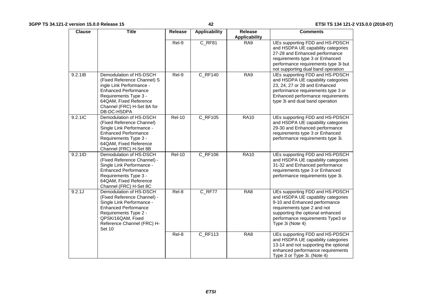| <b>Clause</b> | <b>Title</b>                                                                                                                                                                                                      | Release       | <b>Applicability</b> | <b>Release</b><br><b>Applicability</b> | <b>Comments</b>                                                                                                                                                                                                                    |
|---------------|-------------------------------------------------------------------------------------------------------------------------------------------------------------------------------------------------------------------|---------------|----------------------|----------------------------------------|------------------------------------------------------------------------------------------------------------------------------------------------------------------------------------------------------------------------------------|
|               |                                                                                                                                                                                                                   | Rel-9         | C_RF81               | RA9                                    | UEs supporting FDD and HS-PDSCH<br>and HSDPA UE capability categories<br>27-28 and Enhanced performance<br>requirements type 3 or Enhanced<br>performance requirements type 3i but<br>not supporting dual band operation           |
| 9.2.1IB       | Demodulation of HS-DSCH<br>(Fixed Reference Channel) S<br>ingle Link Performance -<br><b>Enhanced Performance</b><br>Requirements Type 3 -<br>64QAM, Fixed Reference<br>Channel (FRC) H-Set 8A for<br>DB-DC-HSDPA | Rel-9         | <b>C_RF140</b>       | RA <sub>9</sub>                        | UEs supporting FDD and HS-PDSCH<br>and HSDPA UE capability categories<br>23, 24, 27 or 28 and Enhanced<br>performance requirements type 3 or<br>Enhanced performance requirements<br>type 3i and dual band operation               |
| $9.2.1$ IC    | Demodulation of HS-DSCH<br>(Fixed Reference Channel)<br>Single Link Performance -<br><b>Enhanced Performance</b><br>Requirements Type 3 -<br>64QAM, Fixed Reference<br>Channel (FRC) H-Set 8B                     | $Rel-10$      | C_RF105              | <b>RA10</b>                            | UEs supporting FDD and HS-PDSCH<br>and HSDPA UE capability categories<br>29-30 and Enhanced performance<br>requirements type 3 or Enhanced<br>performance requirements type 3i.                                                    |
| 9.2.1ID       | Demodulation of HS-DSCH<br>(Fixed Reference Channel) -<br>Single Link Performance -<br><b>Enhanced Performance</b><br>Requirements Type 3 -<br>64QAM, Fixed Reference<br>Channel (FRC) H-Set 8C                   | <b>Rel-10</b> | C_RF106              | <b>RA10</b>                            | UEs supporting FDD and HS-PDSCH<br>and HSDPA UE capability categories<br>31-32 and Enhanced performance<br>requirements type 3 or Enhanced<br>performance requirements type 3i.                                                    |
| 9.2.1J        | Demodulation of HS-DSCH<br>(Fixed Reference Channel) -<br>Single Link Performance -<br><b>Enhanced Performance</b><br>Requirements Type 2 -<br>QPSK/16QAM, Fixed<br>Reference Channel (FRC) H-<br><b>Set 10</b>   | Rel-8         | C_RF77               | RA <sub>8</sub>                        | UEs supporting FDD and HS-PDSCH<br>and HSDPA UE capability categories<br>9-10 and Enhanced performance<br>requirements type 2 and not<br>supporting the optional enhanced<br>performance requirements Type3 or<br>Type 3i (Note 4) |
|               |                                                                                                                                                                                                                   | Rel-8         | C_RF113              | RA <sub>8</sub>                        | UEs supporting FDD and HS-PDSCH<br>and HSDPA UE capability categories<br>13-14 and not supporting the optional<br>enhanced performance requirements<br>Type 3 or Type 3i. (Note 4)                                                 |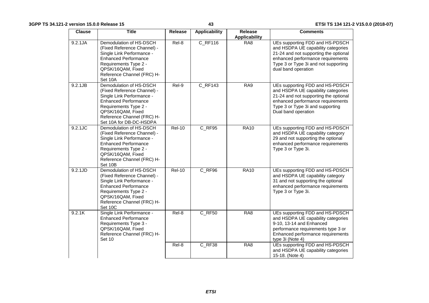| <b>Clause</b> | <b>Title</b>                                                                                                                                                                                                              | <b>Release</b> | <b>Applicability</b> | <b>Release</b><br><b>Applicability</b> | <b>Comments</b>                                                                                                                                                                                                    |
|---------------|---------------------------------------------------------------------------------------------------------------------------------------------------------------------------------------------------------------------------|----------------|----------------------|----------------------------------------|--------------------------------------------------------------------------------------------------------------------------------------------------------------------------------------------------------------------|
| 9.2.1JA       | Demodulation of HS-DSCH<br>(Fixed Reference Channel) -<br>Single Link Performance -<br><b>Enhanced Performance</b><br>Requirements Type 2 -<br>QPSK/16QAM, Fixed<br>Reference Channel (FRC) H-<br>Set 10A                 | Rel-8          | C_RF116              | RA <sub>8</sub>                        | UEs supporting FDD and HS-PDSCH<br>and HSDPA UE capability categories<br>21-24 and not supporting the optional<br>enhanced performance requirements<br>Type 3 or Type 3i and not supporting<br>dual band operation |
| 9.2.1JB       | Demodulation of HS-DSCH<br>(Fixed Reference Channel) -<br>Single Link Performance -<br><b>Enhanced Performance</b><br>Requirements Type 2 -<br>QPSK/16QAM, Fixed<br>Reference Channel (FRC) H-<br>Set 10A for DB-DC-HSDPA | Rel-9          | C_RF143              | RA9                                    | UEs supporting FDD and HS-PDSCH<br>and HSDPA UE capability categories<br>21-24 and not supporting the optional<br>enhanced performance requirements<br>Type 3 or Type 3i and supporting<br>Dual band operation     |
| $9.2.1$ JC    | Demodulation of HS-DSCH<br>(Fixed Reference Channel) -<br>Single Link Performance -<br><b>Enhanced Performance</b><br>Requirements Type 2 -<br>QPSK/16QAM, Fixed<br>Reference Channel (FRC) H-<br>Set 10B                 | $Rel-10$       | C_RF95               | <b>RA10</b>                            | UEs supporting FDD and HS-PDSCH<br>and HSDPA UE capability category<br>29 and not supporting the optional<br>enhanced performance requirements<br>Type 3 or Type 3i.                                               |
| 9.2.1JD       | Demodulation of HS-DSCH<br>(Fixed Reference Channel) -<br>Single Link Performance -<br><b>Enhanced Performance</b><br>Requirements Type 2 -<br>QPSK/16QAM, Fixed<br>Reference Channel (FRC) H-<br>Set 10C                 | $Rel-10$       | C_RF96               | <b>RA10</b>                            | UEs supporting FDD and HS-PDSCH<br>and HSDPA UE capability category<br>31 and not supporting the optional<br>enhanced performance requirements<br>Type 3 or Type 3i.                                               |
| 9.2.1K        | Single Link Performance -<br><b>Enhanced Performance</b><br>Requirements Type 3 -<br>QPSK/16QAM, Fixed<br>Reference Channel (FRC) H-<br>Set 10                                                                            | Rel-8          | C_RF50               | RA <sub>8</sub>                        | UEs supporting FDD and HS-PDSCH<br>and HSDPA UE capability categories<br>9-10, 13-14 and Enhanced<br>performance requirements type 3 or<br>Enhanced performance requirements<br>type 3i (Note 4)                   |
|               |                                                                                                                                                                                                                           | Rel-8          | C_RF38               | RA <sub>8</sub>                        | UEs supporting FDD and HS-PDSCH<br>and HSDPA UE capability categories<br>15-18. (Note 4)                                                                                                                           |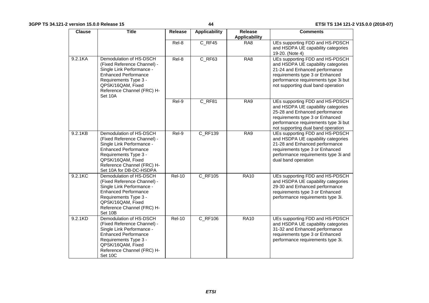| <b>Clause</b> | <b>Title</b>                                                                                                                                                                                                              | <b>Release</b> | <b>Applicability</b> | <b>Release</b><br><b>Applicability</b> | <b>Comments</b>                                                                                                                                                                                                          |
|---------------|---------------------------------------------------------------------------------------------------------------------------------------------------------------------------------------------------------------------------|----------------|----------------------|----------------------------------------|--------------------------------------------------------------------------------------------------------------------------------------------------------------------------------------------------------------------------|
|               |                                                                                                                                                                                                                           | Rel-8          | C_RF45               | RA <sub>8</sub>                        | UEs supporting FDD and HS-PDSCH<br>and HSDPA UE capability categories<br>19-20. (Note 4)                                                                                                                                 |
| 9.2.1KA       | Demodulation of HS-DSCH<br>(Fixed Reference Channel) -<br>Single Link Performance -<br><b>Enhanced Performance</b><br>Requirements Type 3 -<br>QPSK/16QAM, Fixed<br>Reference Channel (FRC) H-<br>Set 10A                 | Rel-8          | C_RF63               | RAB                                    | UEs supporting FDD and HS-PDSCH<br>and HSDPA UE capability categories<br>21-24 and Enhanced performance<br>requirements type 3 or Enhanced<br>performance requirements type 3i but<br>not supporting dual band operation |
|               |                                                                                                                                                                                                                           | Rel-9          | C_RF81               | RA9                                    | UEs supporting FDD and HS-PDSCH<br>and HSDPA UE capability categories<br>25-28 and Enhanced performance<br>requirements type 3 or Enhanced<br>performance requirements type 3i but<br>not supporting dual band operation |
| 9.2.1KB       | Demodulation of HS-DSCH<br>(Fixed Reference Channel) -<br>Single Link Performance -<br><b>Enhanced Performance</b><br>Requirements Type 3 -<br>QPSK/16QAM, Fixed<br>Reference Channel (FRC) H-<br>Set 10A for DB-DC-HSDPA | Rel-9          | C_RF139              | $R\overline{A9}$                       | UEs supporting FDD and HS-PDSCH<br>and HSDPA UE capability categories<br>21-28 and Enhanced performance<br>requirements type 3 or Enhanced<br>performance requirements type 3i and<br>dual band operation                |
| 9.2.1KC       | Demodulation of HS-DSCH<br>(Fixed Reference Channel) -<br>Single Link Performance -<br><b>Enhanced Performance</b><br>Requirements Type 3 -<br>QPSK/16QAM, Fixed<br>Reference Channel (FRC) H-<br>Set 10B                 | <b>Rel-10</b>  | C_RF105              | <b>RA10</b>                            | UEs supporting FDD and HS-PDSCH<br>and HSDPA UE capability categories<br>29-30 and Enhanced performance<br>requirements type 3 or Enhanced<br>performance requirements type 3i.                                          |
| 9.2.1KD       | Demodulation of HS-DSCH<br>(Fixed Reference Channel) -<br>Single Link Performance -<br>Enhanced Performance<br>Requirements Type 3 -<br>QPSK/16QAM, Fixed<br>Reference Channel (FRC) H-<br>Set 10C                        | <b>Rel-10</b>  | C_RF106              | <b>RA10</b>                            | UEs supporting FDD and HS-PDSCH<br>and HSDPA UE capability categories<br>31-32 and Enhanced performance<br>requirements type 3 or Enhanced<br>performance requirements type 3i.                                          |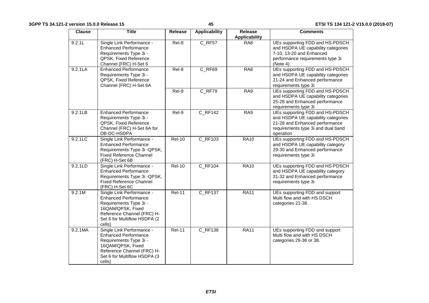| <b>Clause</b> | <b>Title</b>                                                                                                                                                                    | Release       | <b>Applicability</b> | Release<br><b>Applicability</b> | <b>Comments</b>                                                                                                                                            |
|---------------|---------------------------------------------------------------------------------------------------------------------------------------------------------------------------------|---------------|----------------------|---------------------------------|------------------------------------------------------------------------------------------------------------------------------------------------------------|
| 9.2.1L        | Single Link Performance -<br><b>Enhanced Performance</b><br>Requirements Type 3i -<br>QPSK, Fixed Reference<br>Channel (FRC) H-Set 6                                            | Rel-8         | C_RF57               | RA <sub>8</sub>                 | UEs supporting FDD and HS-PDSCH<br>and HSDPA UE capability categories<br>7-10, 13-20 and Enhanced<br>performance requirements type 3i<br>(Note 4)          |
| 9.2.1LA       | <b>Enhanced Performance</b><br>Requirements Type 3i -<br>QPSK, Fixed Reference<br>Channel (FRC) H-Set 6A                                                                        | Rel-8         | C_RF69               | RA <sub>8</sub>                 | UEs supporting FDD and HS-PDSCH<br>and HSDPA UE capability categories<br>21-24 and Enhanced performance<br>requirements type 3i                            |
|               |                                                                                                                                                                                 | Rel-9         | C_RF79               | R <sub>A9</sub>                 | UEs supporting FDD and HS-PDSCH<br>and HSDPA UE capability categories<br>25-28 and Enhanced performance<br>requirements type 3i                            |
| 9.2.1LB       | <b>Enhanced Performance</b><br>Requirements Type 3i -<br>QPSK, Fixed Reference<br>Channel (FRC) H-Set 6A for<br>DB-DC-HSDPA                                                     | Rel-9         | C_RF142              | RA9                             | UEs supporting FDD and HS-PDSCH<br>and HSDPA UE capability categories<br>21-28 and Enhanced performance<br>requirements type 3i and dual band<br>operation |
| 9.2.1LC       | Single Link Performance -<br><b>Enhanced Performance</b><br>Requirements Type 3i - QPSK,<br><b>Fixed Reference Channel</b><br>(FRC) H-Set 6B                                    | <b>Rel-10</b> | C_RF103              | <b>RA10</b>                     | UEs supporting FDD and HS-PDSCH<br>and HSDPA UE capability category<br>29-30 and Enhanced performance<br>requirements type 3i                              |
| 9.2.1LD       | Single Link Performance -<br>Enhanced Performance<br>Requirements Type 3i - QPSK,<br><b>Fixed Reference Channel</b><br>(FRC) H-Set 6C                                           | <b>Rel-10</b> | C_RF104              | <b>RA10</b>                     | UEs supporting FDD and HS-PDSCH<br>and HSDPA UE capability category<br>31-32 and Enhanced performance<br>requirements type 3i                              |
| 9.2.1M        | Single Link Performance -<br><b>Enhanced Performance</b><br>Requirements Type 3i -<br>16QAM/QPSK, Fixed<br>Reference Channel (FRC) H-<br>Set 6 for Multiflow HSDPA (2<br>cells) | <b>Rel-11</b> | C_RF137              | <b>RA11</b>                     | UEs supporting FDD and support<br>Multi flow and with HS DSCH<br>categories 21-38.                                                                         |
| 9.2.1MA       | Single Link Performance -<br><b>Enhanced Performance</b><br>Requirements Type 3i -<br>16QAM/QPSK, Fixed<br>Reference Channel (FRC) H-<br>Set 6 for Multiflow HSDPA (3<br>cells) | <b>Rel-11</b> | C_RF138              | <b>RA11</b>                     | UEs supporting FDD and support<br>Multi flow and with HS DSCH<br>categories 29-36 or 38.                                                                   |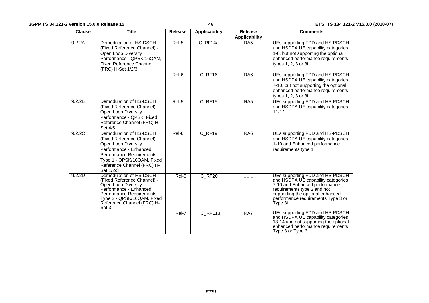| <b>Clause</b> | <b>Title</b>                                                                                                                                                                                                 | <b>Release</b> | <b>Applicability</b> | <b>Release</b><br><b>Applicability</b> | <b>Comments</b>                                                                                                                                                                                                             |
|---------------|--------------------------------------------------------------------------------------------------------------------------------------------------------------------------------------------------------------|----------------|----------------------|----------------------------------------|-----------------------------------------------------------------------------------------------------------------------------------------------------------------------------------------------------------------------------|
| 9.2.2A        | Demodulation of HS-DSCH<br>(Fixed Reference Channel) -<br>Open Loop Diversity<br>Performance - QPSK/16QAM,<br><b>Fixed Reference Channel</b><br>(FRC) H-Set 1/2/3                                            | Rel-5          | C_RF14a              | RA5                                    | UEs supporting FDD and HS-PDSCH<br>and HSDPA UE capability categories<br>1-6, but not supporting the optional<br>enhanced performance requirements<br>types 1, 2, 3 or 3i.                                                  |
|               |                                                                                                                                                                                                              | Rel-6          | C_RF16               | RA <sub>6</sub>                        | UEs supporting FDD and HS-PDSCH<br>and HSDPA UE capability categories<br>7-10, but not supporting the optional<br>enhanced performance requirements<br>types 1, 2, 3 or 3i.                                                 |
| 9.2.2B        | Demodulation of HS-DSCH<br>(Fixed Reference Channel) -<br>Open Loop Diversity<br>Performance - QPSK, Fixed<br>Reference Channel (FRC) H-<br>Set 4/5                                                          | Rel-5          | C_RF15               | RA5                                    | UEs supporting FDD and HS-PDSCH<br>and HSDPA UE capability categories<br>$11 - 12$                                                                                                                                          |
| 9.2.2C        | Demodulation of HS-DSCH<br>(Fixed Reference Channel) -<br>Open Loop Diversity<br>Performance - Enhanced<br>Performance Requirements<br>Type 1 - QPSK/16QAM, Fixed<br>Reference Channel (FRC) H-<br>Set 1/2/3 | Rel-6          | C_RF19               | RA <sub>6</sub>                        | UEs supporting FDD and HS-PDSCH<br>and HSDPA UE capability categories<br>1-10 and Enhanced performance<br>requirements type 1                                                                                               |
| 9.2.2D        | Demodulation of HS-DSCH<br>(Fixed Reference Channel) -<br>Open Loop Diversity<br>Performance - Enhanced<br>Performance Requirements<br>Type 2 - QPSK/16QAM, Fixed<br>Reference Channel (FRC) H-<br>Set 3     | Rel-6          | C_RF20               | $\Box \Box \Box$                       | UEs supporting FDD and HS-PDSCH<br>and HSDPA UE capability categories<br>7-10 and Enhanced performance<br>requirements type 2 and not<br>supporting the optional enhanced<br>performance requirements Type 3 or<br>Type 3i. |
|               |                                                                                                                                                                                                              | Rel-7          | C_RF113              | RA7                                    | UEs supporting FDD and HS-PDSCH<br>and HSDPA UE capability categories<br>13-14 and not supporting the optional<br>enhanced performance requirements<br>Type 3 or Type 3i.                                                   |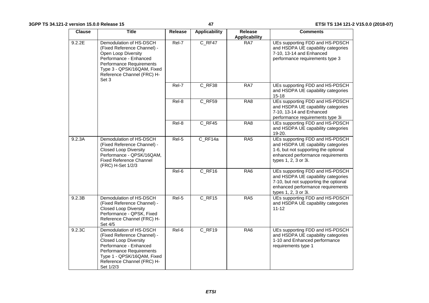| <b>Clause</b> | <b>Title</b>                                                                                                                                                                                                          | Release | <b>Applicability</b> | <b>Release</b><br><b>Applicability</b> | <b>Comments</b>                                                                                                                                                             |
|---------------|-----------------------------------------------------------------------------------------------------------------------------------------------------------------------------------------------------------------------|---------|----------------------|----------------------------------------|-----------------------------------------------------------------------------------------------------------------------------------------------------------------------------|
| 9.2.2E        | Demodulation of HS-DSCH<br>(Fixed Reference Channel) -<br>Open Loop Diversity<br>Performance - Enhanced<br>Performance Requirements<br>Type 3 - QPSK/16QAM, Fixed<br>Reference Channel (FRC) H-<br>Set 3              | Rel-7   | C_RF47               | RA7                                    | UEs supporting FDD and HS-PDSCH<br>and HSDPA UE capability categories<br>7-10, 13-14 and Enhanced<br>performance requirements type 3                                        |
|               |                                                                                                                                                                                                                       | Rel-7   | C_RF38               | RA7                                    | UEs supporting FDD and HS-PDSCH<br>and HSDPA UE capability categories<br>$15 - 18$                                                                                          |
|               |                                                                                                                                                                                                                       | Rel-8   | C_RF59               | RA <sub>8</sub>                        | UEs supporting FDD and HS-PDSCH<br>and HSDPA UE capability categories<br>7-10, 13-14 and Enhanced<br>performance requirements type 3i                                       |
|               |                                                                                                                                                                                                                       | Rel-8   | C_RF45               | RA <sub>8</sub>                        | UEs supporting FDD and HS-PDSCH<br>and HSDPA UE capability categories<br>19-20.                                                                                             |
| 9.2.3A        | Demodulation of HS-DSCH<br>(Fixed Reference Channel) -<br><b>Closed Loop Diversity</b><br>Performance - QPSK/16QAM,<br><b>Fixed Reference Channel</b><br>(FRC) H-Set 1/2/3                                            | Rel-5   | C_RF14a              | RA <sub>5</sub>                        | UEs supporting FDD and HS-PDSCH<br>and HSDPA UE capability categories<br>1-6, but not supporting the optional<br>enhanced performance requirements<br>types 1, 2, 3 or 3i.  |
|               |                                                                                                                                                                                                                       | Rel-6   | C_RF16               | RA <sub>6</sub>                        | UEs supporting FDD and HS-PDSCH<br>and HSDPA UE capability categories<br>7-10, but not supporting the optional<br>enhanced performance requirements<br>types 1, 2, 3 or 3i. |
| 9.2.3B        | Demodulation of HS-DSCH<br>(Fixed Reference Channel) -<br><b>Closed Loop Diversity</b><br>Performance - QPSK, Fixed<br>Reference Channel (FRC) H-<br>Set 4/5                                                          | Rel-5   | C_RF15               | R <sub>45</sub>                        | UEs supporting FDD and HS-PDSCH<br>and HSDPA UE capability categories<br>$11 - 12$                                                                                          |
| 9.2.3C        | Demodulation of HS-DSCH<br>(Fixed Reference Channel) -<br><b>Closed Loop Diversity</b><br>Performance - Enhanced<br>Performance Requirements<br>Type 1 - QPSK/16QAM, Fixed<br>Reference Channel (FRC) H-<br>Set 1/2/3 | Rel-6   | C_RF19               | RA <sub>6</sub>                        | UEs supporting FDD and HS-PDSCH<br>and HSDPA UE capability categories<br>1-10 and Enhanced performance<br>requirements type 1                                               |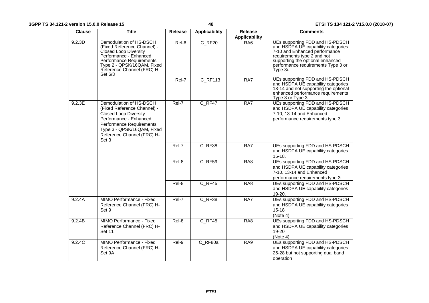| <b>Clause</b> | <b>Title</b>                                                                                                                                                                                                      | <b>Release</b> | <b>Applicability</b> | <b>Release</b><br><b>Applicability</b> | <b>Comments</b>                                                                                                                                                                                                             |
|---------------|-------------------------------------------------------------------------------------------------------------------------------------------------------------------------------------------------------------------|----------------|----------------------|----------------------------------------|-----------------------------------------------------------------------------------------------------------------------------------------------------------------------------------------------------------------------------|
| 9.2.3D        | Demodulation of HS-DSCH<br>(Fixed Reference Channel) -<br>Closed Loop Diversity<br>Performance - Enhanced<br>Performance Requirements<br>Type 2 - QPSK/16QAM, Fixed<br>Reference Channel (FRC) H-<br>Set 6/3      | Rel-6          | C_RF20               | RA <sub>6</sub>                        | UEs supporting FDD and HS-PDSCH<br>and HSDPA UE capability categories<br>7-10 and Enhanced performance<br>requirements type 2 and not<br>supporting the optional enhanced<br>performance requirements Type 3 or<br>Type 3i. |
|               |                                                                                                                                                                                                                   | Rel-7          | C_RF113              | RA7                                    | UEs supporting FDD and HS-PDSCH<br>and HSDPA UE capability categories<br>13-14 and not supporting the optional<br>enhanced performance requirements<br>Type 3 or Type 3i.                                                   |
| 9.2.3E        | Demodulation of HS-DSCH<br>(Fixed Reference Channel) -<br><b>Closed Loop Diversity</b><br>Performance - Enhanced<br>Performance Requirements<br>Type 3 - QPSK/16QAM, Fixed<br>Reference Channel (FRC) H-<br>Set 3 | Rel-7          | C_RF47               | RA7                                    | UEs supporting FDD and HS-PDSCH<br>and HSDPA UE capability categories<br>7-10, 13-14 and Enhanced<br>performance requirements type 3                                                                                        |
|               |                                                                                                                                                                                                                   | Rel-7          | C_RF38               | RA7                                    | UEs supporting FDD and HS-PDSCH<br>and HSDPA UE capability categories<br>$15-18.$                                                                                                                                           |
|               |                                                                                                                                                                                                                   | Rel-8          | C_RF59               | RA <sub>8</sub>                        | UEs supporting FDD and HS-PDSCH<br>and HSDPA UE capability categories<br>7-10, 13-14 and Enhanced<br>performance requirements type 3i                                                                                       |
|               |                                                                                                                                                                                                                   | Rel-8          | C_RF45               | RA <sub>8</sub>                        | UEs supporting FDD and HS-PDSCH<br>and HSDPA UE capability categories<br>19-20.                                                                                                                                             |
| 9.2.4A        | MIMO Performance - Fixed<br>Reference Channel (FRC) H-<br>Set 9                                                                                                                                                   | Rel-7          | C_RF38               | RA7                                    | UEs supporting FDD and HS-PDSCH<br>and HSDPA UE capability categories<br>$15 - 18$<br>(Note 4)                                                                                                                              |
| 9.2.4B        | MIMO Performance - Fixed<br>Reference Channel (FRC) H-<br><b>Set 11</b>                                                                                                                                           | Rel-8          | C_RF45               | RA <sub>8</sub>                        | UEs supporting FDD and HS-PDSCH<br>and HSDPA UE capability categories<br>19-20<br>(Note 4)                                                                                                                                  |
| 9.2.4C        | MIMO Performance - Fixed<br>Reference Channel (FRC) H-<br>Set 9A                                                                                                                                                  | Rel-9          | C_RF80a              | RA9                                    | UEs supporting FDD and HS-PDSCH<br>and HSDPA UE capability categories<br>25-28 but not supporting dual band<br>operation                                                                                                    |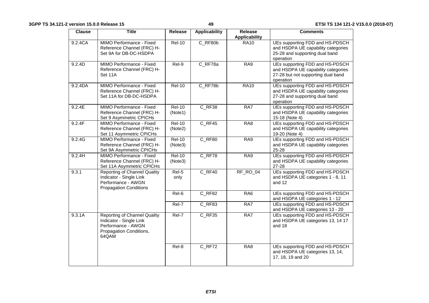| <b>Clause</b>       | <b>Title</b>                                                                                                             | <b>Release</b>           | <b>Applicability</b> | <b>Release</b><br><b>Applicability</b> | <b>Comments</b>                                                                                                          |
|---------------------|--------------------------------------------------------------------------------------------------------------------------|--------------------------|----------------------|----------------------------------------|--------------------------------------------------------------------------------------------------------------------------|
| 9.2.4 <sub>CA</sub> | MIMO Performance - Fixed<br>Reference Channel (FRC) H-<br>Set 9A for DB-DC-HSDPA                                         | <b>Rel-10</b>            | C_RF80b              | <b>RA10</b>                            | UEs supporting FDD and HS-PDSCH<br>and HSDPA UE capability categories<br>25-28 and supporting dual band<br>operation     |
| 9.2.4D              | MIMO Performance - Fixed<br>Reference Channel (FRC) H-<br>Set 11A                                                        | Rel-9                    | C_RF78a              | RA9                                    | UEs supporting FDD and HS-PDSCH<br>and HSDPA UE capability categories<br>27-28 but not supporting dual band<br>operation |
| 9.2.4DA             | MIMO Performance - Fixed<br>Reference Channel (FRC) H-<br>Set 11A for DB-DC-HSDPA                                        | <b>Rel-10</b>            | C_RF78b              | <b>RA10</b>                            | UEs supporting FDD and HS-PDSCH<br>and HSDPA UE capability categories<br>27-28 and supporting dual band<br>operation     |
| 9.2.4E              | MIMO Performance - Fixed<br>Reference Channel (FRC) H-<br>Set 9 Asymmetric CPICHs                                        | $Rel-10$<br>(Note1)      | C_RF38               | RA7                                    | UEs supporting FDD and HS-PDSCH<br>and HSDPA UE capability categories<br>15-18 (Note 4)                                  |
| 9.2.4F              | MIMO Performance - Fixed<br>Reference Channel (FRC) H-<br>Set 11 Asymmetric CPICHs                                       | <b>Rel-10</b><br>(Note2) | C_RF45               | RA <sub>8</sub>                        | UEs supporting FDD and HS-PDSCH<br>and HSDPA UE capability categories<br>19-20 (Note 4)                                  |
| 9.2.4G              | MIMO Performance - Fixed<br>Reference Channel (FRC) H-<br>Set 9A Asymmetric CPICHs                                       | <b>Rel-10</b><br>(Note3) | C_RF80               | RA9                                    | UEs supporting FDD and HS-PDSCH<br>and HSDPA UE capability categories<br>25-28                                           |
| 9.2.4H              | MIMO Performance - Fixed<br>Reference Channel (FRC) H-<br>Set 11A Asymmetric CPICHs                                      | <b>Rel-10</b><br>(Note3) | C_RF78               | RA9                                    | UEs supporting FDD and HS-PDSCH<br>and HSDPA UE capability categories<br>27-28                                           |
| 9.3.1               | <b>Reporting of Channel Quality</b><br>Indicator - Single Link<br>Performance - AWGN<br><b>Propagation Conditions</b>    | Rel-5<br>only            | C_RF40               | RF_RO_04                               | UEs supporting FDD and HS-PDSCH<br>and HSDPA UE categories 1 - 8, 11<br>and 12                                           |
|                     |                                                                                                                          | Rel-6                    | C_RF82               | RA <sub>6</sub>                        | UEs supporting FDD and HS-PDSCH<br>and HSDPA UE categories 1 - 12                                                        |
|                     |                                                                                                                          | Rel-7                    | C_RF83               | RA7                                    | UEs supporting FDD and HS-PDSCH<br>and HSDPA UE categories 13 - 20                                                       |
| 9.3.1A              | <b>Reporting of Channel Quality</b><br>Indicator - Single Link<br>Performance - AWGN<br>Propagation Conditions,<br>64QAM | Rel-7                    | C_RF35               | RA7                                    | UEs supporting FDD and HS-PDSCH<br>and HSDPA UE categories 13, 14 17<br>and 18                                           |
|                     |                                                                                                                          | Rel-8                    | $C$ <sub>_RF72</sub> | RA <sub>8</sub>                        | UEs supporting FDD and HS-PDSCH<br>and HSDPA UE categories 13, 14,<br>17, 18, 19 and 20                                  |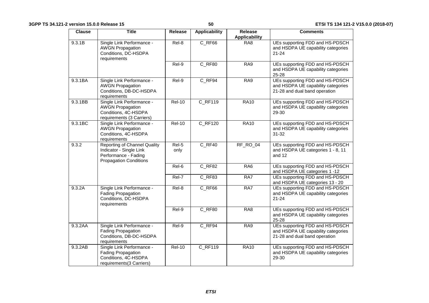| <b>Clause</b> | <b>Title</b>                                                                                                            | Release       | <b>Applicability</b> | <b>Release</b><br><b>Applicability</b> | <b>Comments</b>                                                                                        |
|---------------|-------------------------------------------------------------------------------------------------------------------------|---------------|----------------------|----------------------------------------|--------------------------------------------------------------------------------------------------------|
| 9.3.1B        | Single Link Performance -<br><b>AWGN Propagation</b><br>Conditions, DC-HSDPA<br>requirements                            | Rel-8         | C_RF66               | RA <sub>8</sub>                        | UEs supporting FDD and HS-PDSCH<br>and HSDPA UE capability categories<br>$21 - 24$                     |
|               |                                                                                                                         | Rel-9         | C_RF80               | RA9                                    | UEs supporting FDD and HS-PDSCH<br>and HSDPA UE capability categories<br>25-28                         |
| 9.3.1BA       | Single Link Performance -<br><b>AWGN Propagation</b><br>Conditions, DB-DC-HSDPA<br>requirements                         | Rel-9         | C_RF94               | RA9                                    | UEs supporting FDD and HS-PDSCH<br>and HSDPA UE capability categories<br>21-28 and dual band operation |
| 9.3.1BB       | Single Link Performance -<br><b>AWGN Propagation</b><br>Conditions, 4C-HSDPA<br>requirements (3 Carriers)               | <b>Rel-10</b> | C_RF119              | <b>RA10</b>                            | UEs supporting FDD and HS-PDSCH<br>and HSDPA UE capability categories<br>29-30                         |
| 9.3.1BC       | Single Link Performance -<br><b>AWGN Propagation</b><br>Conditions, 4C-HSDPA<br>requirements                            | <b>Rel-10</b> | C_RF120              | <b>RA10</b>                            | UEs supporting FDD and HS-PDSCH<br>and HSDPA UE capability categories<br>$31 - 32$                     |
| 9.3.2         | <b>Reporting of Channel Quality</b><br>Indicator - Single Link<br>Performance - Fading<br><b>Propagation Conditions</b> | Rel-5<br>only | C_RF40               | RF_RO_04                               | UEs supporting FDD and HS-PDSCH<br>and HSDPA UE categories 1 - 8, 11<br>and 12                         |
|               |                                                                                                                         | Rel-6         | C_RF82               | RA <sub>6</sub>                        | UEs supporting FDD and HS-PDSCH<br>and HSDPA UE categories 1 -12                                       |
|               |                                                                                                                         | Rel-7         | C_RF83               | RA7                                    | UEs supporting FDD and HS-PDSCH<br>and HSDPA UE categories 13 - 20                                     |
| 9.3.2A        | Single Link Performance -<br><b>Fading Propagation</b><br>Conditions, DC-HSDPA<br>requirements                          | Rel-8         | C_RF66               | RA7                                    | UEs supporting FDD and HS-PDSCH<br>and HSDPA UE capability categories<br>$21 - 24$                     |
|               |                                                                                                                         | Rel-9         | C_RF80               | RA <sub>8</sub>                        | UEs supporting FDD and HS-PDSCH<br>and HSDPA UE capability categories<br>25-28                         |
| 9.3.2AA       | Single Link Performance -<br><b>Fading Propagation</b><br>Conditions, DB-DC-HSDPA<br>requirements                       | Rel-9         | C_RF94               | RA9                                    | UEs supporting FDD and HS-PDSCH<br>and HSDPA UE capability categories<br>21-28 and dual band operation |
| 9.3.2AB       | Single Link Performance -<br><b>Fading Propagation</b><br>Conditions, 4C-HSDPA<br>requirements(3 Carriers)              | <b>Rel-10</b> | C_RF119              | <b>RA10</b>                            | UEs supporting FDD and HS-PDSCH<br>and HSDPA UE capability categories<br>29-30                         |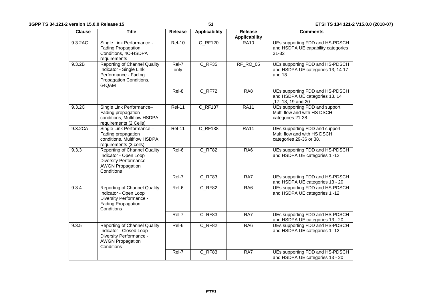| <b>Clause</b> | <b>Title</b>                                                                                                                       | <b>Release</b> | <b>Applicability</b> | <b>Release</b><br><b>Applicability</b> | <b>Comments</b>                                                                          |
|---------------|------------------------------------------------------------------------------------------------------------------------------------|----------------|----------------------|----------------------------------------|------------------------------------------------------------------------------------------|
| 9.3.2AC       | Single Link Performance -<br><b>Fading Propagation</b><br>Conditions, 4C-HSDPA<br>requirements                                     | <b>Rel-10</b>  | C_RF120              | <b>RA10</b>                            | UEs supporting FDD and HS-PDSCH<br>and HSDPA UE capability categories<br>$31 - 32$       |
| 9.3.2B        | <b>Reporting of Channel Quality</b><br>Indicator - Single Link<br>Performance - Fading<br>Propagation Conditions,<br>64QAM         | Rel-7<br>only  | C_RF35               | RF_RO_05                               | UEs supporting FDD and HS-PDSCH<br>and HSDPA UE categories 13, 14 17<br>and 18           |
|               |                                                                                                                                    | Rel-8          | C_RF72               | RA <sub>8</sub>                        | UEs supporting FDD and HS-PDSCH<br>and HSDPA UE categories 13, 14<br>,17, 18, 19 and 20  |
| 9.3.2C        | Single Link Performance-<br>Fading propagation<br>conditions, Multiflow HSDPA<br>requirements (2 Cells)                            | <b>Rel-11</b>  | C_RF137              | <b>RA11</b>                            | UEs supporting FDD and support<br>Multi flow and with HS DSCH<br>categories 21-38.       |
| 9.3.2CA       | Single Link Performance -<br>Fading propagation<br>conditions, Multiflow HSDPA<br>requirements (3 cells)                           | <b>Rel-11</b>  | <b>C_RF138</b>       | <b>RA11</b>                            | UEs supporting FDD and support<br>Multi flow and with HS DSCH<br>categories 29-36 or 38. |
| 9.3.3         | <b>Reporting of Channel Quality</b><br>Indicator - Open Loop<br>Diversity Performance -<br><b>AWGN Propagation</b><br>Conditions   | Rel-6          | C_RF82               | RA <sub>6</sub>                        | UEs supporting FDD and HS-PDSCH<br>and HSDPA UE categories 1 -12                         |
|               |                                                                                                                                    | Rel-7          | C_RF83               | RA7                                    | UEs supporting FDD and HS-PDSCH<br>and HSDPA UE categories 13 - 20                       |
| 9.3.4         | <b>Reporting of Channel Quality</b><br>Indicator - Open Loop<br>Diversity Performance -<br><b>Fading Propagation</b><br>Conditions | Rel-6          | C_RF82               | $R\overline{A6}$                       | UEs supporting FDD and HS-PDSCH<br>and HSDPA UE categories 1 -12                         |
|               |                                                                                                                                    | Rel-7          | C_RF83               | RA7                                    | UEs supporting FDD and HS-PDSCH<br>and HSDPA UE categories 13 - 20                       |
| 9.3.5         | <b>Reporting of Channel Quality</b><br>Indicator - Closed Loop<br>Diversity Performance -<br><b>AWGN Propagation</b><br>Conditions | Rel-6          | C_RF82               | RA <sub>6</sub>                        | UEs supporting FDD and HS-PDSCH<br>and HSDPA UE categories 1 -12                         |
|               |                                                                                                                                    | Rel-7          | C_RF83               | RA7                                    | UEs supporting FDD and HS-PDSCH<br>and HSDPA UE categories 13 - 20                       |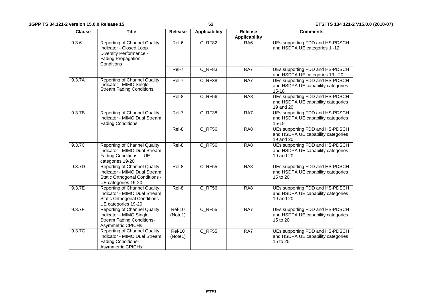| <b>Clause</b> | <b>Title</b>                                                                                                                  | Release                  | Applicability | Release<br><b>Applicability</b> | <b>Comments</b>                                                                    |
|---------------|-------------------------------------------------------------------------------------------------------------------------------|--------------------------|---------------|---------------------------------|------------------------------------------------------------------------------------|
| 9.3.6         | Reporting of Channel Quality<br>Indicator - Closed Loop<br>Diversity Performance -<br><b>Fading Propagation</b><br>Conditions | Rel-6                    | C_RF82        | RA <sub>6</sub>                 | UEs supporting FDD and HS-PDSCH<br>and HSDPA UE categories 1 -12                   |
|               |                                                                                                                               | Rel-7                    | C_RF83        | RA7                             | UEs supporting FDD and HS-PDSCH<br>and HSDPA UE categories 13 - 20                 |
| 9.3.7A        | <b>Reporting of Channel Quality</b><br>Indicator - MIMO Single<br><b>Stream Fading Conditions</b>                             | Rel-7                    | C_RF38        | RA7                             | UEs supporting FDD and HS-PDSCH<br>and HSDPA UE capability categories<br>$15 - 18$ |
|               |                                                                                                                               | Rel-8                    | C_RF56        | RA <sub>8</sub>                 | UEs supporting FDD and HS-PDSCH<br>and HSDPA UE capability categories<br>19 and 20 |
| 9.3.7B        | <b>Reporting of Channel Quality</b><br>Indicator - MIMO Dual Stream<br><b>Fading Conditions</b>                               | Rel-7                    | C_RF38        | RA7                             | UEs supporting FDD and HS-PDSCH<br>and HSDPA UE capability categories<br>$15 - 18$ |
|               |                                                                                                                               | Rel-8                    | C_RF56        | RA <sub>8</sub>                 | UEs supporting FDD and HS-PDSCH<br>and HSDPA UE capability categories<br>19 and 20 |
| 9.3.7C        | <b>Reporting of Channel Quality</b><br>Indicator - MIMO Dual Stream<br>Fading Conditions - UE<br>categories 19-20             | $Rel-8$                  | C_RF56        | RA <sub>8</sub>                 | UEs supporting FDD and HS-PDSCH<br>and HSDPA UE capability categories<br>19 and 20 |
| 9.3.7D        | <b>Reporting of Channel Quality</b><br>Indicator - MIMO Dual Stream<br>Static Orthogonal Conditions -<br>UE categories 15-20  | Rel-8                    | C_RF55        | RA <sub>8</sub>                 | UEs supporting FDD and HS-PDSCH<br>and HSDPA UE capability categories<br>15 to 20  |
| 9.3.7E        | <b>Reporting of Channel Quality</b><br>Indicator - MIMO Dual Stream<br>Static Orthogonal Conditions -<br>UE categories 19-20  | $Rel-8$                  | C_RF56        | RAB                             | UEs supporting FDD and HS-PDSCH<br>and HSDPA UE capability categories<br>19 and 20 |
| 9.3.7F        | <b>Reporting of Channel Quality</b><br>Indicator - MIMO Single<br><b>Stream Fading Conditions-</b><br>Asymmetric CPICHs       | $Rel-10$<br>(Note1)      | <b>C_RF55</b> | RA7                             | UEs supporting FDD and HS-PDSCH<br>and HSDPA UE capability categories<br>15 to 20  |
| 9.3.7G        | <b>Reporting of Channel Quality</b><br>Indicator - MIMO Dual Stream<br><b>Fading Conditions-</b><br><b>Asymmetric CPICHs</b>  | <b>Rel-10</b><br>(Note1) | C_RF55        | RA7                             | UEs supporting FDD and HS-PDSCH<br>and HSDPA UE capability categories<br>15 to 20  |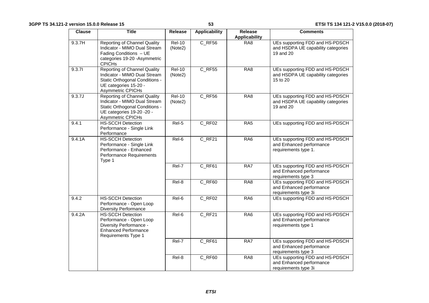#### **15.0.0 Release 15 53 ETSI TS 134 121-2 V15.0.0 (2018-07)**

| <b>Clause</b> | <b>Title</b>                                                                                                                                            | <b>Release</b>           | <b>Applicability</b> | Release<br><b>Applicability</b> | <b>Comments</b>                                                                     |
|---------------|---------------------------------------------------------------------------------------------------------------------------------------------------------|--------------------------|----------------------|---------------------------------|-------------------------------------------------------------------------------------|
| 9.3.7H        | <b>Reporting of Channel Quality</b><br>Indicator - MIMO Dual Stream<br>Fading Conditions - UE<br>categories 19-20 - Asymmetric<br><b>CPICHs</b>         | <b>Rel-10</b><br>(Note2) | C_RF56               | RA <sub>8</sub>                 | UEs supporting FDD and HS-PDSCH<br>and HSDPA UE capability categories<br>19 and 20  |
| 9.3.71        | <b>Reporting of Channel Quality</b><br>Indicator - MIMO Dual Stream<br>Static Orthogonal Conditions -<br>UE categories 15-20 -<br>Asymmetric CPICHs     | $Rel-10$<br>(Note2)      | C_RF55               | RA <sub>8</sub>                 | UEs supporting FDD and HS-PDSCH<br>and HSDPA UE capability categories<br>15 to 20   |
| 9.3.7J        | Reporting of Channel Quality<br>Indicator - MIMO Dual Stream<br>Static Orthogonal Conditions -<br>UE categories 19-20 -20 -<br><b>Asymmetric CPICHs</b> | $Rel-10$<br>(Note2)      | C_RF56               | RA8                             | UEs supporting FDD and HS-PDSCH<br>and HSDPA UE capability categories<br>19 and 20  |
| 9.4.1         | <b>HS-SCCH Detection</b><br>Performance - Single Link<br>Performance                                                                                    | Rel-5                    | C_RF02               | RA <sub>5</sub>                 | UEs supporting FDD and HS-PDSCH                                                     |
| 9.4.1A        | <b>HS-SCCH Detection</b><br>Performance - Single Link<br>Performance - Enhanced<br>Performance Requirements<br>Type 1                                   | Rel-6                    | C_RF21               | RA <sub>6</sub>                 | UEs supporting FDD and HS-PDSCH<br>and Enhanced performance<br>requirements type 1. |
|               |                                                                                                                                                         | Rel-7                    | C_RF61               | RA7                             | UEs supporting FDD and HS-PDSCH<br>and Enhanced performance<br>requirements type 3  |
|               |                                                                                                                                                         | Rel-8                    | C_RF60               | RA <sub>8</sub>                 | UEs supporting FDD and HS-PDSCH<br>and Enhanced performance<br>requirements type 3i |
| 9.4.2         | <b>HS-SCCH Detection</b><br>Performance - Open Loop<br><b>Diversity Performance</b>                                                                     | Rel-6                    | C_RF02               | RA <sub>6</sub>                 | UEs supporting FDD and HS-PDSCH                                                     |
| 9.4.2A        | <b>HS-SCCH Detection</b><br>Performance - Open Loop<br>Diversity Performance -<br><b>Enhanced Performance</b><br>Requirements Type 1                    | Rel-6                    | C_RF21               | RA <sub>6</sub>                 | UEs supporting FDD and HS-PDSCH<br>and Enhanced performance<br>requirements type 1  |
|               |                                                                                                                                                         | Rel-7                    | C_RF61               | RA7                             | UEs supporting FDD and HS-PDSCH<br>and Enhanced performance<br>requirements type 3  |
|               |                                                                                                                                                         | Rel-8                    | C_RF60               | RA <sub>8</sub>                 | UEs supporting FDD and HS-PDSCH<br>and Enhanced performance<br>requirements type 3i |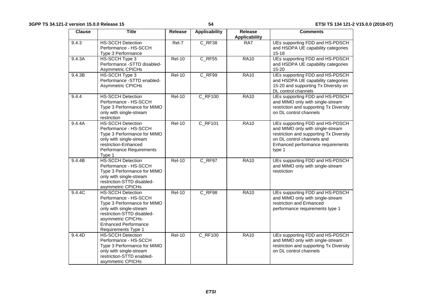| <b>Clause</b> | <b>Title</b>                                                                                                                                                                                                          | <b>Release</b> | <b>Applicability</b> | <b>Release</b><br><b>Applicability</b> | <b>Comments</b>                                                                                                                                                                             |
|---------------|-----------------------------------------------------------------------------------------------------------------------------------------------------------------------------------------------------------------------|----------------|----------------------|----------------------------------------|---------------------------------------------------------------------------------------------------------------------------------------------------------------------------------------------|
| 9.4.3         | <b>HS-SCCH Detection</b><br>Performance - HS-SCCH<br>Type 3 Performance                                                                                                                                               | Rel-7          | C_RF38               | RA7                                    | UEs supporting FDD and HS-PDSCH<br>and HSDPA UE capability categories<br>$15 - 18$                                                                                                          |
| 9.4.3A        | HS-SCCH Type 3<br>Performance -STTD disabled-<br><b>Asymmetric CPICHs</b>                                                                                                                                             | <b>Rel-10</b>  | <b>C_RF55</b>        | <b>RA10</b>                            | UEs supporting FDD and HS-PDSCH<br>and HSDPA UE capability categories<br>15-20                                                                                                              |
| 9.4.3B        | HS-SCCH Type 3<br>Performance -STTD enabled-<br><b>Asymmetric CPICHs</b>                                                                                                                                              | <b>Rel-10</b>  | C_RF99               | <b>RA10</b>                            | UEs supporting FDD and HS-PDSCH<br>and HSDPA UE capability categories<br>15-20 and supporting Tx Diversity on<br>DL control channels                                                        |
| 9.4.4         | <b>HS-SCCH Detection</b><br>Performance - HS-SCCH<br>Type 3 Performance for MIMO<br>only with single-stream<br>restriction                                                                                            | <b>Rel-10</b>  | C_RF100              | <b>RA10</b>                            | UEs supporting FDD and HS-PDSCH<br>and MIMO only with single-stream<br>restriction and supporting Tx Diversity<br>on DL control channels                                                    |
| 9.4.4A        | <b>HS-SCCH Detection</b><br>Performance - HS-SCCH<br>Type 3 Performance for MIMO<br>only with single-stream<br>restriction-Enhanced<br>Performance Requirements<br>Type 1                                             | <b>Rel-10</b>  | C_RF101              | <b>RA10</b>                            | UEs supporting FDD and HS-PDSCH<br>and MIMO only with single-stream<br>restriction and supporting Tx Diversity<br>on DL control channels and<br>Enhanced performance requirements<br>type 1 |
| 9.4.4B        | <b>HS-SCCH Detection</b><br>Performance - HS-SCCH<br>Type 3 Performance for MIMO<br>only with single-stream<br>restriction-STTD disabled-<br>asymmetric CPICHs                                                        | $Rel-10$       | C_RF97               | <b>RA10</b>                            | UEs supporting FDD and HS-PDSCH<br>and MIMO only with single-stream<br>restriction                                                                                                          |
| 9.4.4C        | <b>HS-SCCH Detection</b><br>Performance - HS-SCCH<br>Type 3 Performance for MIMO<br>only with single-stream<br>restriction-STTD disabled-<br>asymmetric CPICHs-<br><b>Enhanced Performance</b><br>Requirements Type 1 | <b>Rel-10</b>  | C_RF98               | <b>RA10</b>                            | UEs supporting FDD and HS-PDSCH<br>and MIMO only with single-stream<br>restriction and Enhanced<br>performance requirements type 1                                                          |
| 9.4.4D        | <b>HS-SCCH Detection</b><br>Performance - HS-SCCH<br>Type 3 Performance for MIMO<br>only with single-stream<br>restriction-STTD enabled-<br>asymmetric CPICHs                                                         | <b>Rel-10</b>  | C_RF100              | <b>RA10</b>                            | UEs supporting FDD and HS-PDSCH<br>and MIMO only with single-stream<br>restriction and supporting Tx Diversity<br>on DL control channels                                                    |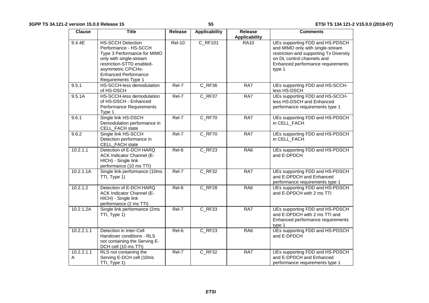| <b>Clause</b>   | <b>Title</b>                                                                                                                                                                                                         | <b>Release</b> | <b>Applicability</b> | <b>Release</b><br><b>Applicability</b> | <b>Comments</b>                                                                                                                                                                             |
|-----------------|----------------------------------------------------------------------------------------------------------------------------------------------------------------------------------------------------------------------|----------------|----------------------|----------------------------------------|---------------------------------------------------------------------------------------------------------------------------------------------------------------------------------------------|
| 9.4.4E          | <b>HS-SCCH Detection</b><br>Performance - HS-SCCH<br>Type 3 Performance for MIMO<br>only with single-stream<br>restriction-STTD enabled-<br>asymmetric CPICHs-<br><b>Enhanced Performance</b><br>Requirements Type 1 | <b>Rel-10</b>  | C_RF101              | <b>RA10</b>                            | UEs supporting FDD and HS-PDSCH<br>and MIMO only with single-stream<br>restriction-and supporting Tx Diversity<br>on DL control channels and<br>Enhanced performance requirements<br>type 1 |
| 9.5.1           | HS-SCCH-less demodulation<br>of HS-DSCH                                                                                                                                                                              | Rel-7          | C_RF36               | RA7                                    | UEs supporting FDD and HS-SCCH-<br>less HS-DSCH                                                                                                                                             |
| 9.5.1A          | HS-SCCH-less demodulation<br>of HS-DSCH - Enhanced<br>Performance Requirements<br>Type 1                                                                                                                             | Rel-7          | C_RF37               | RA7                                    | UEs supporting FDD and HS-SCCH-<br>less HS-DSCH and Enhanced<br>performance requirements type 1                                                                                             |
| 9.6.1           | Single link HS-DSCH<br>Demodulation performance in<br>CELL_FACH state                                                                                                                                                | Rel-7          | C_RF70               | RA7                                    | UEs supporting FDD and HS-PDSCH<br>in CELL_FACH                                                                                                                                             |
| 9.6.2           | Single link HS-SCCH<br>Detection performance in<br>CELL_FACH state                                                                                                                                                   | Rel-7          | C_RF70               | RA7                                    | UEs supporting FDD and HS-PDSCH<br>in CELL_FACH                                                                                                                                             |
| 10.2.1.1        | Detection of E-DCH HARQ<br>ACK Indicator Channel (E-<br>HICH) - Single link<br>performance (10 ms TTI)                                                                                                               | Rel-6          | C_RF23               | RA <sub>6</sub>                        | UEs supporting FDD and HS-PDSCH<br>and E-DPDCH                                                                                                                                              |
| 10.2.1.1A       | Single link performance (10ms<br>TTI, Type 1)                                                                                                                                                                        | Rel-7          | C_RF32               | RA7                                    | UEs supporting FDD and HS-PDSCH<br>and E-DPDCH and Enhanced<br>performance requirements type 1                                                                                              |
| 10.2.1.2        | Detection of E-DCH HARQ<br>ACK Indicator Channel (E-<br>HICH) - Single link<br>performance (2 ms TTI)                                                                                                                | Rel-6          | C_RF28               | RA <sub>6</sub>                        | UEs supporting FDD and HS-PDSCH<br>and E-DPDCH with 2 ms TTI                                                                                                                                |
| 10.2.1.2A       | Single link performance (2ms<br>TTI, Type 1)                                                                                                                                                                         | Rel-7          | C_RF33               | RA7                                    | UEs supporting FDD and HS-PDSCH<br>and E-DPDCH with 2 ms TTI and<br>Enhanced performance requirements<br>type 1                                                                             |
| 10.2.2.1.1      | Detection in Inter-Cell<br>Handover conditions - RLS<br>not containing the Serving E-<br>DCH cell (10 ms TTI)                                                                                                        | Rel-6          | C_RF23               | RA <sub>6</sub>                        | UEs supporting FDD and HS-PDSCH<br>and E-DPDCH                                                                                                                                              |
| 10.2.2.1.1<br>A | RLS not containing the<br>Serving E-DCH cell (10ms<br>TTI, Type 1)                                                                                                                                                   | Rel-7          | C_RF32               | RA7                                    | UEs supporting FDD and HS-PDSCH<br>and E-DPDCH and Enhanced<br>performance requirements type 1                                                                                              |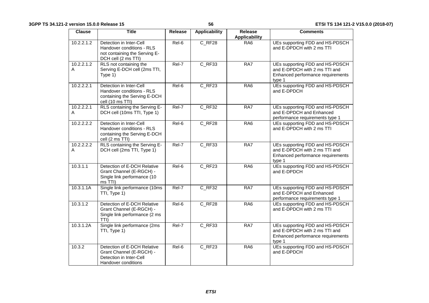| <b>Clause</b>   | <b>Title</b>                                                                                                 | <b>Release</b>      | <b>Applicability</b> | Release<br><b>Applicability</b> | <b>Comments</b>                                                                                                 |
|-----------------|--------------------------------------------------------------------------------------------------------------|---------------------|----------------------|---------------------------------|-----------------------------------------------------------------------------------------------------------------|
| 10.2.2.1.2      | Detection in Inter-Cell<br>Handover conditions - RLS<br>not containing the Serving E-<br>DCH cell (2 ms TTI) | Rel-6               | C_RF28               | RA <sub>6</sub>                 | UEs supporting FDD and HS-PDSCH<br>and E-DPDCH with 2 ms TTI                                                    |
| 10.2.2.1.2<br>A | RLS not containing the<br>Serving E-DCH cell (2ms TTI,<br>Type 1)                                            | Rel-7               | C_RF33               | RA7                             | UEs supporting FDD and HS-PDSCH<br>and E-DPDCH with 2 ms TTI and<br>Enhanced performance requirements<br>type 1 |
| 10.2.2.2.1      | Detection in Inter-Cell<br>Handover conditions - RLS<br>containing the Serving E-DCH<br>cell (10 ms TTI)     | Rel-6               | C_RF23               | RA <sub>6</sub>                 | UEs supporting FDD and HS-PDSCH<br>and E-DPDCH                                                                  |
| 10.2.2.2.1<br>A | RLS containing the Serving E-<br>DCH cell (10ms TTI, Type 1)                                                 | $\overline{Rel}$ -7 | C_RF32               | RA7                             | UEs supporting FDD and HS-PDSCH<br>and E-DPDCH and Enhanced<br>performance requirements type 1                  |
| 10.2.2.2.2      | Detection in Inter-Cell<br>Handover conditions - RLS<br>containing the Serving E-DCH<br>cell (2 ms TTI)      | Rel-6               | C_RF28               | RA <sub>6</sub>                 | UEs supporting FDD and HS-PDSCH<br>and E-DPDCH with 2 ms TTI                                                    |
| 10.2.2.2.2<br>Α | RLS containing the Serving E-<br>DCH cell (2ms TTI, Type 1)                                                  | Rel-7               | C_RF33               | RA7                             | UEs supporting FDD and HS-PDSCH<br>and E-DPDCH with 2 ms TTI and<br>Enhanced performance requirements<br>type 1 |
| 10.3.1.1        | Detection of E-DCH Relative<br>Grant Channel (E-RGCH) -<br>Single link performance (10<br>ms TTI)            | Rel-6               | C_RF23               | RA <sub>6</sub>                 | UEs supporting FDD and HS-PDSCH<br>and E-DPDCH                                                                  |
| 10.3.1.1A       | Single link performance (10ms<br>TTI, Type 1)                                                                | Rel-7               | C_RF32               | RA7                             | UEs supporting FDD and HS-PDSCH<br>and E-DPDCH and Enhanced<br>performance requirements type 1                  |
| 10.3.1.2        | Detection of E-DCH Relative<br>Grant Channel (E-RGCH) -<br>Single link performance (2 ms<br>TTI)             | Rel-6               | C_RF28               | RA <sub>6</sub>                 | UEs supporting FDD and HS-PDSCH<br>and E-DPDCH with 2 ms TTI                                                    |
| 10.3.1.2A       | Single link performance (2ms<br>TTI, Type 1)                                                                 | Rel-7               | C_RF33               | RA7                             | UEs supporting FDD and HS-PDSCH<br>and E-DPDCH with 2 ms TTI and<br>Enhanced performance requirements<br>type 1 |
| 10.3.2          | Detection of E-DCH Relative<br>Grant Channel (E-RGCH) -<br>Detection in Inter-Cell<br>Handover conditions    | Rel-6               | C_RF23               | RA <sub>6</sub>                 | UEs supporting FDD and HS-PDSCH<br>and E-DPDCH                                                                  |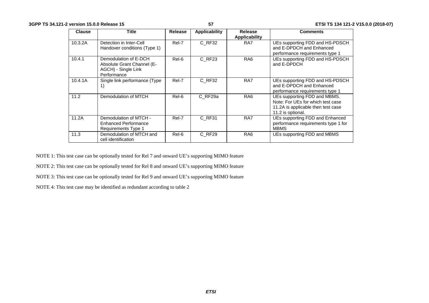| <b>Clause</b> | Title                                                                                     | <b>Release</b> | <b>Applicability</b> | Release<br><b>Applicability</b> | <b>Comments</b>                                                                                                              |
|---------------|-------------------------------------------------------------------------------------------|----------------|----------------------|---------------------------------|------------------------------------------------------------------------------------------------------------------------------|
| 10.3.2A       | Detection in Inter-Cell<br>Handover conditions (Type 1)                                   | Rel-7          | C_RF32               | RA7                             | UEs supporting FDD and HS-PDSCH<br>and E-DPDCH and Enhanced<br>performance requirements type 1                               |
| 10.4.1        | Demodulation of E-DCH<br>Absolute Grant Channel (E-<br>AGCH) - Single Link<br>Performance | Rel-6          | C RF23               | RA6                             | UEs supporting FDD and HS-PDSCH<br>and E-DPDCH                                                                               |
| 10.4.1A       | Single link performance (Type<br>1)                                                       | Rel-7          | C_RF32               | RA7                             | UEs supporting FDD and HS-PDSCH<br>and E-DPDCH and Enhanced<br>performance requirements type 1                               |
| 11.2          | Demodulation of MTCH                                                                      | Rel-6          | C RF29a              | RA <sub>6</sub>                 | UEs supporting FDD and MBMS.<br>Note: For UEs for which test case<br>11.2A is applicable then test case<br>11.2 is optional. |
| 11.2A         | Demodulation of MTCH -<br><b>Enhanced Performance</b><br>Requirements Type 1              | Rel-7          | C RF31               | RA7                             | UEs supporting FDD and Enhanced<br>performance requirements type 1 for<br><b>MBMS</b>                                        |
| 11.3          | Demodulation of MTCH and<br>cell identification                                           | Rel-6          | C_RF29               | RA <sub>6</sub>                 | UEs supporting FDD and MBMS                                                                                                  |

NOTE 1: This test case can be optionally tested for Rel 7 and onward UE's supporting MIMO feature

NOTE 2: This test case can be optionally tested for Rel 8 and onward UE's supporting MIMO feature

NOTE 3: This test case can be optionally tested for Rel 9 and onward UE's supporting MIMO feature

NOTE 4: This test case may be identified as redundant according to table 2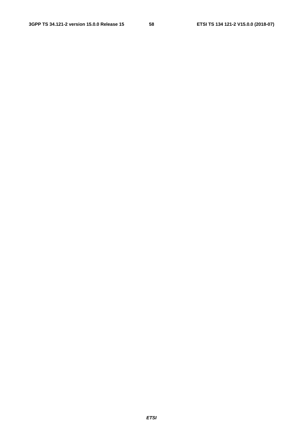*ETSI*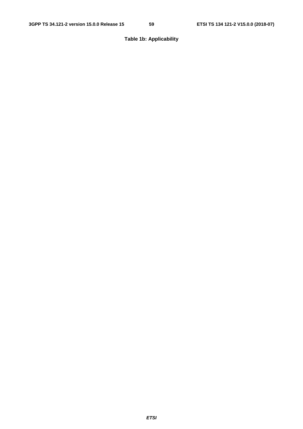**Table 1b: Applicability**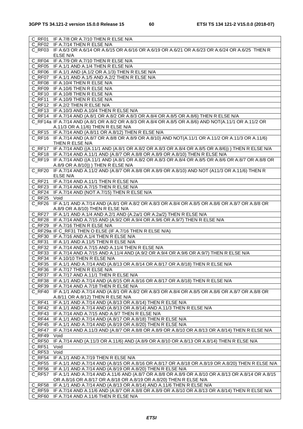|               | C_RF01 IF A.7/8 OR A.7/10 THEN R ELSE N/A                                                                                                                        |
|---------------|------------------------------------------------------------------------------------------------------------------------------------------------------------------|
|               | C_RF02 IF A.7/14 THEN R ELSE N/A                                                                                                                                 |
|               | C_RF03 IF A.6/3 OR A.6/14 OR A.6/15 OR A.6/16 OR A.6/19 OR A.6/21 OR A.6/23 OR A.6/24 OR A.6/25 THEN R                                                           |
|               | ELSE N/A                                                                                                                                                         |
|               | C_RF04 IF A.7/9 OR A.7/10 THEN R ELSE N/A                                                                                                                        |
|               | C_RF05 IF A.1/1 AND A.1/4 THEN R ELSE N/A                                                                                                                        |
|               | C_RF06 IF A.1/1 AND (A.1/2 OR A.1/3) THEN R ELSE N/A                                                                                                             |
|               | C_RF07 IF A.1/1 AND A.1/5 AND A.2/2 THEN R ELSE N/A                                                                                                              |
|               | C_RF08 IF A.10/4 THEN R ELSE N/A                                                                                                                                 |
|               | C_RF09 IF A.10/6 THEN R ELSE N/A                                                                                                                                 |
|               | C_RF10 IF A.10/8 THEN R ELSE N/A                                                                                                                                 |
|               | C RF11 IF A.10/9 THEN R ELSE N/A                                                                                                                                 |
|               | C RF12 IF A.2/2 THEN R ELSE N/A                                                                                                                                  |
|               | C RF13 IF A.10/3 AND A.10/4 THEN R ELSE N/A                                                                                                                      |
|               | C_RF14 IF A.7/14 AND (A.8/1 OR A.8/2 OR A.8/3 OR A.8/4 OR A.8/5 OR A.8/6) THEN R ELSE N/A                                                                        |
|               | C_RF14a IF A.7/14 AND (A.8/1 OR A.8/2 OR A.8/3 OR A.8/4 OR A.8/5 OR A.8/6) AND NOT(A.11/1 OR A.11/2 OR                                                           |
|               | A.11/3 OR A.11/6) THEN R ELSE N/A                                                                                                                                |
|               | C_RF15 IF A.7/14 AND (A.8/11 OR A.8/12) THEN R ELSE N/A                                                                                                          |
|               | C_RF16 IF A.7/14 AND (A.8/7 OR A.8/8 OR A.8/9 OR A.8/10) AND NOT(A.11/1 OR A.11/2 OR A.11/3 OR A.11/6)                                                           |
|               | THEN R ELSE N/A                                                                                                                                                  |
|               | C_RF17 IF A.7/14 AND ((A.11/1 AND (A.8/1 OR A.8/2 OR A.8/3 OR A.8/4 OR A.8/5 OR A.8/6))) THEN R ELSE N/A                                                         |
|               | C_RF18 IF A.7/14 AND A.11/1 AND (A.8/7 OR A.8/8 OR A.8/9 OR A.8/10) THEN R ELSE N/A                                                                              |
|               | C_RF19 IF A.7/14 AND ((A.11/1 AND (A.8/1 OR A.8/2 OR A.8/3 OR A.8/4 OR A.8/5 OR A.8/6 OR A.8/7 OR A.8/8 OR                                                       |
|               | A.8/9 OR A.8/10)) ) THEN R ELSE N/A                                                                                                                              |
|               | C_RF20 IF A.7/14 AND A.11/2 AND (A.8/7 OR A.8/8 OR A.8/9 OR A.8/10) AND NOT (A11/3 OR A.11/6) THEN R                                                             |
|               | ELSE N/A                                                                                                                                                         |
|               | C_RF21 IF A.7/14 AND A.11/1 THEN R ELSE N/A                                                                                                                      |
|               | C_RF23 IF A.7/14 AND A.7/15 THEN R ELSE N/A                                                                                                                      |
|               | C_RF24 IF A.7/14 AND (NOT A.7/15) THEN R ELSE N/A                                                                                                                |
| C_RF25 Void   |                                                                                                                                                                  |
|               | C_RF26 IF A.1/1 AND A.7/14 AND (A.8/1 OR A.8/2 OR A.8/3 OR A.8/4 OR A.8/5 OR A.8/6 OR A.8/7 OR A.8/8 OR                                                          |
|               | A.8/9 OR A.8/10) THEN R ELSE N/A                                                                                                                                 |
|               | C_RF27 IF A.1/1 AND A.1/4 AND A.2/1 AND (A.2a/1 OR A.2a/2) THEN R ELSE N/A<br>C_RF28 IF A.7/14 AND A.7/15 AND (A.9/2 OR A.9/4 OR A.9/6 OR A.9/7) THEN R ELSE N/A |
|               |                                                                                                                                                                  |
|               |                                                                                                                                                                  |
|               | C_RF29 IF A.7/16 THEN R ELSE N/A                                                                                                                                 |
|               | C_RF29a IF C_RF31 THEN O ELSE (IF A.7/16 THEN R ELSE N/A)                                                                                                        |
|               | C_RF30 IF A.7/16 AND A.1/4 THEN R ELSE N/A                                                                                                                       |
|               | C_RF31 IF A.1/1 AND A.11/5 THEN R ELSE N/A                                                                                                                       |
|               | C_RF32 IF A.7/14 AND A.7/15 AND A.11/4 THEN R ELSE N/A                                                                                                           |
|               | C_RF33 IF A.7/14 AND A.7/15 AND A.11/4 AND (A.9/2 OR A.9/4 OR A.9/6 OR A.9/7) THEN R ELSE N/A                                                                    |
|               | C RF34 IF A.10/10 THEN R ELSE N/A                                                                                                                                |
|               | C_RF35 IF A.1/1 AND A.7/14 AND (A.8/13 OR A.8/14 OR A.8/17 OR A.8/18) THEN R ELSE N/A                                                                            |
|               | C_RF36 IF A.7/17 THEN R ELSE N/A                                                                                                                                 |
|               | C RF37 IF A.7/17 AND A.11/1 THEN R ELSE N/A                                                                                                                      |
|               | C_RF38 IF A.1/1 AND A.7/14 AND (A.8/15 OR A.8/16 OR A.8/17 OR A.8/18) THEN R ELSE N/A                                                                            |
|               | C_RF39 IF A.7/14 AND A.7/18 THEN R ELSE N/A                                                                                                                      |
|               | C_RF40 IF A.1/1 AND A.7/14 AND (A.8/1 OR A.8/2 OR A.8/3 OR A.8/4 OR A.8/5 OR A.8/6 OR A.8/7 OR A.8/8 OR<br>A.8/11 OR A.8/12) THEN R ELSE N/A                     |
| C RF41        | IF A.1/1 AND A.7/14 AND (A.8/13 OR A.8/14) THEN R ELSE N/A                                                                                                       |
|               | C_RF42 IF A.1/1 AND A.7/14 AND (A.8/13 OR A.8/14) AND A.11/3 THEN R ELSE N/A                                                                                     |
|               | C_RF43 IF A.7/14 AND A.7/15 AND A.9/7 THEN R ELSE N/A                                                                                                            |
|               | C_RF44 IF A.1/1 AND A.7/14 AND (A.8/17 OR A.8/18) THEN R ELSE N/A                                                                                                |
|               | C_RF45 IF A.1/1 AND A.7/14 AND (A.8/19 OR A.8/20) THEN R ELSE N/A                                                                                                |
|               | C_RF47 IF A.7/14 AND A.11/3 AND (A.8/7 OR A.8/8 OR A.8/9 OR A.8/10 OR A.8/13 OR A.8/14) THEN R ELSE N/A                                                          |
| C_RF49        | Void                                                                                                                                                             |
| C_RF50        | IF A.7/14 AND (A.11/3 OR A.11/6) AND (A.8/9 OR A.8/10 OR A.8/13 OR A.8/14) THEN R ELSE N/A                                                                       |
| C_RF51        | Void                                                                                                                                                             |
| C_RF53        | Void                                                                                                                                                             |
| C_RF54        | IF A.1/1 AND A.7/19 THEN R ELSE N/A                                                                                                                              |
| <b>C_RF55</b> | IF A.1/1 AND A.7/14 AND (A.8/15 OR A.8/16 OR A.8/17 OR A.8/18 OR A.8/19 OR A.8/20) THEN R ELSE N/A                                                               |
|               | C_RF56 IF A.1/1 AND A.7/14 AND (A.8/19 OR A.8/20) THEN R ELSE N/A                                                                                                |
| C RF57        | IF A.1/1 AND A.7/14 AND A.11/6 AND (A.8/7 OR A.8/8 OR A.8/9 OR A.8/10 OR A.8/13 OR A.8/14 OR A.8/15                                                              |
|               | OR A.8/16 OR A.8/17 OR A.8/18 OR A.8/19 OR A.8/20) THEN R ELSE N/A                                                                                               |
| $C_RF58$      | IF A.1/1 AND A.7/14 AND (A.8/13 OR A.8/14) AND A.11/6 THEN R ELSE N/A                                                                                            |
| C_RF60        | C_RF59 IF A.7/14 AND A.11/6 AND (A.8/7 OR A.8/8 OR A.8/9 OR A.8/10 OR A.8/13 OR A.8/14) THEN R ELSE N/A<br>IF A.7/14 AND A.11/6 THEN R ELSE N/A                  |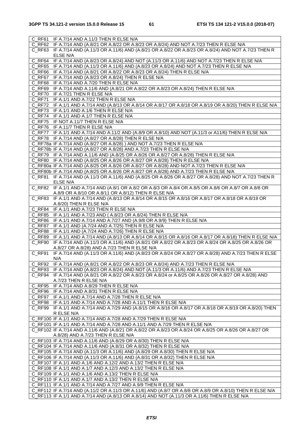| C_RF61 IF A.7/14 AND A.11/3 THEN R ELSE N/A                                                                                                                                                                 |
|-------------------------------------------------------------------------------------------------------------------------------------------------------------------------------------------------------------|
| C RF62 IF A.7/14 AND (A.8/21 OR A.8/22 OR A.8/23 OR A.8/24) AND NOT A.7/23 THEN R ELSE N/A                                                                                                                  |
| C RF63 IF A.7/14 AND (A.11/3 OR A.11/6) AND (A.8/21 OR A.8/22 OR A.8/23 OR A.8/24) AND NOT A.7/23 THEN R                                                                                                    |
| ELSE N/A                                                                                                                                                                                                    |
| IF A.7/14 AND (A.8/23 OR A.8/24) AND NOT (A.11/3 OR A.11/6) AND NOT A.7/23 THEN R ELSE N/A<br>$C_RFG4$                                                                                                      |
| C_RF65 IF A.7/14 AND (A.11/3 OR A.11/6) AND (A.8/23 OR A.8/24) AND NOT A.7/23 THEN R ELSE N/A                                                                                                               |
| C_RF66 IF A.7/14 AND (A.8/21 OR A.8/22 OR A.8/23 OR A.8/24) THEN R ELSE N/A                                                                                                                                 |
| C_RF67 IF A.7/14 AND (A.8/23 OR A.8/24) THEN R ELSE N/A                                                                                                                                                     |
| C_RF68 IF A.7/14 AND A.7/20 THEN R ELSE N/A                                                                                                                                                                 |
| C_RF69 IF A.7/14 AND A.11/6 AND (A.8/21 OR A.8/22 OR A.8/23 OR A.8/24) THEN R ELSE N/A                                                                                                                      |
| C_RF70 IF A.7/21 THEN R ELSE N/A                                                                                                                                                                            |
| C_RF71 IF A.1/1 AND A.7/22 THEN R ELSE N/A                                                                                                                                                                  |
| C_RF72 IF A.1/1 AND A.7/14 AND (A.8/13 OR A.8/14 OR A.8/17 OR A.8/18 OR A.8/19 OR A.8/20) THEN R ELSE N/A                                                                                                   |
| C_RF73 IF A.1/1 AND A.1/6 THEN R ELSE N/A                                                                                                                                                                   |
| C_RF74 IF A.1/1 AND A.1/7 THEN R ELSE N/A                                                                                                                                                                   |
| C_RF75 IF NOT A.11/7 THEN R ELSE N/A                                                                                                                                                                        |
| C_RF76 IF A.11/7 THEN R ELSE N/A                                                                                                                                                                            |
| C_RF77 IF A.1/1 AND A.7/14 AND A.11/2 AND (A.8/9 OR A.8/10) AND NOT (A.11/3 or A11/6) THEN R ELSE N/A                                                                                                       |
| C_RF78 IF A.7/14 AND (A.8/27 OR A.8/28) THEN R ELSE N/A                                                                                                                                                     |
| C_RF78a IF A.7/14 AND (A.8/27 OR A.8/28)) AND NOT A.7/23 THEN R ELSE N/A                                                                                                                                    |
| C_RF78b IF A.7/14 AND (A.8/27 OR A.8/28) AND A.7/23 THEN R ELSE N/A                                                                                                                                         |
|                                                                                                                                                                                                             |
| C_RF79 IF A.7/14 AND A.11/6 AND (A.8/25 OR A.8/26 OR A.8/27 OR A.8/28) THEN R ELSE N/A                                                                                                                      |
| C_RF80 IF A.7/14 AND (A.8/25 OR A.8/26 OR A.8/27 OR A.8/28) THEN R ELSE N/A                                                                                                                                 |
| C_RF80a IF A.7/14 AND (A.8/25 OR A.8/26 OR A.8/27 OR A.8/28) AND NOT A.7/23 THEN R ELSE N/A                                                                                                                 |
| C_RF80b IF A.7/14 AND (A.8/25 OR A.8/26 OR A.8/27 OR A.8/28) AND A.7/23 THEN R ELSE N/A                                                                                                                     |
| C_RF81 IF A.7/14 AND (A.11/3 OR A.11/6) AND (A.8/25 OR A.8/26 OR A.8/27 OR A.8/28) AND NOT A.7/23 THEN R                                                                                                    |
| ELSE N/A                                                                                                                                                                                                    |
| C_RF82 IF A.1/1 AND A.7/14 AND (A.8/1 OR A.8/2 OR A.8/3 OR A.8/4 OR A.8/5 OR A.8/6 OR A.8/7 OR A.8/8 OR                                                                                                     |
| A.8/9 OR A.8/10 OR A.8/11 OR A.8/12) THEN R ELSE N/A                                                                                                                                                        |
| C_RF83 IF A.1/1 AND A.7/14 AND (A.8/13 OR A.8/14 OR A.8/15 OR A.8/16 OR A.8/17 OR A.8/18 OR A.8/19 OR                                                                                                       |
| A.8/20) THEN R ELSE N/A                                                                                                                                                                                     |
| C_RF84 IF A.1/1 AND A.7/23 THEN R ELSE N/A                                                                                                                                                                  |
| C_RF85 IF A.1/1 AND A.7/23 AND (A.8/23 OR A.8/24) THEN R ELSE N/A                                                                                                                                           |
| C_RF86 IF A.1/1 AND A.7/14 AND A.7/27 AND (A.9/8 OR A.9/9) THEN R ELSE N/A                                                                                                                                  |
| C_RF87 IF A.1/1 AND (A.7/24 AND A.7/25) THEN R ELSE N/A                                                                                                                                                     |
| C_RF88 IF A.1/1 AND (A.7/24 AND A.7/26) THEN R ELSE N/A                                                                                                                                                     |
| C_RF89 IF A.1/1 AND A.7/14 AND (A.8/13 OR A.8/14 OR A.8/15 OR A.8/16 OR A.8/17 OR A.8/18) THEN R ELSE N/A                                                                                                   |
| IF A.7/14 AND (A.11/3 OR A.11/6) AND (A.8/21 OR A.8/22 OR A.8/23 OR A.8/24 OR A.8/25 OR A.8/26 OR<br>C RF90                                                                                                 |
| A.8/27 OR A.8/28) AND A.7/23 THEN R ELSE N/A                                                                                                                                                                |
| IF A.7/14 AND (A.11/3 OR A.11/6) AND (A.8/23 OR A.8/24 OR A.8/27 OR A.8/28) AND A.7/23 THEN R ELSE<br>C_RF91                                                                                                |
| N/A                                                                                                                                                                                                         |
| C_RF92 IF A.7/14 AND (A.8/21 OR A.8/22 OR A.8/23 OR A.8/24) AND A.7/23 THEN R ELSE N/A                                                                                                                      |
| C_RF93 IF A.7/14 AND (A.8/23 OR A.8/24) AND NOT (A.11/3 OR A.11/6) AND A.7/23 THEN R ELSE N/A                                                                                                               |
| C_RF94 IF A.7/14 AND (A.8/21 OR A.8/22 OR A.8/23 OR A.8/24 or A.8/25 OR A.8/26 OR A.8/27 OR A.8/28) AND                                                                                                     |
| A.7/23 THEN R ELSE N/A                                                                                                                                                                                      |
| C_RF95 IF A.7/14 AND A.8/29 THEN R ELSE N/A                                                                                                                                                                 |
|                                                                                                                                                                                                             |
| C_RF96 IF A.7/14 AND A.8/31 THEN R ELSE N/A                                                                                                                                                                 |
| C_RF97 IF A.1/1 AND A.7/14 AND A.7/28 THEN R ELSE N/A                                                                                                                                                       |
| C_RF98 IF A.1/1 AND A.7/14 AND A.7/28 AND A.11/1 THEN R ELSE N/A                                                                                                                                            |
| C RF99 IF A.1/1 AND A.7/14 AND A.7/29 AND (A.8/15 OR A.8/16 OR A.8/17 OR A.8/18 OR A.8/19 OR A.8/20) THEN                                                                                                   |
| R ELSE N/A                                                                                                                                                                                                  |
|                                                                                                                                                                                                             |
| C_RF100 IF A.1/1 AND A.7/14 AND A.7/28 AND A.7/29 THEN R ELSE N/A                                                                                                                                           |
| C_RF101 IF A.1/1 AND A.7/14 AND A.7/28 AND A.11/1 AND A.7/29 THEN R ELSE N/A                                                                                                                                |
| C_RF102 IF A.7/14 AND A.11/6 AND (A.8/21 OR A.8/22 OR A.8/23 OR A.8/24 OR A.8/25 OR A.8/26 OR A.8/27 OR                                                                                                     |
| A.8/28) AND A.7/23 THEN R ELSE N/A                                                                                                                                                                          |
| C_RF103 IF A.7/14 AND A.11/6 AND (A.8/29 OR A.8/30) THEN R ELSE N/A                                                                                                                                         |
| C_RF104 IF A.7/14 AND A.11/6 AND (A.8/31 OR A.8/32) THEN R ELSE N/A                                                                                                                                         |
| C_RF105 IF A.7/14 AND (A.11/3 OR A.11/6) AND (A.8/29 OR A.8/30) THEN R ELSE N/A                                                                                                                             |
| C_RF106 IF A.7/14 AND (A.11/3 OR A.11/6) AND (A.8/31 OR A.8/32) THEN R ELSE N/A                                                                                                                             |
| C_RF107 IF A.1/1 AND A.1/6 AND A.12/2 AND A.13/2 THEN R ELSE N/A                                                                                                                                            |
| C_RF108 IF A.1/1 AND A.1/7 AND A.12/3 AND A.13/2 THEN R ELSE N/A                                                                                                                                            |
| C_RF109 IF A.1/1 AND A.1/6 AND A.13/2 THEN R ELSE N/A                                                                                                                                                       |
| C_RF110 IF A.1/1 AND A.1/7 AND A.13/2 THEN R ELSE N/A                                                                                                                                                       |
| C_RF111 IF A.1/1 AND A.7/14 AND A.7/27 AND A.9/9 THEN R ELSE N/A                                                                                                                                            |
| C_RF112 IF A.7/14 AND (A.11/2 OR A.11/3 OR A.11/6) AND (A.8/7 OR A.8/8 OR A.8/9 OR A.8/10) THEN R ELSE N/A<br>C_RF113 IF A.1/1 AND A.7/14 AND (A.8/13 OR A.8/14) AND NOT (A.11/3 OR A.11/6) THEN R ELSE N/A |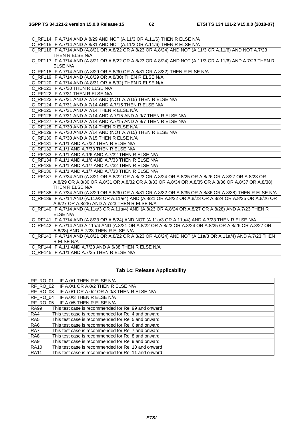| C_RF114 IF A.7/14 AND A.8/29 AND NOT (A.11/3 OR A.11/6) THEN R ELSE N/A                                     |
|-------------------------------------------------------------------------------------------------------------|
| C RF115 IF A.7/14 AND A.8/31 AND NOT (A.11/3 OR A.11/6) THEN R ELSE N/A                                     |
| C RF116 IF A.7/14 AND (A.8/21 OR A.8/22 OR A.8/23 OR A.8/24) AND NOT (A.11/3 OR A.11/6) AND NOT A.7/23      |
| THEN R ELSE N/A                                                                                             |
| C_RF117 IF A.7/14 AND (A.8/21 OR A.8/22 OR A.8/23 OR A.8/24) AND NOT (A.11/3 OR A.11/6) AND A.7/23 THEN R   |
| ELSE N/A                                                                                                    |
| C RF118 IF A.7/14 AND (A.8/29 OR A.8/30 OR A.8/31 OR A.8/32) THEN R ELSE N/A                                |
| C_RF119 IF A.7/14 AND (A.8/29 OR A.8/30) THEN R ELSE N/A                                                    |
| C_RF120 IF A.7/14 AND (A.8/31 OR A.8/32) THEN R ELSE N/A                                                    |
| C_RF121 IF A.7/30 THEN R ELSE N/A                                                                           |
| C_RF122 IF A.7/31 THEN R ELSE N/A                                                                           |
| C RF123 IF A.7/31 AND A.7/14 AND (NOT A.7/15) THEN R ELSE N/A                                               |
| C RF124 IF A.7/31 AND A.7/14 AND A.7/15 THEN R ELSE N/A                                                     |
| C_RF125 IF A.7/31 AND A.7/14 THEN R ELSE N/A                                                                |
| C_RF126 IF A.7/31 AND A.7/14 AND A.7/15 AND A.9/7 THEN R ELSE N/A                                           |
| C_RF127 IF A.7/30 AND A.7/14 AND A.7/15 AND A.9/7 THEN R ELSE N/A                                           |
| C_RF128 IF A.7/30 AND A.7/14 THEN R ELSE N/A                                                                |
| C RF129 IF A.7/30 AND A.7/14 AND (NOT A.7/15) THEN R ELSE N/A                                               |
| C_RF130 IF A.7/30 AND A.7/15 THEN R ELSE N/A                                                                |
| C RF131 IF A.1/1 AND A.7/32 THEN R ELSE N/A                                                                 |
| C_RF132 IF A.1/1 AND A.7/33 THEN R ELSE N/A                                                                 |
| C_RF133 IF A.1/1 AND A.1/6 AND A.7/32 THEN R ELSE N/A                                                       |
| C_RF134 IF A.1/1 AND A.1/6 AND A.7/33 THEN R ELSE N/A                                                       |
| C RF135 IF A.1/1 AND A.1/7 AND A.7/32 THEN R ELSE N/A                                                       |
| C_RF136 IF A.1/1 AND A.1/7 AND A.7/33 THEN R ELSE N/A                                                       |
| C_RF137 IF A.7/34 AND (A.8/21 OR A.8/22 OR A.8/23 OR A.8/24 OR A.8/25 OR A.8/26 OR A.8/27 OR A.8/28 OR      |
| A.8/29 OR A.8/30 OR A.8/31 OR A.8/32 OR A.8/33 OR A.8/34 OR A.8/35 OR A.8/36 OR A.8/37 OR A.8/38)           |
| THEN R ELSE N/A                                                                                             |
| C_RF138 IF A.7/34 AND (A.8/29 OR A.8/30 OR A.8/31 OR A.8/32 OR A.8/35 OR A.8/36 OR A.8/38) THEN R ELSE N/A  |
| C RF139 IF A.7/14 AND (A.11a/3 OR A.11a/4) AND (A.8/21 OR A.8/22 OR A.8/23 OR A.8/24 OR A.8/25 OR A.8/26 OR |
| A.8/27 OR A.8/28) AND A.7/23 THEN R ELSE N/A                                                                |
| C_RF140 IF A.7/14 AND (A.11a/3 OR A.11a/4) AND (A.8/23 OR A.8/24 OR A.8/27 OR A.8/28) AND A.7/23 THEN R     |
| ELSE N/A                                                                                                    |
| C_RF141 IF A.7/14 AND (A.8/23 OR A.8/24) AND NOT (A.11a/3 OR A.11a/4) AND A.7/23 THEN R ELSE N/A            |
| C RF142 IF A.7/14 AND A.11a/4 AND (A.8/21 OR A.8/22 OR A.8/23 OR A.8/24 OR A.8/25 OR A.8/26 OR A.8/27 OR    |
| A.8/28) AND A.7/23 THEN R ELSE N/A                                                                          |
| C RF143 IF A.7/14 AND (A.8/21 OR A.8/22 OR A.8/23 OR A.8/24) AND NOT (A.11a/3 OR A.11a/4) AND A.7/23 THEN   |
| R ELSE N/A                                                                                                  |
| C_RF144 IF A.1/1 AND A.7/23 AND A.6/38 THEN R ELSE N/A                                                      |
| C_RF145 IF A.1/1 AND A.7/35 THEN R ELSE N/A                                                                 |

## **Tab 1c: Release Applicability**

| IF A.0/1 THEN R ELSE N/A<br><b>RF RO 01</b>                           |
|-----------------------------------------------------------------------|
| RF RO 02<br>IF A.0/1 OR A.0/2 THEN R ELSE N/A                         |
| RF_RO_03<br>IF A.0/1 OR A.0/2 OR A.0/3 THEN R ELSE N/A                |
| RF RO 04<br>IF A.0/3 THEN R ELSE N/A                                  |
| RF RO 05 IF A.0/5 THEN R ELSE N/A                                     |
| <b>RA99</b><br>This test case is recommended for Rel 99 and onward    |
| RA4<br>This test case is recommended for Rel 4 and onward             |
| RA <sub>5</sub><br>This test case is recommended for Rel 5 and onward |
| RA <sub>6</sub><br>This test case is recommended for Rel 6 and onward |
| RA7<br>This test case is recommended for Rel 7 and onward             |
| RA <sub>8</sub><br>This test case is recommended for Rel 8 and onward |
| RA <sub>9</sub><br>This test case is recommended for Rel 9 and onward |
| <b>RA10</b><br>This test case is recommended for Rel 10 and onward    |
| <b>RA11</b><br>This test case is recommended for Rel 11 and onward    |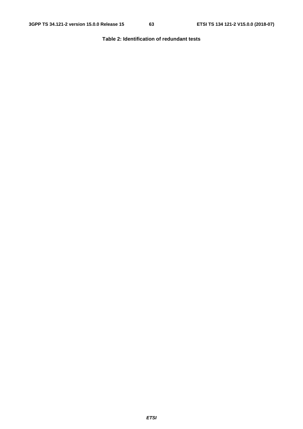### **Table 2: Identification of redundant tests**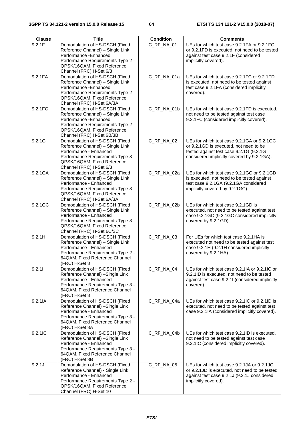| <b>Clause</b> | <b>Title</b>                                                        | <b>Condition</b> | <b>Comments</b>                                                                               |
|---------------|---------------------------------------------------------------------|------------------|-----------------------------------------------------------------------------------------------|
| 9.2.1F        | Demodulation of HS-DSCH (Fixed                                      | C_RF_NA_01       | UEs for which test case 9.2.1FA or 9.2.1FC                                                    |
|               | Reference Channel) - Single Link<br>Performance - Enhanced          |                  | or 9.2.1FD is executed, not need to be tested                                                 |
|               | Performance Requirements Type 2 -                                   |                  | against test case 9.2.1F (considered<br>implicitly covered).                                  |
|               | QPSK/16QAM, Fixed Reference                                         |                  |                                                                                               |
|               | Channel (FRC) H-Set 6/3                                             |                  |                                                                                               |
| 9.2.1FA       | Demodulation of HS-DSCH (Fixed<br>Reference Channel) - Single Link  | C_RF_NA_01a      | UEs for which test case 9.2.1FC or 9.2.1FD<br>is executed, not need to be tested against      |
|               | Performance - Enhanced                                              |                  | test case 9.2.1FA (considered implicitly                                                      |
|               | Performance Requirements Type 2 -                                   |                  | covered).                                                                                     |
|               | QPSK/16QAM, Fixed Reference<br>Channel (FRC) H-Set 6A/3A            |                  |                                                                                               |
| 9.2.1FC       | Demodulation of HS-DSCH (Fixed                                      | C_RF_NA_01b      | UEs for which test case 9.2.1FD is executed.                                                  |
|               | Reference Channel) - Single Link                                    |                  | not need to be tested against test case                                                       |
|               | Performance - Enhanced<br>Performance Requirements Type 2 -         |                  | 9.2.1FC (considered implicitly covered).                                                      |
|               | QPSK/16QAM, Fixed Reference                                         |                  |                                                                                               |
|               | Channel (FRC) H-Set 6B/3B                                           |                  |                                                                                               |
| 9.2.1G        | Demodulation of HS-DSCH (Fixed<br>Reference Channel) - Single Link  | C_RF_NA_02       | UEs for which test case 9.2.1GA or 9.2.1GC<br>or 9.2.1GD is executed, not need to be          |
|               | Performance - Enhanced                                              |                  | tested against test case 9.2.1G (9.2.1G                                                       |
|               | Performance Requirements Type 3 -                                   |                  | considered implicitly covered by 9.2.1GA).                                                    |
|               | QPSK/16QAM, Fixed Reference<br>Channel (FRC) H-Set 6/3              |                  |                                                                                               |
| 9.2.1GA       | Demodulation of HS-DSCH (Fixed                                      | C_RF_NA_02a      | UEs for which test case 9.2.1GC or 9.2.1GD                                                    |
|               | Reference Channel) - Single Link                                    |                  | is executed, not need to be tested against                                                    |
|               | Performance - Enhanced                                              |                  | test case 9.2.1GA (9.2.1GA considered                                                         |
|               | Performance Requirements Type 3 -<br>QPSK/16QAM, Fixed Reference    |                  | implicitly covered by 9.2.1GC).                                                               |
|               | Channel (FRC) H-Set 6A/3A                                           |                  |                                                                                               |
| 9.2.1GC       | Demodulation of HS-DSCH (Fixed                                      | C_RF_NA_02b      | UEs for which test case 9.2.1GD is                                                            |
|               | Reference Channel) - Single Link<br>Performance - Enhanced          |                  | executed, not need to be tested against test<br>case 9.2.1GC (9.2.1GC considered implicitly   |
|               | Performance Requirements Type 3 -                                   |                  | covered by 9.2.1GD).                                                                          |
|               | QPSK/16QAM, Fixed Reference                                         |                  |                                                                                               |
| 9.2.1H        | Channel (FRC) H-Set 6C/3C<br>Demodulation of HS-DSCH (Fixed         | C_RF_NA_03       | For UEs for which test case 9.2.1HA is                                                        |
|               | Reference Channel) - Single Link                                    |                  | executed not need to be tested against test                                                   |
|               | Performance - Enhanced                                              |                  | case 9.2.1H (9.2.1H considered implicitly                                                     |
|               | Performance Requirements Type 2 -<br>64QAM, Fixed Reference Channel |                  | covered by 9.2.1HA).                                                                          |
|               | (FRC) H-Set 8                                                       |                  |                                                                                               |
| 9.2.11        | Demodulation of HS-DSCH (Fixed                                      | C_RF_NA_04       | UEs for which test case 9.2.1IA or 9.2.1IC or                                                 |
|               | Reference Channel) -Single Link<br>Performance - Enhanced           |                  | 9.2.1ID is executed, not need to be tested<br>against test case 9.2.1I (considered implicitly |
|               | Performance Requirements Type 3 -                                   |                  | covered).                                                                                     |
|               | 64QAM, Fixed Reference Channel                                      |                  |                                                                                               |
| 9.2.1IA       | (FRC) H-Set 8<br>Demodulation of HS-DSCH (Fixed                     | C RF NA 04a      | UEs for which test case 9.2.1IC or 9.2.1ID is                                                 |
|               | Reference Channel) -Single Link                                     |                  | executed, not need to be tested against test                                                  |
|               | Performance - Enhanced                                              |                  | case 9.2.1IA (considered implicitly covered).                                                 |
|               | Performance Requirements Type 3 -<br>64QAM, Fixed Reference Channel |                  |                                                                                               |
|               | (FRC) H-Set 8A                                                      |                  |                                                                                               |
| 9.2.1IC       | Demodulation of HS-DSCH (Fixed                                      | C_RF_NA_04b      | UEs for which test case 9.2.1ID is executed,                                                  |
|               | Reference Channel) -Single Link<br>Performance - Enhanced           |                  | not need to be tested against test case<br>9.2.1IC (considered implicitly covered).           |
|               | Performance Requirements Type 3 -                                   |                  |                                                                                               |
|               | 64QAM, Fixed Reference Channel                                      |                  |                                                                                               |
| 9.2.1J        | (FRC) H-Set 8B<br>Demodulation of HS-DSCH (Fixed                    | C_RF_NA_05       | UEs for which test case 9.2.1JA or 9.2.1JC                                                    |
|               | Reference Channel) - Single Link                                    |                  | or 9.2.1JD is executed, not need to be tested                                                 |
|               | Performance - Enhanced                                              |                  | against test case 9.2.1J (9.2.1J considered                                                   |
|               | Performance Requirements Type 2 -<br>QPSK/16QAM, Fixed Reference    |                  | implicitly covered).                                                                          |
|               | Channel (FRC) H-Set 10                                              |                  |                                                                                               |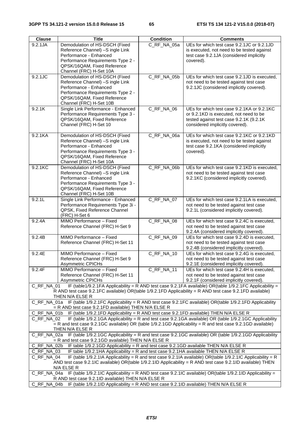| <b>Clause</b>                                                                                                                                                                | <b>Title</b>                                                                                       | <b>Condition</b> | <b>Comments</b>                                                                                                     |  |  |
|------------------------------------------------------------------------------------------------------------------------------------------------------------------------------|----------------------------------------------------------------------------------------------------|------------------|---------------------------------------------------------------------------------------------------------------------|--|--|
| 9.2.1JA                                                                                                                                                                      | Demodulation of HS-DSCH (Fixed                                                                     | C_RF_NA_05a      | UEs for which test case 9.2.1JC or 9.2.1JD                                                                          |  |  |
|                                                                                                                                                                              | Reference Channel) -S ingle Link                                                                   |                  | is executed, not need to be tested against                                                                          |  |  |
|                                                                                                                                                                              | Performance - Enhanced                                                                             |                  | test case 9.2.1JA (considered implicitly                                                                            |  |  |
|                                                                                                                                                                              | Performance Requirements Type 2 -                                                                  |                  | covered).                                                                                                           |  |  |
|                                                                                                                                                                              | QPSK/16QAM, Fixed Reference                                                                        |                  |                                                                                                                     |  |  |
|                                                                                                                                                                              | Channel (FRC) H-Set 10A                                                                            |                  |                                                                                                                     |  |  |
| 9.2.1JC                                                                                                                                                                      | Demodulation of HS-DSCH (Fixed                                                                     | C_RF_NA_05b      | UEs for which test case 9.2.1JD is executed,                                                                        |  |  |
|                                                                                                                                                                              | Reference Channel) -S ingle Link                                                                   |                  | not need to be tested against test case                                                                             |  |  |
|                                                                                                                                                                              | Performance - Enhanced                                                                             |                  | 9.2.1JC (considered implicitly covered).                                                                            |  |  |
|                                                                                                                                                                              | Performance Requirements Type 2 -<br>QPSK/16QAM, Fixed Reference                                   |                  |                                                                                                                     |  |  |
|                                                                                                                                                                              | Channel (FRC) H-Set 10B                                                                            |                  |                                                                                                                     |  |  |
| 9.2.1K                                                                                                                                                                       | Single Link Performance - Enhanced                                                                 | C_RF_NA_06       | UEs for which test case 9.2.1KA or 9.2.1KC                                                                          |  |  |
|                                                                                                                                                                              | Performance Requirements Type 3 -                                                                  |                  | or 9.2.1KD is executed, not need to be                                                                              |  |  |
|                                                                                                                                                                              | QPSK/16QAM, Fixed Reference                                                                        |                  | tested against test case 9.2.1K (9.2.1K)                                                                            |  |  |
|                                                                                                                                                                              | Channel (FRC) H-Set 10                                                                             |                  | considered implicitly covered).                                                                                     |  |  |
|                                                                                                                                                                              |                                                                                                    |                  |                                                                                                                     |  |  |
| 9.2.1KA                                                                                                                                                                      | Demodulation of HS-DSCH (Fixed                                                                     | C_RF_NA_06a      | UEs for which test case 9.2.1KC or 9.2.1KD                                                                          |  |  |
|                                                                                                                                                                              | Reference Channel) -S ingle Link<br>Performance - Enhanced                                         |                  | is executed, not need to be tested against<br>test case 9.2.1KA (considered implicitly                              |  |  |
|                                                                                                                                                                              | Performance Requirements Type 3 -                                                                  |                  | covered).                                                                                                           |  |  |
|                                                                                                                                                                              | QPSK/16QAM, Fixed Reference                                                                        |                  |                                                                                                                     |  |  |
|                                                                                                                                                                              | Channel (FRC) H-Set 10A                                                                            |                  |                                                                                                                     |  |  |
| 9.2.1KC                                                                                                                                                                      | Demodulation of HS-DSCH (Fixed                                                                     | C_RF_NA_06b      | UEs for which test case 9.2.1KD is executed,                                                                        |  |  |
|                                                                                                                                                                              | Reference Channel) -S ingle Link                                                                   |                  | not need to be tested against test case                                                                             |  |  |
|                                                                                                                                                                              | Performance - Enhanced                                                                             |                  | 9.2.1KC (considered implicitly covered).                                                                            |  |  |
|                                                                                                                                                                              | Performance Requirements Type 3 -                                                                  |                  |                                                                                                                     |  |  |
|                                                                                                                                                                              | QPSK/16QAM, Fixed Reference                                                                        |                  |                                                                                                                     |  |  |
| 9.2.1L                                                                                                                                                                       | Channel (FRC) H-Set 10B<br>Single Link Performance - Enhanced                                      | C_RF_NA_07       | UEs for which test case 9.2.1LA is executed,                                                                        |  |  |
|                                                                                                                                                                              | Performance Requirements Type 3i -                                                                 |                  | not need to be tested against test case                                                                             |  |  |
|                                                                                                                                                                              | QPSK, Fixed Reference Channel                                                                      |                  | 9.2.1L (considered implicitly covered).                                                                             |  |  |
|                                                                                                                                                                              | (FRC) H-Set 6                                                                                      |                  |                                                                                                                     |  |  |
| 9.2.4A                                                                                                                                                                       | MIMO Performance - Fixed                                                                           | C_RF_NA_08       | UEs for which test case 9.2.4C is executed,                                                                         |  |  |
|                                                                                                                                                                              | Reference Channel (FRC) H-Set 9                                                                    |                  | not need to be tested against test case                                                                             |  |  |
|                                                                                                                                                                              |                                                                                                    |                  | 9.2.4A (considered implicitly covered).                                                                             |  |  |
| 9.2.4B                                                                                                                                                                       | MIMO Performance - Fixed                                                                           | C_RF_NA_09       | UEs for which test case 9.2.4D is executed,<br>not need to be tested against test case                              |  |  |
|                                                                                                                                                                              | Reference Channel (FRC) H-Set 11                                                                   |                  | 9.2.4B (considered implicitly covered).                                                                             |  |  |
| 9.2.4E                                                                                                                                                                       | MIMO Performance - Fixed                                                                           | C_RF_NA_10       | UEs for which test case 9.2.4G is executed,                                                                         |  |  |
|                                                                                                                                                                              | Reference Channel (FRC) H-Set 9                                                                    |                  | not need to be tested against test case                                                                             |  |  |
|                                                                                                                                                                              | <b>Asymmetric CPICHs</b>                                                                           |                  | 9.2.1E (considered implicitly covered).                                                                             |  |  |
| 9.2.4F                                                                                                                                                                       | MIMO Performance - Fixed                                                                           | C_RF_NA_11       | UEs for which test case 9.2.4H is executed.                                                                         |  |  |
|                                                                                                                                                                              | Reference Channel (FRC) H-Set 11                                                                   |                  | not need to be tested against test case                                                                             |  |  |
|                                                                                                                                                                              | <b>Asymmetric CPICHs</b>                                                                           |                  | 9.2.1F (considered implicitly covered).                                                                             |  |  |
| C RF NA 01                                                                                                                                                                   |                                                                                                    |                  | IF (table1/9.2.1FA Applicability = R AND test case 9.2.1FA available) OR(table 1/9.2.1FC Applicability =            |  |  |
|                                                                                                                                                                              | THEN N/A ELSE R                                                                                    |                  | R AND test case 9.2.1FC available) OR(table 1/9.2.1FD Applicability = R AND test case 9.2.1FD available)            |  |  |
|                                                                                                                                                                              |                                                                                                    |                  | C_RF_NA_01a IF (table 1/9.2.1FC Applicability = R AND test case 9.2.1FC available) OR(table 1/9.2.1FD Applicability |  |  |
|                                                                                                                                                                              | = R AND test case 9.2.1FD available) THEN N/A ELSE R                                               |                  |                                                                                                                     |  |  |
|                                                                                                                                                                              | C_RF_NA_01b IF (table 1/9.2.1FD Applicability = R AND test case 9.2.1FD available) THEN N/A ELSE R |                  |                                                                                                                     |  |  |
| C RF NA 02                                                                                                                                                                   |                                                                                                    |                  | IF (table 1/9.2.1GA Applicability = R and test case 9.2.1GA available) OR (table 1/9.2.1GC Applicability            |  |  |
| = R and test case 9.2.1GC available) OR (table 1/9.2.1GD Applicability = R and test case 9.2.1GD available)<br>THEN N/A ELSE R                                               |                                                                                                    |                  |                                                                                                                     |  |  |
| C_RF_NA_02a IF (table 1/9.2.1GC Applicability = R and test case 9.2.1GC available) OR (table 1/9.2.1GD Applicability<br>= R and test case 9.2.1GD available) THEN N/A ELSE R |                                                                                                    |                  |                                                                                                                     |  |  |
| C RF NA 02b<br>IF table $1/9.2.1$ GD Applicability = R and test case $9.2.1$ GD available THEN N/A ELSE R                                                                    |                                                                                                    |                  |                                                                                                                     |  |  |
| C_RF_NA_03<br>IF table 1/9.2.1HA Applicability = R and test case 9.2.1HA available THEN N/A ELSE R                                                                           |                                                                                                    |                  |                                                                                                                     |  |  |
| C_RF_NA_04<br>IF (table 1/9.2.1IA Applicability = R and test case 9.2.1IA available) OR(table 1/9.2.1IC Applicability = R                                                    |                                                                                                    |                  |                                                                                                                     |  |  |
| AND test case 9.2.1IC available) OR(table 1/9.2.1ID Applicability = R AND test case 9.2.1ID available) THEN<br>N/A ELSE R                                                    |                                                                                                    |                  |                                                                                                                     |  |  |
| C_RF_NA_04a IF (table 1/9.2.1IC Applicability = R AND test case 9.2.1IC available) OR(table 1/9.2.1ID Applicability =                                                        |                                                                                                    |                  |                                                                                                                     |  |  |
| R AND test case 9.2.1ID available) THEN N/A ELSE R                                                                                                                           |                                                                                                    |                  |                                                                                                                     |  |  |
| IF (table 1/9.2.1ID Applicability = R AND test case 9.2.1ID available) THEN N/A ELSE R<br>C_RF_NA_04b                                                                        |                                                                                                    |                  |                                                                                                                     |  |  |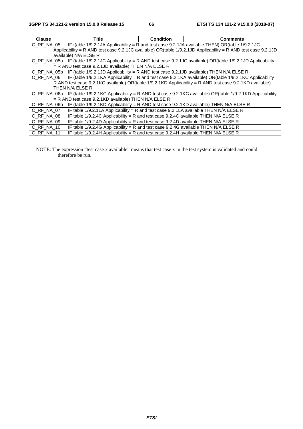| <b>Clause</b>                                                                                    | Title                                                                                                              | <b>Condition</b> | Comments                                                                                                               |  |  |  |
|--------------------------------------------------------------------------------------------------|--------------------------------------------------------------------------------------------------------------------|------------------|------------------------------------------------------------------------------------------------------------------------|--|--|--|
|                                                                                                  | IF t(able $1/9.2.1$ JA Applicability = R and test case 9.2.1JA available THEN) OR(table $1/9.2.1$ JC<br>C_RF_NA_05 |                  |                                                                                                                        |  |  |  |
|                                                                                                  |                                                                                                                    |                  | Applicability = R AND test case $9.2.1$ JC available) OR(table $1/9.2.1$ JD Applicability = R AND test case $9.2.1$ JD |  |  |  |
|                                                                                                  | available) N/A ELSE R                                                                                              |                  |                                                                                                                        |  |  |  |
|                                                                                                  |                                                                                                                    |                  | C_RF_NA_05a IF (table 1/9.2.1JC Applicability = R AND test case 9.2.1JC available) OR(table 1/9.2.1JD Applicability    |  |  |  |
|                                                                                                  | $=$ R AND test case 9.2.1JD available) THEN N/A ELSE R                                                             |                  |                                                                                                                        |  |  |  |
|                                                                                                  | C RF NA 05b IF (table 1/9.2.1JD Applicability = R AND test case 9.2.1JD available) THEN N/A ELSE R                 |                  |                                                                                                                        |  |  |  |
| C RF NA 06                                                                                       |                                                                                                                    |                  | IF (table 1/9.2.1KA Applicability = R and test case 9.2.1KA available) OR(table 1/9.2.1KC Applicability =              |  |  |  |
|                                                                                                  |                                                                                                                    |                  | R AND test case 9.2.1KC available) OR(table 1/9.2.1KD Applicability = R AND test case 9.2.1KD available)               |  |  |  |
|                                                                                                  | THEN N/A ELSE R                                                                                                    |                  |                                                                                                                        |  |  |  |
|                                                                                                  |                                                                                                                    |                  | C_RF_NA_06a IF (table 1/9.2.1KC Applicability = R AND test case 9.2.1KC available) OR(table 1/9.2.1KD Applicability    |  |  |  |
|                                                                                                  | $=$ R AND test case 9.2.1KD available) THEN N/A ELSE R                                                             |                  |                                                                                                                        |  |  |  |
| C RF NA 06b                                                                                      | IF (table 1/9.2.1KD Applicability = R AND test case 9.2.1KD available) THEN N/A ELSE R                             |                  |                                                                                                                        |  |  |  |
| C RF NA 07                                                                                       | IF table 1/9.2.1LA Applicability = R and test case 9.2.1LA available THEN N/A ELSE R                               |                  |                                                                                                                        |  |  |  |
| IF table 1/9.2.4C Applicability = R and test case 9.2.4C available THEN N/A ELSE R<br>C RF NA 08 |                                                                                                                    |                  |                                                                                                                        |  |  |  |
| IF table 1/9.2.4D Applicability = R and test case 9.2.4D available THEN N/A ELSE R<br>C_RF_NA_09 |                                                                                                                    |                  |                                                                                                                        |  |  |  |
| IF table 1/9.2.4G Applicability = R and test case 9.2.4G available THEN N/A ELSE R<br>C RF NA 10 |                                                                                                                    |                  |                                                                                                                        |  |  |  |
| C RF NA 11                                                                                       | IF table $1/9.2.4$ H Applicability = R and test case 9.2.4H available THEN N/A ELSE R                              |                  |                                                                                                                        |  |  |  |

NOTE: The expression "test case x available" means that test case x in the test system is validated and could therefore be run.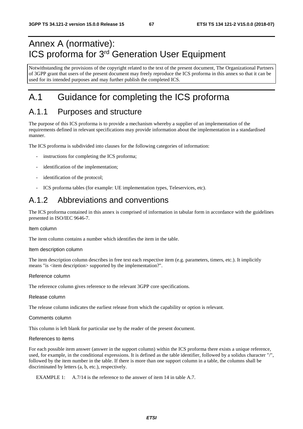# Annex A (normative): ICS proforma for 3rd Generation User Equipment

Notwithstanding the provisions of the copyright related to the text of the present document, The Organizational Partners of 3GPP grant that users of the present document may freely reproduce the ICS proforma in this annex so that it can be used for its intended purposes and may further publish the completed ICS.

# A.1 Guidance for completing the ICS proforma

## A.1.1 Purposes and structure

The purpose of this ICS proforma is to provide a mechanism whereby a supplier of an implementation of the requirements defined in relevant specifications may provide information about the implementation in a standardised manner.

The ICS proforma is subdivided into clauses for the following categories of information:

- instructions for completing the ICS proforma;
- identification of the implementation;
- identification of the protocol;
- ICS proforma tables (for example: UE implementation types, Teleservices, etc).

## A.1.2 Abbreviations and conventions

The ICS proforma contained in this annex is comprised of information in tabular form in accordance with the guidelines presented in ISO/IEC 9646-7.

#### Item column

The item column contains a number which identifies the item in the table.

#### Item description column

The item description column describes in free text each respective item (e.g. parameters, timers, etc.). It implicitly means "is <item description> supported by the implementation?".

#### Reference column

The reference column gives reference to the relevant 3GPP core specifications.

#### Release column

The release column indicates the earliest release from which the capability or option is relevant.

#### Comments column

This column is left blank for particular use by the reader of the present document.

#### References to items

For each possible item answer (answer in the support column) within the ICS proforma there exists a unique reference, used, for example, in the conditional expressions. It is defined as the table identifier, followed by a solidus character "/", followed by the item number in the table. If there is more than one support column in a table, the columns shall be discriminated by letters (a, b, etc.), respectively.

EXAMPLE 1: A.7/14 is the reference to the answer of item 14 in table A.7.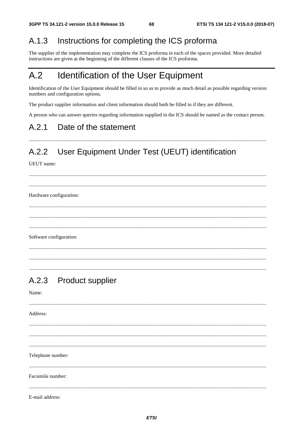#### Instructions for completing the ICS proforma  $A.1.3$

The supplier of the implementation may complete the ICS proforma in each of the spaces provided. More detailed instructions are given at the beginning of the different clauses of the ICS proforma.

#### Identification of the User Equipment  $A<sub>2</sub>$

Identification of the User Equipment should be filled in so as to provide as much detail as possible regarding version numbers and configuration options.

The product supplier information and client information should both be filled in if they are different.

A person who can answer queries regarding information supplied in the ICS should be named as the contact person.

#### A 2 1 Date of the statement

#### User Equipment Under Test (UEUT) identification  $A.2.2$

UEUT name:

Hardware configuration: Software configuration: 

#### **Product supplier**  $A.2.3$

Name:

| Address:          |  |
|-------------------|--|
|                   |  |
|                   |  |
| Telephone number: |  |
| Facsimile number: |  |
| E-mail address:   |  |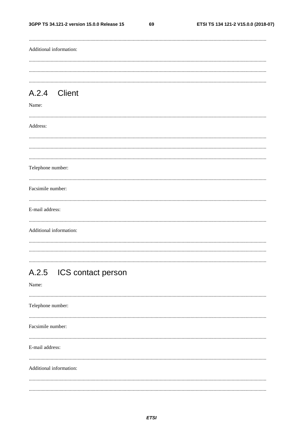69

#### Additional information:

## A.2.4 Client

Name:

| Address:                |  |
|-------------------------|--|
|                         |  |
|                         |  |
|                         |  |
| Telephone number:       |  |
|                         |  |
| Facsimile number:       |  |
|                         |  |
| E-mail address:         |  |
|                         |  |
| Additional information: |  |
|                         |  |
|                         |  |

# A.2.5 ICS contact person

Name:

| Telephone number:       |
|-------------------------|
| Facsimile number:       |
| E-mail address:         |
| Additional information: |
|                         |
|                         |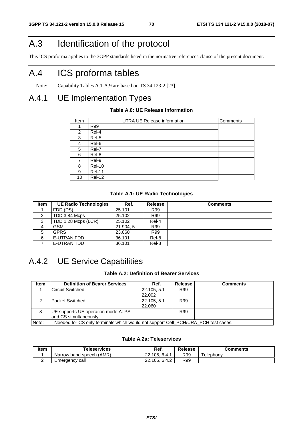# A.3 Identification of the protocol

This ICS proforma applies to the 3GPP standards listed in the normative references clause of the present document.

# A.4 ICS proforma tables

Note: Capability Tables A.1-A.9 are based on TS 34.123-2 [23].

## A.4.1 UE Implementation Types

### **Table A.0: UE Release information**

| Item | <b>UTRA UE Release information</b> | Comments |
|------|------------------------------------|----------|
|      | R99                                |          |
| 2    | Rel-4                              |          |
| 3    | Rel-5                              |          |
| 4    | Rel-6                              |          |
| 5    | Rel-7                              |          |
| 6    | Rel-8                              |          |
|      | Rel-9                              |          |
| 8    | <b>Rel-10</b>                      |          |
| 9    | <b>Rel-11</b>                      |          |
| 10   | <b>Rel-12</b>                      |          |

#### **Table A.1: UE Radio Technologies**

| <b>Item</b> | <b>UE Radio Technologies</b> | Ref.      | <b>Release</b> | <b>Comments</b> |
|-------------|------------------------------|-----------|----------------|-----------------|
|             | FDD (DS)                     | 25.101    | R99            |                 |
|             | TDD 3.84 Mcps                | 25.102    | R99            |                 |
|             | TDD 1.28 Mcps (LCR)          | 25.102    | Rel-4          |                 |
|             | <b>GSM</b>                   | 21.904, 5 | R99            |                 |
|             | <b>GPRS</b>                  | 23,060    | R99            |                 |
| 6           | E-UTRAN FDD                  | 36.101    | Rel-8          |                 |
|             | E-UTRAN TDD                  | 36.101    | Rel-8          |                 |

## A.4.2 UE Service Capabilities

### **Table A.2: Definition of Bearer Services**

| <b>Item</b> | <b>Definition of Bearer Services</b>                                              | Ref.        | Release | <b>Comments</b> |
|-------------|-----------------------------------------------------------------------------------|-------------|---------|-----------------|
|             | Circuit Switched                                                                  | 22.105, 5.1 | R99     |                 |
|             |                                                                                   | 22,002      |         |                 |
| 2           | Packet Switched                                                                   | 22.105, 5.1 | R99     |                 |
|             |                                                                                   | 22.060      |         |                 |
| 3           | UE supports UE operation mode A: PS                                               |             | R99     |                 |
|             | and CS simultaneously                                                             |             |         |                 |
| Note:       | Needed for CS only terminals which would not support Cell_PCH/URA_PCH test cases. |             |         |                 |

#### **Table A.2a: Teleservices**

| <b>Item</b> | <b>Teleservices</b>      | Ref.             | Release | Comments  |
|-------------|--------------------------|------------------|---------|-----------|
|             | Narrow band speech (AMR) | 22.105.<br>6.4.1 | R99     | Telephony |
|             | call<br>Emergency        | 22.105.<br>6.4.2 | R99     |           |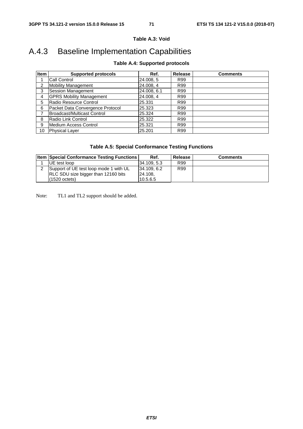#### **Table A.3: Void**

# A.4.3 Baseline Implementation Capabilities

### **Table A.4: Supported protocols**

| Item           | <b>Supported protocols</b>       | Ref.        | Release | <b>Comments</b> |
|----------------|----------------------------------|-------------|---------|-----------------|
|                | <b>Call Control</b>              | 24.008, 5   | R99     |                 |
| $\overline{2}$ | <b>Mobility Management</b>       | 24.008, 4   | R99     |                 |
| 3              | Session Management               | 24.008, 6.1 | R99     |                 |
| $\overline{4}$ | <b>GPRS Mobility Management</b>  | 24.008, 4   | R99     |                 |
| 5              | Radio Resource Control           | 25.331      | R99     |                 |
| 6              | Packet Data Convergence Protocol | 25.323      | R99     |                 |
|                | Broadcast/Multicast Control      | 25.324      | R99     |                 |
| 8              | Radio Link Control               | 25.322      | R99     |                 |
| 9              | Medium Access Control            | 25.321      | R99     |                 |
| 10             | Physical Layer                   | 25.201      | R99     |                 |

### **Table A.5: Special Conformance Testing Functions**

| <b>Item Special Conformance Testing Functions  </b> | Ref.        | Release | <b>Comments</b> |
|-----------------------------------------------------|-------------|---------|-----------------|
| UE test loop                                        | 34.109, 5.3 | R99     |                 |
| Support of UE test loop mode 1 with UL              | 34.109, 6.2 | R99     |                 |
| RLC SDU size bigger than 12160 bits                 | 24.108      |         |                 |
| $(1520 \text{ octets})$                             | 10.5.6.5    |         |                 |

Note: TL1 and TL2 support should be added.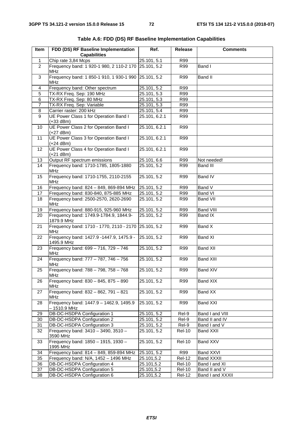| <b>Item</b>         | FDD (DS) RF Baseline Implementation                                | Ref.                      | Release       | <b>Comments</b>  |
|---------------------|--------------------------------------------------------------------|---------------------------|---------------|------------------|
|                     | <b>Capabilities</b><br>Chip rate 3,84 Mcps                         | 25.101, 5.1               | R99           |                  |
| 1<br>$\overline{2}$ | Frequency band: 1 920-1 980, 2 110-2 170 25.101, 5.2               |                           | <b>R99</b>    | Band I           |
|                     | <b>MHz</b>                                                         |                           |               |                  |
| $\overline{3}$      | Frequency band: 1 850-1 910, 1 930-1 990 25.101, 5.2<br><b>MHz</b> |                           | R99           | Band II          |
| 4                   | Frequency band: Other spectrum                                     | 25.101, 5.2               | R99           |                  |
| 5                   | TX-RX Freq. Sep: 190 MHz                                           | $\overline{25.101}$ , 5.3 | <b>R99</b>    |                  |
| 6                   | TX-RX Freq. Sep: 80 MHz                                            | 25.101, 5.3               | R99           |                  |
| $\overline{7}$      | TX-RX Freq. Sep: Variable                                          | 25.101, 5.3               | R99           |                  |
| 8                   | Carrier raster: 200 kHz                                            | 25.101, 5.4               | R99           |                  |
| 9                   | UE Power Class 1 for Operation Band I<br>$(+33$ dBm)               | 25.101, 6.2.1             | <b>R99</b>    |                  |
| 10                  | UE Power Class 2 for Operation Band I<br>(+27 dBm)                 | 25.101, 6.2.1             | <b>R99</b>    |                  |
| 11                  | UE Power Class 3 for Operation Band I<br>(+24 dBm)                 | 25.101, 6.2.1             | R99           |                  |
| 12                  | UE Power Class 4 for Operation Band I<br>$(+21$ dBm)               | 25.101, 6.2.1             | <b>R99</b>    |                  |
| 13                  | Output RF spectrum emissions                                       | 25.101, 6.6               | R99           | Not needed!      |
| 14                  | Frequency band: 1710-1785, 1805-1880<br><b>MHz</b>                 | 25.101, 5.2               | R99           | <b>Band III</b>  |
| 15                  | Frequency band: 1710-1755, 2110-2155<br><b>MHz</b>                 | 25.101, 5.2               | R99           | Band IV          |
| 16                  | Frequency band: 824 - 849, 869-894 MHz                             | 25.101, 5.2               | R99           | Band V           |
| 17                  | Frequency band: 830-840, 875-885 MHz                               | 25.101, 5.2               | R99           | <b>Band VI</b>   |
| 18                  | Frequency band: 2500-2570, 2620-2690<br><b>MHz</b>                 | 25.101, 5.2               | R99           | <b>Band VII</b>  |
| 19                  | Frequency band: 880-915, 925-960 MHz                               | 25.101, 5.2               | <b>R99</b>    | <b>Band VIII</b> |
| 20                  | Frequency band: 1749.9-1784.9, 1844.9-<br>1879.9 MHz               | 25.101, 5.2               | <b>R99</b>    | Band IX          |
| 21                  | Frequency band: 1710 - 1770, 2110 - 2170<br>MHz.                   | 25.101, 5.2               | <b>R99</b>    | Band X           |
| 22                  | Frequency band: 1427.9 -1447.9, 1475.9 -<br>1495.9 MHz             | 25.101, 5.2               | R99           | <b>Band XI</b>   |
| 23                  | Frequency band: 699 - 716, 729 - 746<br><b>MHz</b>                 | 25.101, 5.2               | R99           | <b>Band XII</b>  |
| 24                  | Frequency band: 777 - 787, 746 - 756<br><b>MHz</b>                 | 25.101, 5.2               | R99           | <b>Band XIII</b> |
| 25                  | Frequency band: 788 - 798, 758 - 768<br><b>MHz</b>                 | 25.101, 5.2               | R99           | Band XIV         |
| 26                  | Frequency band: 830 - 845, 875 - 890<br><b>MHz</b>                 | 25.101, 5.2               | R99           | Band XIX         |
| 27                  | Frequency band: 832 - 862, 791 - 821<br><b>MHz</b>                 | 25.101, 5.2               | R99           | Band XX          |
| 28                  | Frequency band: 1447.9 - 1462.9, 1495.9<br>- 1510.9 MHz            | 25.101, 5.2               | R99           | <b>Band XXI</b>  |
| 29                  | DB-DC-HSDPA Configuration 1                                        | 25.101, 5.2               | Rel-9         | Band I and VIII  |
| 30                  | DB-DC-HSDPA Configuration 2                                        | 25.101, 5.2               | Rel-9         | Band II and IV   |
| 31                  | DB-DC-HSDPA Configuration 3                                        | 25.101, 5.2               | Rel-9         | Band I and V     |
| 32                  | Frequency band: 3410 - 3490, 3510 -<br>3590 MHz                    | 25.101, 5.2               | <b>Rel-10</b> | <b>Band XXII</b> |
| 33                  | Frequency band: 1850 - 1915, 1930 -<br>1995 MHz                    | 25.101, 5.2               | <b>Rel-10</b> | Band XXV         |
| 34                  | Frequency band: 814 - 849, 859-894 MHz                             | 25.101, 5.2               | R99           | Band XXVI        |
| 35                  | Frequency band: N/A, 1452 - 1496 MHz                               | 25.101, 5.2               | <b>Rel-12</b> | Band XXXII       |
| 36                  | DB-DC-HSDPA Configuration 4                                        | 25.101,5.2                | <b>Rel-10</b> | Band I and XI    |
| 37                  | DB-DC-HSDPA Configuration 5                                        | 25.101,5.2                | <b>Rel-10</b> | Band II and V    |
| 38                  | DB-DC-HSDPA Configuration 6                                        | 25.101,5.2                | <b>Rel-12</b> | Band I and XXXII |

## **Table A.6: FDD (DS) RF Baseline Implementation Capabilities**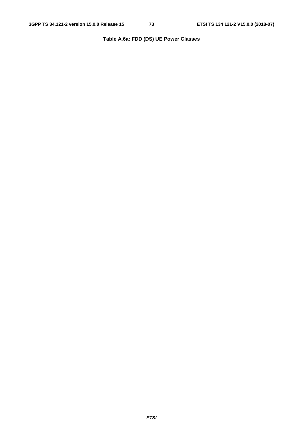**Table A.6a: FDD (DS) UE Power Classes**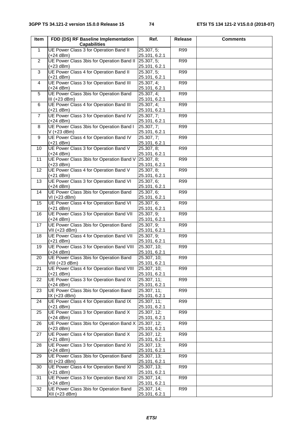| Item           | FDD (DS) RF Baseline Implementation<br><b>Capabilities</b>          | Ref.                         | <b>Release</b> | <b>Comments</b> |
|----------------|---------------------------------------------------------------------|------------------------------|----------------|-----------------|
| $\mathbf{1}$   | UE Power Class 3 for Operation Band II<br>(+24 dBm)                 | 25.307, 5;<br>25.101, 6.2.1  | <b>R99</b>     |                 |
| $\overline{2}$ | UE Power Class 3bis for Operation Band II<br>$(+23$ dBm)            | 25.307, 5;<br>25.101, 6.2.1  | R99            |                 |
| $\mathfrak{B}$ | UE Power Class 4 for Operation Band II<br>$(+21$ dBm)               | 25.307, 5;<br>25.101, 6.2.1  | R99            |                 |
| $\overline{4}$ | UE Power Class 3 for Operation Band III<br>$(+24$ dBm)              | 25.307, 4;<br>25.101, 6.2.1  | R99            |                 |
| $\overline{5}$ | UE Power Class 3bis for Operation Band<br>$III (+23 dBm)$           | 25.307, 4;<br>25.101, 6.2.1  | R99            |                 |
| 6              | UE Power Class 4 for Operation Band III<br>$(+21$ dBm)              | 25.307, 4;<br>25.101, 6.2.1  | <b>R99</b>     |                 |
| $\overline{7}$ | UE Power Class 3 for Operation Band IV<br>$(+24$ dBm)               | 25.307, 7;<br>25.101, 6.2.1  | R99            |                 |
| 8              | UE Power Class 3bis for Operation Band I<br>V (+23 dBm)             | 25.307, 7;<br>25.101, 6.2.1  | R99            |                 |
| 9              | UE Power Class 4 for Operation Band IV<br>(+21 dBm)                 | 25.307, 7;<br>25.101, 6.2.1  | R99            |                 |
| 10             | UE Power Class 3 for Operation Band V<br>$(+24$ dBm)                | 25.307, 8;<br>25.101, 6.2.1  | R99            |                 |
| 11             | UE Power Class 3bis for Operation Band V<br>$(+23$ dBm)             | 25.307, 8;<br>25.101, 6.2.1  | <b>R99</b>     |                 |
| 12             | UE Power Class 4 for Operation Band V<br>$(+21$ dBm)                | 25.307, 8;<br>25.101, 6.2.1  | R99            |                 |
| 13             | UE Power Class 3 for Operation Band VI<br>$(+24$ dBm)               | 25.307, 6;<br>25.101, 6.2.1  | R99            |                 |
| 14             | UE Power Class 3bis for Operation Band<br>VI (+23 dBm)              | 25.307, 6;<br>25.101, 6.2.1  | R99            |                 |
| 15             | UE Power Class 4 for Operation Band VI<br>$(+21$ dBm)               | 25.307, 6;<br>25.101, 6.2.1  | R99            |                 |
| 16             | UE Power Class 3 for Operation Band VII<br>$(+24$ dBm)              | 25.307, 9;<br>25.101, 6.2.1  | R99            |                 |
| 17             | UE Power Class 3bis for Operation Band<br>VII (+23 dBm)             | 25.307, 9;<br>25.101, 6.2.1  | R99            |                 |
| 18             | UE Power Class 4 for Operation Band VII<br>$(+21$ dBm)              | 25.307, 9;<br>25.101, 6.2.1  | R99            |                 |
| 19             | UE Power Class 3 for Operation Band VIII<br>(+24 dBm)               | 25.307, 10;<br>25.101, 6.2.1 | R99            |                 |
| 20             | UE Power Class 3bis for Operation Band<br>$VIII$ (+23 dBm)          | 25.307, 10;<br>25.101, 6.2.1 | R99            |                 |
| 21             | UE Power Class 4 for Operation Band VIII<br>$(+21$ dBm)             | 25.307, 10;<br>25.101, 6.2.1 | R99            |                 |
| 22             | UE Power Class 3 for Operation Band IX<br>$(+24$ dBm)               | 25.307, 11;<br>25.101, 6.2.1 | R99            |                 |
| 23             | UE Power Class 3bis for Operation Band<br>IX (+23 dBm)              | 25.307, 11;<br>25.101, 6.2.1 | R99            |                 |
| 24             | UE Power Class 4 for Operation Band IX<br>(+21 dBm)                 | 25.307, 11;<br>25.101, 6.2.1 | R99            |                 |
| 25             | UE Power Class 3 for Operation Band X<br>(+24 dBm)                  | 25.307, 12;<br>25.101, 6.2.1 | R99            |                 |
| 26             | UE Power Class 3bis for Operation Band X 25.307, 12;<br>$(+23$ dBm) | 25.101, 6.2.1                | R99            |                 |
| 27             | UE Power Class 4 for Operation Band X<br>$(+21$ dBm)                | 25.307, 12;<br>25.101, 6.2.1 | <b>R99</b>     |                 |
| 28             | UE Power Class 3 for Operation Band XI<br>$(+24$ dBm)               | 25.307, 13;<br>25.101, 6.2.1 | R99            |                 |
| 29             | UE Power Class 3bis for Operation Band<br>XI (+23 dBm)              | 25.307, 13;<br>25.101, 6.2.1 | R99            |                 |
| 30             | UE Power Class 4 for Operation Band XI<br>(+21 dBm)                 | 25.307, 13;<br>25.101, 6.2.1 | R99            |                 |
| 31             | UE Power Class 3 for Operation Band XII<br>$(+24$ dBm)              | 25.307, 14;<br>25.101, 6.2.1 | R99            |                 |
| 32             | UE Power Class 3bis for Operation Band<br>XII (+23 dBm)             | 25.307, 14;<br>25.101, 6.2.1 | R99            |                 |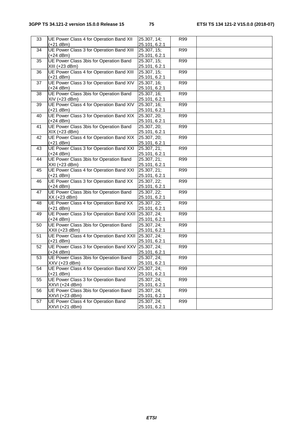| 33 | UE Power Class 4 for Operation Band XII<br>$(+21$ dBm)             | 25.307, 14;<br>25.101, 6.2.1 | R99 |  |
|----|--------------------------------------------------------------------|------------------------------|-----|--|
| 34 | UE Power Class 3 for Operation Band XIII                           | 25.307, 15;                  | R99 |  |
|    | (+24 dBm)                                                          | 25.101, 6.2.1                |     |  |
| 35 | UE Power Class 3bis for Operation Band                             | 25.307, 15;                  | R99 |  |
|    | XIII (+23 dBm)                                                     | 25.101, 6.2.1                |     |  |
| 36 | UE Power Class 4 for Operation Band XIII<br>$(+21$ dBm)            | 25.307, 15;<br>25.101, 6.2.1 | R99 |  |
| 37 | UE Power Class 3 for Operation Band XIV                            | 25.307, 16;                  | R99 |  |
|    | (+24 dBm)                                                          | 25.101, 6.2.1                |     |  |
| 38 | UE Power Class 3bis for Operation Band                             | 25.307, 16;                  | R99 |  |
|    | XIV (+23 dBm)                                                      | 25.101, 6.2.1                |     |  |
| 39 | UE Power Class 4 for Operation Band XIV                            | 25.307, 16;                  | R99 |  |
|    | (+21 dBm)                                                          | 25.101, 6.2.1                |     |  |
| 40 | UE Power Class 3 for Operation Band XIX                            | 25.307, 20;                  | R99 |  |
|    | $(+24$ dBm)                                                        | 25.101, 6.2.1                |     |  |
| 41 | UE Power Class 3bis for Operation Band                             | 25.307, 20;                  | R99 |  |
|    | $XIX (+23 dBm)$                                                    | 25.101, 6.2.1                |     |  |
| 42 | UE Power Class 4 for Operation Band XIX                            | 25.307, 20;                  | R99 |  |
| 43 | $(+21$ dBm)<br>UE Power Class 3 for Operation Band XXI             | 25.101, 6.2.1<br>25.307, 21; | R99 |  |
|    | $(+24$ dBm)                                                        | 25.101, 6.2.1                |     |  |
| 44 | UE Power Class 3bis for Operation Band                             | 25.307, 21;                  | R99 |  |
|    | XXI (+23 dBm)                                                      | 25.101, 6.2.1                |     |  |
| 45 | UE Power Class 4 for Operation Band XXI                            | 25.307, 21;                  | R99 |  |
|    | $(+21$ dBm)                                                        | 25.101, 6.2.1                |     |  |
| 46 | UE Power Class 3 for Operation Band XX                             | 25.307, 22;                  | R99 |  |
|    | (+24 dBm)                                                          | 25.101, 6.2.1                |     |  |
| 47 | UE Power Class 3bis for Operation Band                             | 25.307, 22;                  | R99 |  |
|    | XX (+23 dBm)                                                       | 25.101, 6.2.1                |     |  |
| 48 | UE Power Class 4 for Operation Band XX                             | 25.307, 22;                  | R99 |  |
| 49 | (+21 dBm)<br>UE Power Class 3 for Operation Band XXII              | 25.101, 6.2.1<br>25.307, 24; | R99 |  |
|    | (+24 dBm)                                                          | 25.101, 6.2.1                |     |  |
| 50 | UE Power Class 3bis for Operation Band                             | 25.307, 24;                  | R99 |  |
|    | XXII (+23 dBm)                                                     | 25.101, 6.2.1                |     |  |
| 51 | UE Power Class 4 for Operation Band XXII                           | 25.307, 24;                  | R99 |  |
|    | (+21 dBm)                                                          | 25.101, 6.2.1                |     |  |
| 52 | UE Power Class 3 for Operation Band XXV 25.307, 24;                |                              | R99 |  |
|    | $(+24$ dBm)                                                        | 25.101, 6.2.1                |     |  |
| 53 | UE Power Class 3bis for Operation Band                             | 25.307, 24;                  | R99 |  |
|    | XXV (+23 dBm)                                                      | 25.101, 6.2.1                |     |  |
| 54 | UE Power Class 4 for Operation Band XXV 25.307, 24;<br>$(+21$ dBm) | 25.101, 6.2.1                | R99 |  |
| 55 | UE Power Class 3 for Operation Band                                | 25.307, 24;                  | R99 |  |
|    | XXVI (+24 dBm)                                                     | 25.101, 6.2.1                |     |  |
| 56 | UE Power Class 3bis for Operation Band                             | 25.307, 24;                  | R99 |  |
|    | XXVI (+23 dBm)                                                     | 25.101, 6.2.1                |     |  |
| 57 | UE Power Class 4 for Operation Band                                | 25.307, 24;                  | R99 |  |
|    | XXVI (+21 dBm)                                                     | 25.101, 6.2.1                |     |  |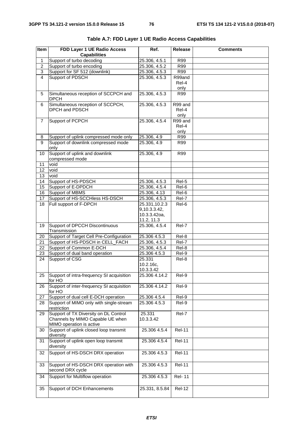| Item            | FDD Layer 1 UE Radio Access<br><b>Capabilities</b>     | Ref.           | Release       | <b>Comments</b> |
|-----------------|--------------------------------------------------------|----------------|---------------|-----------------|
| 1               | Support of turbo decoding                              | 25.306, 4.5.1  | R99           |                 |
|                 | Support of turbo encoding                              | 25.306, 4.5.2  |               |                 |
| $\overline{c}$  |                                                        |                | R99           |                 |
| 3               | Support for SF 512 (downlink)                          | 25.306, 4.5.3  | R99           |                 |
| $\overline{4}$  | Support of PDSCH                                       | 25.306, 4.5.3  | R99and        |                 |
|                 |                                                        |                | Rel-4         |                 |
|                 |                                                        |                | only          |                 |
| 5               | Simultaneous reception of SCCPCH and<br><b>DPCH</b>    | 25.306, 4.5.3  | R99           |                 |
| 6               | Simultaneous reception of SCCPCH,                      | 25.306, 4.5.3  | R99 and       |                 |
|                 | DPCH and PDSCH                                         |                | Rel-4         |                 |
|                 |                                                        |                | only          |                 |
| $\overline{7}$  | Support of PCPCH                                       | 25.306, 4.5.4  | R99 and       |                 |
|                 |                                                        |                | Rel-4         |                 |
|                 |                                                        |                | only          |                 |
| 8               | Support of uplink compressed mode only                 | 25.306, 4.9    | R99           |                 |
| 9               | Support of downlink compressed mode                    | 25.306, 4.9    | R99           |                 |
|                 | only                                                   |                |               |                 |
| 10              | Support of uplink and downlink                         | 25.306, 4.9    | R99           |                 |
|                 | compressed mode                                        |                |               |                 |
| 11              | void                                                   |                |               |                 |
| 12              | void                                                   |                |               |                 |
| 13              | void                                                   |                |               |                 |
| 14              | Support of HS-PDSCH                                    | 25.306, 4.5.3  | Rel-5         |                 |
| 15              | Support of E-DPDCH                                     | 25.306, 4.5.4  | Rel-6         |                 |
| 16              | Support of MBMS                                        | 25.306, 4.13   | Rel-6         |                 |
| 17              | Support of HS-SCCHless HS-DSCH                         | 25.306, 4.5.3  | Rel-7         |                 |
| 18              | Full support of F-DPCH                                 | 25.331,10.2.3  | Rel-6         |                 |
|                 |                                                        | 9,10.3.3.42,   |               |                 |
|                 |                                                        | 10.3.3.42oa,   |               |                 |
|                 |                                                        | 11.2, 11.3     |               |                 |
| 19              | Support of DPCCH Discontinuous                         | 25.306, 4.5.4  | Rel-7         |                 |
|                 | Transmission                                           |                |               |                 |
| 20              | Support of Target Cell Pre-Configuration               | 25.306 4.5.3   | Rel-8         |                 |
| 21              | Support of HS-PDSCH in CELL_FACH                       | 25.306, 4.5.3  | Rel-7         |                 |
| 22              | Support of Common E-DCH                                | 25.306, 4.5.4  | Rel-8         |                 |
| 23              | Support of dual band operation                         | 25.306 4.5.3   | Rel-9         |                 |
| 24              | Support of CSG                                         | 25.331         | Rel-8         |                 |
|                 |                                                        | 10.2.16c,      |               |                 |
|                 |                                                        | 10.3.3.42      |               |                 |
| $\overline{25}$ | Support of intra-frequency SI acquisition              | 25.306 4.14.2  | $ReI-9$       |                 |
|                 | for HO                                                 |                |               |                 |
| 26              | Support of inter-frequency SI acquisition              | 25.306 4.14.2  | Rel-9         |                 |
|                 | for HO                                                 |                |               |                 |
| 27              | Support of dual cell E-DCH operation                   | 25.306 4.5.4   | Rel-9         |                 |
| 28              | Support of MIMO only with single-stream<br>restriction | 25.306 4.5.3   | Rel-9         |                 |
| 29              | Support of TX Diversity on DL Control                  | 25.331         | Rel-7         |                 |
|                 | Channels by MIMO Capable UE when                       | 10.3.3.42      |               |                 |
|                 | MIMO operation is active                               |                |               |                 |
| 30              | Support of uplink closed loop transmit                 | 25.306 4.5.4   | <b>Rel-11</b> |                 |
|                 | diversity                                              |                |               |                 |
| 31              | Support of uplink open loop transmit                   | 25.306 4.5.4   | <b>Rel-11</b> |                 |
|                 | diversity                                              |                |               |                 |
| 32              | Support of HS-DSCH DRX operation                       | 25.306 4.5.3   | <b>Rel-11</b> |                 |
|                 |                                                        |                |               |                 |
| 33              | Support of HS-DSCH DRX operation with                  | 25.306 4.5.3   | Rel-11        |                 |
|                 | second DRX cycle                                       |                |               |                 |
| 34              | Support for Multiflow operation                        | 25.306 4.5.3   | <b>Rel-11</b> |                 |
|                 |                                                        |                |               |                 |
| 35              | Support of DCH Enhancements                            | 25.331, 8.5.84 | <b>Rel-12</b> |                 |
|                 |                                                        |                |               |                 |

**Table A.7: FDD Layer 1 UE Radio Access Capabilities**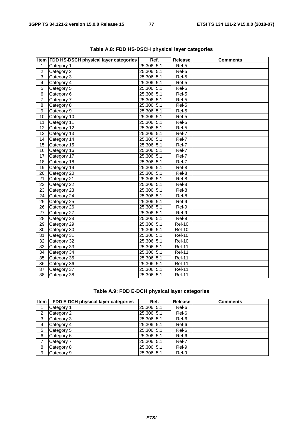|                 | Item FDD HS-DSCH physical layer categories | Ref.        | <b>Release</b> | <b>Comments</b> |
|-----------------|--------------------------------------------|-------------|----------------|-----------------|
| 1               | Category 1                                 | 25.306, 5.1 | Rel-5          |                 |
| 2               | Category 2                                 | 25.306, 5.1 | Rel-5          |                 |
| 3               | Category 3                                 | 25.306, 5.1 | Rel-5          |                 |
| $\overline{4}$  | Category 4                                 | 25.306, 5.1 | Rel-5          |                 |
| $\overline{5}$  | Category 5                                 | 25.306, 5.1 | Rel-5          |                 |
| $\overline{6}$  | Category 6                                 | 25.306, 5.1 | Rel-5          |                 |
| $\overline{7}$  | Category 7                                 | 25.306, 5.1 | Rel-5          |                 |
| 8               | Category 8                                 | 25.306, 5.1 | Rel-5          |                 |
| 9               | Category 9                                 | 25.306, 5.1 | Rel-5          |                 |
| 10              | Category 10                                | 25.306, 5.1 | Rel-5          |                 |
| 11              | Category 11                                | 25.306, 5.1 | Rel-5          |                 |
| 12              | Category 12                                | 25.306, 5.1 | Rel-5          |                 |
| 13              | Category 13                                | 25.306, 5.1 | Rel-7          |                 |
| 14              | Category 14                                | 25.306, 5.1 | Rel-7          |                 |
| 15              | Category 15                                | 25.306, 5.1 | Rel-7          |                 |
| 16              | Category 16                                | 25.306, 5.1 | Rel-7          |                 |
| 17              | Category 17                                | 25.306, 5.1 | Rel-7          |                 |
| 18              | Category 18                                | 25.306, 5.1 | Rel-7          |                 |
| 19              | Category 19                                | 25.306, 5.1 | Rel-8          |                 |
| 20              | Category 20                                | 25.306, 5.1 | Rel-8          |                 |
| 21              | Category 21                                | 25.306, 5.1 | Rel-8          |                 |
| 22              | Category 22                                | 25.306, 5.1 | Rel-8          |                 |
| 23              | Category 23                                | 25.306, 5.1 | Rel-8          |                 |
| 24              | Category 24                                | 25.306, 5.1 | Rel-8          |                 |
| 25              | Category 25                                | 25.306, 5.1 | Rel-9          |                 |
| 26              | Category 26                                | 25.306, 5.1 | Rel-9          |                 |
| 27              | Category 27                                | 25.306, 5.1 | Rel-9          |                 |
| 28              | Category 28                                | 25.306, 5.1 | Rel-9          |                 |
| 29              | Category 29                                | 25.306, 5.1 | <b>Rel-10</b>  |                 |
| 30              | Category 30                                | 25.306, 5.1 | <b>Rel-10</b>  |                 |
| 31              | Category 31                                | 25.306, 5.1 | <b>Rel-10</b>  |                 |
| $\overline{32}$ | Category 32                                | 25.306, 5.1 | <b>Rel-10</b>  |                 |
| 33              | Category 33                                | 25.306, 5.1 | <b>Rel-11</b>  |                 |
| 34              | Category 34                                | 25.306, 5.1 | <b>Rel-11</b>  |                 |
| 35              | Category 35                                | 25.306, 5.1 | <b>Rel-11</b>  |                 |
| 36              | Category 36                                | 25.306, 5.1 | <b>Rel-11</b>  |                 |
| 37              | Category 37                                | 25.306, 5.1 | <b>Rel-11</b>  |                 |
| 38              | Category 38                                | 25.306, 5.1 | <b>Rel-11</b>  |                 |

### **Table A.9: FDD E-DCH physical layer categories**

| Item | FDD E-DCH physical layer categories | Ref.        | <b>Release</b> | <b>Comments</b> |
|------|-------------------------------------|-------------|----------------|-----------------|
|      | Category 1                          | 25.306, 5.1 | Rel-6          |                 |
| 2    | Category 2                          | 25.306, 5.1 | Rel-6          |                 |
| 3    | Category 3                          | 25.306, 5.1 | Rel-6          |                 |
| 4    | Category 4                          | 25.306, 5.1 | Rel-6          |                 |
| 5    | Category 5                          | 25.306, 5.1 | Rel-6          |                 |
| 6    | Category 6                          | 25.306, 5.1 | Rel-6          |                 |
|      | Category 7                          | 25.306, 5.1 | Rel-7          |                 |
| 8    | Category 8                          | 25.306, 5.1 | Rel-9          |                 |
| 9    | Category 9                          | 25.306, 5.1 | Rel-9          |                 |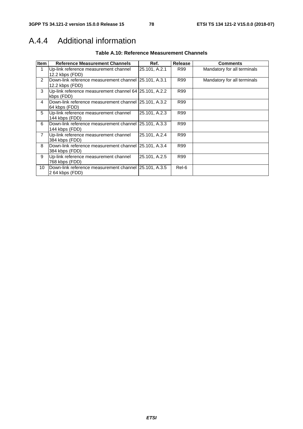## A.4.4 Additional information

| Item           | <b>Reference Measurement Channels</b>                                    | Ref.          | <b>Release</b> | <b>Comments</b>             |
|----------------|--------------------------------------------------------------------------|---------------|----------------|-----------------------------|
| 1              | Up-link reference measurement channel<br>12.2 kbps (FDD)                 | 25.101, A.2.1 | R99            | Mandatory for all terminals |
| $\overline{2}$ | Down-link reference measurement channel 25.101, A.3.1<br>12.2 kbps (FDD) |               | R99            | Mandatory for all terminals |
| 3              | Up-link reference measurement channel 64 25.101, A.2.2<br>kbps (FDD)     |               | R99            |                             |
| 4              | Down-link reference measurement channel 25.101, A.3.2<br>64 kbps (FDD)   |               | R99            |                             |
| 5              | Up-link reference measurement channel<br>144 kbps (FDD)                  | 25.101, A.2.3 | R99            |                             |
| 6              | Down-link reference measurement channel 25.101, A.3.3<br>144 kbps (FDD)  |               | R99            |                             |
| $\overline{7}$ | Up-link reference measurement channel<br>384 kbps (FDD)                  | 25.101, A.2.4 | R99            |                             |
| 8              | Down-link reference measurement channel 25.101, A.3.4<br>384 kbps (FDD)  |               | R99            |                             |
| 9              | Up-link reference measurement channel<br>768 kbps (FDD)                  | 25.101, A.2.5 | R99            |                             |
| 10             | Down-link reference measurement channel 25.101, A.3.5<br>2 64 kbps (FDD) |               | Rel-6          |                             |

### **Table A.10: Reference Measurement Channels**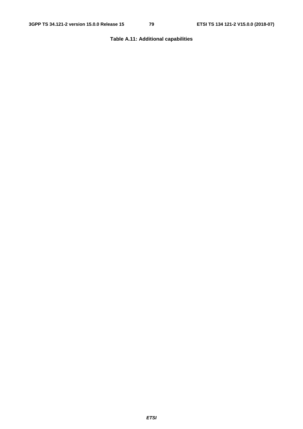### **Table A.11: Additional capabilities**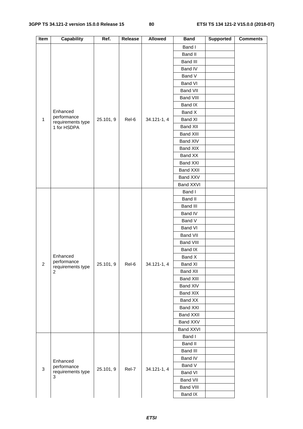| Item           | <b>Capability</b>                | Ref.      | Release | <b>Allowed</b> | <b>Band</b>      | <b>Supported</b> | <b>Comments</b> |
|----------------|----------------------------------|-----------|---------|----------------|------------------|------------------|-----------------|
|                |                                  |           |         |                | Band I           |                  |                 |
|                |                                  |           |         |                | Band II          |                  |                 |
|                |                                  |           |         |                | Band III         |                  |                 |
| $\mathbf{1}$   |                                  |           |         |                | Band IV          |                  |                 |
|                |                                  |           |         |                | Band V           |                  |                 |
|                |                                  |           |         |                | <b>Band VI</b>   |                  |                 |
|                |                                  |           |         |                | <b>Band VII</b>  |                  |                 |
|                |                                  |           |         |                | <b>Band VIII</b> |                  |                 |
|                |                                  |           |         |                | Band IX          |                  |                 |
|                | Enhanced                         |           |         |                | Band X           |                  |                 |
|                | performance<br>requirements type | 25.101, 9 | Rel-6   | 34.121-1, 4    | <b>Band XI</b>   |                  |                 |
|                | 1 for HSDPA                      |           |         |                | <b>Band XII</b>  |                  |                 |
|                |                                  |           |         |                | <b>Band XIII</b> |                  |                 |
|                |                                  |           |         |                | Band XIV         |                  |                 |
|                |                                  |           |         |                | Band XIX         |                  |                 |
|                |                                  |           |         |                | Band XX          |                  |                 |
|                |                                  |           |         |                | <b>Band XXI</b>  |                  |                 |
|                |                                  |           |         |                | <b>Band XXII</b> |                  |                 |
|                |                                  |           |         |                | Band XXV         |                  |                 |
|                |                                  |           |         |                | Band XXVI        |                  |                 |
|                |                                  |           |         |                | Band I           |                  |                 |
|                |                                  |           |         |                | Band II          |                  |                 |
|                |                                  |           |         |                | Band III         |                  |                 |
|                |                                  |           |         |                | Band IV          |                  |                 |
|                |                                  |           |         |                | Band V           |                  |                 |
|                |                                  |           |         |                | <b>Band VI</b>   |                  |                 |
|                |                                  |           |         |                | <b>Band VII</b>  |                  |                 |
|                |                                  |           |         |                | <b>Band VIII</b> |                  |                 |
|                |                                  | 25.101, 9 | Rel-6   |                | Band IX          |                  |                 |
|                | Enhanced                         |           |         |                | Band X           |                  |                 |
| $\overline{c}$ | performance<br>requirements type |           |         | 34.121-1, 4    | <b>Band XI</b>   |                  |                 |
|                | $\overline{2}$                   |           |         |                | <b>Band XII</b>  |                  |                 |
|                |                                  |           |         |                | Band XIII        |                  |                 |
|                |                                  |           |         |                | Band XIV         |                  |                 |
|                |                                  |           |         |                | Band XIX         |                  |                 |
|                |                                  |           |         |                | Band XX          |                  |                 |
|                |                                  |           |         |                | Band XXI         |                  |                 |
|                |                                  |           |         |                | <b>Band XXII</b> |                  |                 |
|                |                                  |           |         |                | Band XXV         |                  |                 |
|                |                                  |           |         |                | Band XXVI        |                  |                 |
|                |                                  |           |         |                | Band I           |                  |                 |
|                |                                  |           |         |                | Band II          |                  |                 |
|                |                                  |           |         |                | Band III         |                  |                 |
|                | Enhanced                         |           |         |                | Band IV          |                  |                 |
| 3              | performance                      | 25.101, 9 | Rel-7   | 34.121-1, 4    | Band V           |                  |                 |
|                | requirements type<br>3           |           |         |                | <b>Band VI</b>   |                  |                 |
|                |                                  |           |         |                | <b>Band VII</b>  |                  |                 |
|                |                                  |           |         |                | <b>Band VIII</b> |                  |                 |
|                |                                  |           |         |                | Band IX          |                  |                 |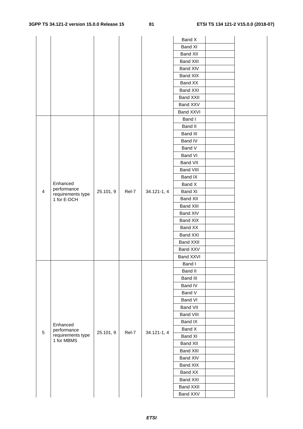|       |                         |           |       |             | Band X              |  |
|-------|-------------------------|-----------|-------|-------------|---------------------|--|
|       |                         |           |       |             | <b>Band XI</b>      |  |
|       |                         |           |       |             | <b>Band XII</b>     |  |
|       |                         |           |       |             | <b>Band XIII</b>    |  |
|       |                         |           |       |             | Band XIV            |  |
|       |                         |           |       |             | Band XIX            |  |
|       |                         |           |       |             | Band XX             |  |
|       |                         |           |       |             | <b>Band XXI</b>     |  |
|       |                         |           |       |             | <b>Band XXII</b>    |  |
|       |                         |           |       |             | Band XXV            |  |
|       |                         |           |       |             |                     |  |
|       |                         |           |       |             | Band XXVI<br>Band I |  |
|       |                         |           |       |             |                     |  |
|       |                         |           |       |             | Band II<br>Band III |  |
|       |                         |           |       |             |                     |  |
|       |                         |           |       |             | Band IV             |  |
|       |                         |           |       |             | Band V              |  |
|       |                         |           |       |             | <b>Band VI</b>      |  |
|       |                         |           |       |             | <b>Band VII</b>     |  |
|       |                         |           |       |             | <b>Band VIII</b>    |  |
|       |                         |           |       |             | Band IX             |  |
|       | Enhanced<br>performance |           |       |             | Band X              |  |
| 4     | requirements type       | 25.101, 9 | Rel-7 | 34.121-1, 4 | <b>Band XI</b>      |  |
|       | 1 for E-DCH             |           |       |             | <b>Band XII</b>     |  |
|       |                         |           |       |             | <b>Band XIII</b>    |  |
|       |                         |           |       |             | Band XIV            |  |
|       |                         |           |       |             | Band XIX            |  |
|       |                         |           |       |             | Band XX             |  |
|       |                         |           |       |             | <b>Band XXI</b>     |  |
|       |                         |           |       |             | <b>Band XXII</b>    |  |
|       |                         |           |       |             | Band XXV            |  |
|       |                         |           |       |             | Band XXVI           |  |
|       |                         |           |       |             | Band I              |  |
|       |                         |           |       |             | Band II             |  |
|       |                         |           |       |             | Band III            |  |
|       |                         |           |       |             | Band IV             |  |
|       |                         |           |       |             | Band V              |  |
|       |                         |           |       |             | Band VI             |  |
|       |                         |           |       |             | <b>Band VII</b>     |  |
|       |                         |           |       |             | Band VIII           |  |
|       |                         |           |       |             | Band IX             |  |
|       | Enhanced<br>performance |           |       |             | Band X              |  |
| $5\,$ | requirements type       | 25.101, 9 | Rel-7 | 34.121-1, 4 | <b>Band XI</b>      |  |
|       | 1 for MBMS              |           |       |             | <b>Band XII</b>     |  |
|       |                         |           |       |             | <b>Band XIII</b>    |  |
|       |                         |           |       |             | Band XIV            |  |
|       |                         |           |       |             | Band XIX            |  |
|       |                         |           |       |             | Band XX             |  |
|       |                         |           |       |             |                     |  |
|       |                         |           |       |             | <b>Band XXI</b>     |  |
|       |                         |           |       |             | <b>Band XXII</b>    |  |
|       |                         |           |       |             | Band XXV            |  |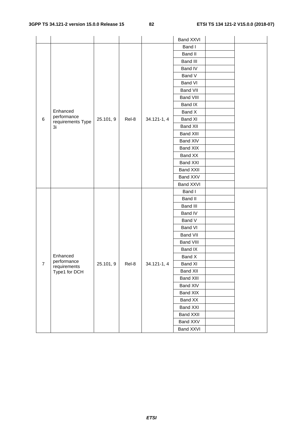|                |                                  |           |       |             | Band XXVI        |  |
|----------------|----------------------------------|-----------|-------|-------------|------------------|--|
|                |                                  |           |       |             | Band I           |  |
|                |                                  |           |       |             | Band II          |  |
|                |                                  |           |       |             | Band III         |  |
|                |                                  |           |       |             | Band IV          |  |
|                |                                  |           |       |             | Band V           |  |
|                |                                  |           |       |             | <b>Band VI</b>   |  |
|                |                                  |           |       |             | <b>Band VII</b>  |  |
|                |                                  |           |       |             | <b>Band VIII</b> |  |
|                |                                  |           |       |             | Band IX          |  |
|                | Enhanced                         |           |       |             | Band X           |  |
| $\,6\,$        | performance<br>requirements Type | 25.101, 9 | Rel-8 | 34.121-1, 4 | <b>Band XI</b>   |  |
|                | 3i                               |           |       |             | <b>Band XII</b>  |  |
|                |                                  |           |       |             | <b>Band XIII</b> |  |
|                |                                  |           |       |             | Band XIV         |  |
|                |                                  |           |       |             | Band XIX         |  |
|                |                                  |           |       |             | Band XX          |  |
|                |                                  |           |       |             | <b>Band XXI</b>  |  |
|                |                                  |           |       |             | <b>Band XXII</b> |  |
|                |                                  |           |       |             | Band XXV         |  |
|                |                                  |           |       |             | Band XXVI        |  |
|                |                                  |           |       |             | Band I           |  |
|                |                                  |           |       |             | Band II          |  |
|                |                                  |           |       |             | Band III         |  |
|                |                                  |           |       |             | Band IV          |  |
|                |                                  |           |       |             | Band V           |  |
|                |                                  |           |       |             | <b>Band VI</b>   |  |
|                |                                  |           |       |             | Band VII         |  |
|                |                                  |           |       |             | <b>Band VIII</b> |  |
|                |                                  |           |       |             | Band IX          |  |
|                | Enhanced                         |           |       |             | Band X           |  |
| $\overline{7}$ | performance<br>requirements      | 25.101, 9 | Rel-8 | 34.121-1, 4 | Band XI          |  |
|                | Type1 for DCH                    |           |       |             | <b>Band XII</b>  |  |
|                |                                  |           |       |             | <b>Band XIII</b> |  |
|                |                                  |           |       |             | Band XIV         |  |
|                |                                  |           |       |             | Band XIX         |  |
|                |                                  |           |       |             | Band XX          |  |
|                |                                  |           |       |             | <b>Band XXI</b>  |  |
|                |                                  |           |       |             | <b>Band XXII</b> |  |
|                |                                  |           |       |             | Band XXV         |  |
|                |                                  |           |       |             | Band XXVI        |  |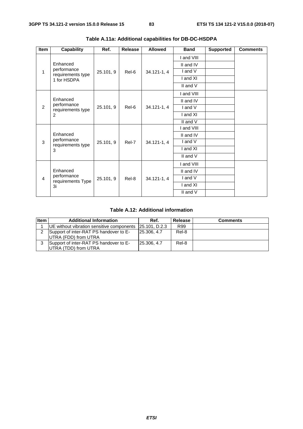| Item           | <b>Capability</b>                                  | Ref.                           | Release | <b>Allowed</b>  | <b>Band</b> | <b>Supported</b> | <b>Comments</b> |
|----------------|----------------------------------------------------|--------------------------------|---------|-----------------|-------------|------------------|-----------------|
|                |                                                    |                                |         |                 | I and VIII  |                  |                 |
|                | Enhanced                                           |                                |         |                 | II and IV   |                  |                 |
| $\mathbf{1}$   | performance<br>requirements type                   | 25.101, 9                      | Rel-6   | $34.121 - 1, 4$ | I and V     |                  |                 |
|                | 1 for HSDPA                                        |                                |         |                 | I and XI    |                  |                 |
|                |                                                    |                                |         |                 | II and V    |                  |                 |
|                |                                                    |                                |         |                 | I and VIII  |                  |                 |
|                | Enhanced                                           |                                |         |                 | II and IV   |                  |                 |
| 2              | performance<br>requirements type<br>$\overline{2}$ | 25.101, 9                      | Rel-6   | 34.121-1, 4     | I and V     |                  |                 |
|                |                                                    |                                |         |                 | I and XI    |                  |                 |
|                |                                                    |                                |         |                 | II and V    |                  |                 |
|                |                                                    | 25.101, 9<br>requirements type | Rel-7   | 34.121-1, 4     | I and VIII  |                  |                 |
|                | Enhanced                                           |                                |         |                 | II and IV   |                  |                 |
| 3              | performance                                        |                                |         |                 | I and V     |                  |                 |
|                | 3                                                  |                                |         |                 | I and XI    |                  |                 |
|                |                                                    |                                |         |                 | II and V    |                  |                 |
|                |                                                    |                                |         |                 | I and VIII  |                  |                 |
|                | Enhanced                                           |                                | Rel-8   |                 | II and IV   |                  |                 |
| $\overline{4}$ | performance<br>requirements Type                   | 25.101, 9                      |         | 34.121-1, 4     | I and V     |                  |                 |
|                | 3i                                                 |                                |         |                 | I and XI    |                  |                 |
|                |                                                    |                                |         |                 | II and V    |                  |                 |

**Table A.11a: Additional capabilities for DB-DC-HSDPA** 

### **Table A.12: Additional information**

| Item | <b>Additional Information</b>                                          | Ref.          | Release | <b>Comments</b> |
|------|------------------------------------------------------------------------|---------------|---------|-----------------|
|      | UE without vibration sensitive components                              | 25.101, D.2.3 | R99     |                 |
|      | Support of inter-RAT PS handover to E-<br><b>UTRA (FDD) from UTRA</b>  | 25.306, 4.7   | Rel-8   |                 |
|      | Support of inter-RAT PS handover to E-<br><b>IUTRA (TDD) from UTRA</b> | 25.306, 4.7   | Rel-8   |                 |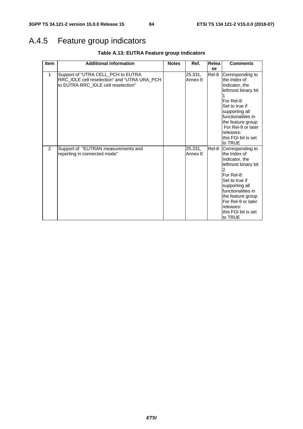## A.4.5 Feature group indicators

| <b>Item</b>    | <b>Additional information</b>                                                                                             | <b>Notes</b> | Ref.               | Relea | <b>Comments</b>                                                                                                                                                                                                                                    |
|----------------|---------------------------------------------------------------------------------------------------------------------------|--------------|--------------------|-------|----------------------------------------------------------------------------------------------------------------------------------------------------------------------------------------------------------------------------------------------------|
|                |                                                                                                                           |              |                    | se    |                                                                                                                                                                                                                                                    |
| $\mathbf{1}$   | Support of "UTRA CELL_PCH to EUTRA<br>RRC_IDLE cell reselection" and "UTRA URA_PCH<br>to EUTRA RRC_IDLE cell reselection" |              | 25.331,<br>Annex E | Rel-8 | Corresponding to<br>the Index of<br>Indicator, the<br>leftmost binary bit<br>For Rel-8:<br>Set to true if<br>supporting all<br>functionalities in<br>the feature group<br>For Rel-9 or later<br>releases:<br>this FGI bit is set<br>to TRUE        |
| $\overline{2}$ | Support of "EUTRAN measurements and<br>reporting in connected mode"                                                       |              | 25.331,<br>Annex E | Rel-8 | Corresponding to<br>the Index of<br>Indicator, the<br>leftmost binary bit<br>2<br>For Rel-8:<br>Set to true if<br>supporting all<br>functionalities in<br>the feature group<br>For Rel-9 or later<br>releases:<br>lthis FGI bit is set<br>lto TRUE |

### **Table A.13: EUTRA Feature group indicators**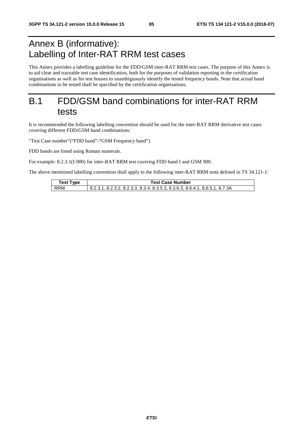## Annex B (informative): Labelling of Inter-RAT RRM test cases

This Annex provides a labelling guideline for the FDD/GSM inter-RAT RRM test cases. The purpose of this Annex is to aid clear and traceable test case identification, both for the purposes of validation reporting in the certification organisations as well as for test houses to unambiguously identify the tested frequency bands. Note that actual band combinations to be tested shall be specified by the certification organisations.

## B.1 FDD/GSM band combinations for inter-RAT RRM tests

It is recommended the following labelling convention should be used for the inter-RAT RRM derivative test cases covering different FDD/GSM band combinations:

"Test Case number"("FDD band"-"GSM Frequency band")

FDD bands are listed using Roman numerals.

For example: 8.2.3.1(I-900) for inter-RAT RRM test covering FDD band I and GSM 900.

The above mentioned labelling convention shall apply to the following inter-RAT RRM tests defined in TS 34.121-1:

| Гest Tүре  | <b>Test Case Number</b>                                                      |
|------------|------------------------------------------------------------------------------|
| <b>RRM</b> | 8.2.3.1, 8.2.3.2, 8.2.3.3, 8.3.4, 8.3.5.3, 8.3.6.3, 8.6.4.1, 8.6.5.1, 8.7.3A |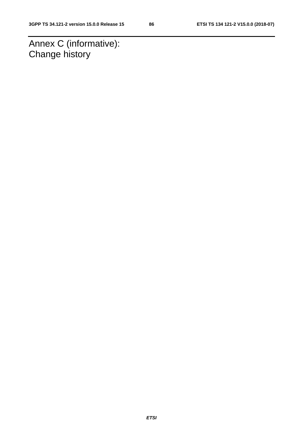Annex C (informative): Change history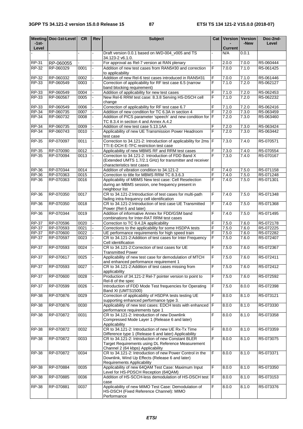| $-1st-$               | <b>Meeting Doc-1st-Level</b> | <b>CR</b>    | <b>Rev</b> | <b>Subject</b>                                                                                                                                   | Cat    |         | Version   Version<br>-New | Doc-2nd-<br>Level |
|-----------------------|------------------------------|--------------|------------|--------------------------------------------------------------------------------------------------------------------------------------------------|--------|---------|---------------------------|-------------------|
| Level                 |                              |              |            |                                                                                                                                                  |        | Current |                           |                   |
|                       |                              |              |            | Draft version 0.0.1 based on iWD-004_v005 and TS<br>34.123-2 v6.1.0.                                                                             |        | N/A     | 0.0.1                     |                   |
| RP-31                 | RP-060055                    |              |            | For approval as Rel-7 version at RAN plenary                                                                                                     |        | 2.0.0   | 7.0.0                     | R5-060444         |
| RP-32                 | RP-060329                    | 0001         |            | Addition of new test cases from RAN5#30 and correction<br>to applicability                                                                       | F      | 7.0.0   | 7.1.0                     | R5-061425         |
| RP-32                 | RP-060332                    | 0002         |            | Addition of new Rel-6 test cases introduced in RAN5#31                                                                                           | F      | 7.0.0   | 7.1.0                     | R5-061446         |
| <b>RP-33</b>          | RP-060549                    | 0003         |            | Correction of applicability for RF test case 6.5 (narrow<br>band blocking requirement)                                                           | F      | 7.1.0   | 7.2.0                     | R5-062127         |
| RP-33                 | RP-060549                    | 0004         |            | Addition of applicability for new test cases                                                                                                     | F      | 7.1.0   | 7.2.0                     | R5-062453         |
| <b>RP-33</b>          | RP-060567                    | 0005         |            | New Rel-6 RRM test case: 8.3.8 Serving HS-DSCH cell<br>change                                                                                    | F      | 7.1.0   | 7.2.0                     | R5-062232         |
| <b>RP-33</b>          | RP-060549                    | 0006         |            | Correction of applicability for RF test case 6.7                                                                                                 | F      | 7.1.0   | 7.2.0                     | R5-062416         |
| <b>RP-34</b>          | RP-060735                    | 0007         |            | Addition of new condition for TC 6.3A in section 4                                                                                               | F      | 7.2.0   | 7.3.0                     | R5-063459         |
| <b>RP-34</b>          | RP-060732                    | 0008         |            | Addition of PICS parameter 'speech' and new condition for<br>TC 8.3.4 in section 4 and Annex A.4.2                                               | F      | 7.2.0   | 7.3.0                     | R5-063460         |
| RP-34<br><b>RP-34</b> | RP-060735                    | 0009<br>0010 |            | Addition of new test case 5.13.1AA                                                                                                               | F<br>F | 7.2.0   | 7.3.0<br>7.3.0            | R5-063424         |
|                       | RP-060743                    |              |            | Applicability of new UE Transmission Power Headroom<br>test case                                                                                 |        | 7.2.0   |                           | R5-063442         |
| <b>RP-35</b>          | RP-070097                    | 0011         |            | Correction to 34.121-2: Introduction of applicability for 2ms  F<br>TTI E-DCH E-TFC restriction test case                                        |        | 7.3.0   | 7.4.0                     | R5-070571         |
| RP-35                 | RP-070090                    | 0012         |            | Applicability of new MBMS RF and RRM test cases                                                                                                  | F      | 7.3.0   | 7.4.0                     | R5-070554         |
| RP-35                 | RP-070094                    | 0013         |            | Correction to 34.121-2: Introduction of FDD Band X<br>(Extended UMTS 1.7/2.1 GHz) for transmitter and receiver                                   | F      | 7.3.0   | 7.4.0                     | R5-070167         |
| <b>RP-36</b>          | RP-070344                    | 0014         |            | characteristics test cases<br>Addition of vibration condition to 34.121-2                                                                        | F      | 7.4.0   | 7.5.0                     | R5-071158         |
| <b>RP-36</b>          | RP-070363                    | 0015         |            | Correction to title for MBMS RRM TC 8.3.6.3                                                                                                      | F      | 7.4.0   | 7.5.0                     | R5-071248         |
| <b>RP-36</b>          | RP-070363                    | 0016         |            | Applicability of MBMS New test case: Cell Reselection                                                                                            | F      | 7.4.0   | 7.5.0                     | R5-071301         |
|                       |                              |              |            | during an MBMS session, one frequency present in<br>neighbour list                                                                               |        |         |                           |                   |
| <b>RP-36</b>          | RP-070350                    | 0017         |            | CR to 34.121-2:Introduction of test cases for multi-path<br>fading intra-frequency cell identification                                           | F      | 7.4.0   | 7.5.0                     | R5-071348         |
| <b>RP-36</b>          | RP-070350                    | 0018         |            | CR to 34.121-2:Introduction of test case UE Transmitted<br>Power (Rel-5 and later)                                                               | F      | 7.4.0   | 7.5.0                     | R5-071368         |
| <b>RP-36</b>          | RP-070344                    | 0019         |            | Addition of informative Annex for FDD/GSM band<br>combinations for Inter-RAT RRM test cases                                                      | F      | 7.4.0   | 7.5.0                     | R5-071495         |
| <b>RP-37</b>          | RP-070596                    | 0020         |            | Correction to TC 9.4.2A applicability                                                                                                            | F      | 7.5.0   | 7.6.0                     | R5-072178         |
| <b>RP-37</b>          | RP-070593                    | 0021         |            | Corrections to the applicability for some HSDPA tests                                                                                            | F      | 7.5.0   | 7.6.0                     | R5-072225         |
| <b>RP-37</b>          | RP-070600                    | 0022         |            | UE performance requirements for high speed train                                                                                                 | F      | 7.5.0   | 7.6.0                     | R5-072282         |
| <b>RP-37</b>          | RP-070597                    | 0023         |            | CR to 34.121-2: Addition of test cases for Inter Frequency<br>Cell identification                                                                | F      | 7.5.0   | 7.6.0                     | R5-072407         |
| <b>RP-37</b>          | RP-070593                    | 0024         |            | CR to 34.121-2: Correction of test cases for UE<br><b>Transmitted Power</b>                                                                      | F      | 7.5.0   | 7.6.0                     | R5-072367         |
| <b>RP-37</b>          | RP-070617                    | 0025         |            | Applicability of new test case for demodulation of MTCH<br>and enhanced performance requirement 1                                                | F      | 7.5.0   | 7.6.0                     | R5-072411         |
| $RP-37$               | RP-070593                    | 0027         |            | CR to 34.121-2: Addition of test cases missing from<br>applicability                                                                             | F      | 7.5.0   | 7.6.0                     | R5-072412         |
| <b>RP-37</b>          | RP-070600                    | 0028         |            | Production of 34.121-2 Rel-7 pointer version to point to<br>Rel-8 of the spec                                                                    | F      | 7.5.0   | 7.6.0                     | R5-072592         |
| <b>RP-37</b>          | RP-070599                    | 0026         |            | Introduction of FDD Mode Test frequencies for Operating<br>Band XI (UMTS1500)                                                                    | F      | 7.5.0   | 8.0.0                     | R5-072398         |
| <b>RP-38</b>          | RP-070876                    | 0029         |            | Correction of applicability of HSDPA tests testing UE<br>supporting enhanced performance type 3.                                                 | F      | 8.0.0   | 8.1.0                     | R5-073121         |
| <b>RP-38</b>          | RP-070876                    | 0030         |            | Applicability of new test cases: EDCH tests with enhanced<br>performance requirements type 1                                                     | F      | 8.0.0   | 8.1.0                     | R5-073330         |
| <b>RP-38</b>          | RP-070872                    | 0031         |            | CR to 34.121-2: Introduction of new Downlink<br>Compressed Mode Layer 1 (Release 6 and later)<br>Applicability                                   | F      | 8.0.0   | 8.1.0                     | R5-073358         |
| <b>RP-38</b>          | RP-070872                    | 0032         |            | CR to 34.121-2: Introduction of new UE Rx-Tx Time<br>Difference type 1 (Release 6 and later) Applicability                                       | F      | 8.0.0   | 8.1.0                     | R5-073359         |
| <b>RP-38</b>          | RP-070872                    | 0033         |            | CR to 34.121-2: Introduction of new Constant BLER<br>Target Requirements using DL Reference Measurement<br>Channel 2 (64 kbps) Applicability     | F      | 8.0.0   | 8.1.0                     | R5-073075         |
| <b>RP-38</b>          | RP-070872                    | 0034         |            | CR to 34.121-2: Introduction of new Power Control in the<br>Downlink, Wind Up Effects (Release 6 and later)<br><b>Requirements Applicability</b> | F      | 8.0.0   | 8.1.0                     | R5-073371         |
| <b>RP-38</b>          | RP-070884                    | 0035         |            | Applicability of new 64QAM Test Case: Maximum Input<br>Level for HS-PDSCH Reception (64QAM)                                                      | F      | 8.0.0   | 8.1.0                     | R5-073350         |
| <b>RP-38</b>          | RP-070885                    | 0036         |            | Addition of HS-SCCH-less demodulation of HS-DSCH test F<br>case                                                                                  |        | 8.0.0   | 8.1.0                     | R5-073153         |
| <b>RP-38</b>          | RP-070881                    | 0037         |            | Applicability of new MIMO Test Case: Demodulation of<br>HS-DSCH (Fixed Reference Channel): MIMO<br>Performance                                   | F      | 8.0.0   | 8.1.0                     | R5-073376         |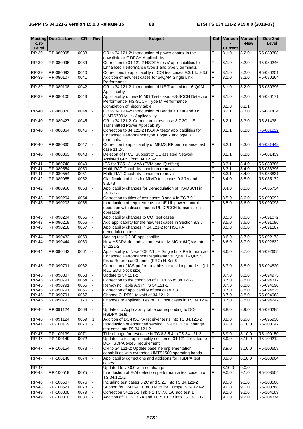| $-1$ st $-$  | Meeting   Doc-1st-Level | <b>CR</b> | <b>Rev</b> | <b>Subject</b>                                                                                                                                           | Cat |         | Version   Version<br>-New | Doc-2nd-<br>Level |
|--------------|-------------------------|-----------|------------|----------------------------------------------------------------------------------------------------------------------------------------------------------|-----|---------|---------------------------|-------------------|
| Level        |                         |           |            |                                                                                                                                                          |     | Current |                           |                   |
| <b>RP-39</b> | RP-080095               | 0038      |            | CR to 34.121-2: Introduction of power control in the<br>downlink for F-DPCH Applicability                                                                | F   | 8.1.0   | 8.2.0                     | R5-080388         |
| <b>RP-39</b> | RP-080095               | 0039      |            | Correction to 34.121-2 HSDPA tests' applicabilities for<br>Enhanced Performance type 1 and type 3 terminals.                                             | F   | 8.1.0   | 8.2.0                     | R5-080246         |
| RP-39        | RP-080093               | 0040      |            | Corrections to applicability of CQI test cases 9.3.1 to 9.3.6                                                                                            | F   | 8.1.0   | 8.2.0                     | R5-080251         |
| <b>RP-39</b> | RP-080107               | 0041      |            | Addition of new test cases for 64QAM Single Link<br>Performance                                                                                          | F   | 8.1.0   | 8.2.0                     | R5-080264         |
| <b>RP-39</b> | RP-080108               | 0042      |            | CR to 34.121-2: Introduction of UE Transmitter 16-QAM<br>Applicability                                                                                   | F   | 8.1.0   | 8.2.0                     | R5-080396         |
| <b>RP-39</b> | RP-080105               | 0043      |            | Applicability of new MIMO Test case: HS-SCCH Detection<br>Performance: HS-SCCH Type M Performance                                                        | F   | 8.1.0   | 8.2.0                     | R5-080171         |
|              |                         |           |            | Completion of history table                                                                                                                              |     | 8.2.0   | 8.2.1                     |                   |
| <b>RP-40</b> | RP-080370               | 0044      |            | CR to 34.121-2: Introduction of Bands XII XIII and XIV                                                                                                   | F.  | 8.2.1   | 8.3.0                     | R5-081434         |
| <b>RP-40</b> | RP-080427               | 0045      |            | (UMTS700 MHz) Applicability<br>CR to 34.121-2: Correction to test case 8.7.3C: UE                                                                        | F   | 8.2.1   | 8.3.0                     | R5-81438          |
|              |                         |           |            | <b>Transmitted Power Applicability</b>                                                                                                                   | F   |         |                           |                   |
| <b>RP-40</b> | RP-080364               | 0046      |            | Correction to 34.121-2 HSDPA tests' applicabilities for<br>Enhanced Performance type 1 type 2 and type 3<br>terminals.                                   |     | 8.2.1   | 8.3.0                     | R5-081222         |
| <b>RP-40</b> | RP-080365               | 0047      |            | Correction to applicability of MBMS RF performance test<br>case 11.2A                                                                                    | F   | 8.2.1   | 8.3.0                     | R5-081448         |
| <b>RP-40</b> | RP-080363               | 0048      |            | Deletion of PICS 'Support of UE assisted Network<br>Assisted GPS' from 34.121-2                                                                          | F   | 8.2.1   | 8.3.0                     | R5-081439         |
| <b>RP-41</b> | RP-080740               | 0049      |            | ICS for TC5.13.1AAA (EVM and IQ offset)                                                                                                                  | F   | 8.3.1   | 8.4.0                     | R5-083386         |
| <b>RP-41</b> | RP-080554               | 0050      |            | Multi_RAT Capability condition removal                                                                                                                   | F   | 8.3.1   | 8.4.0                     | R5-083396         |
| <b>RP-41</b> | RP-080554               | 0051      |            | Multi_RAT Capability condition removal                                                                                                                   | F   | 8.3.1   | 8.4.0                     | R5-083831         |
| <b>RP-42</b> | RP-080955               | 0052      |            | Clarification of titles for MIMO test cases 9.3.7A and<br>9.3.7B                                                                                         | F   | 8.4.0   | 8.5.0                     | R5-085172         |
| $RP-42$      | RP-080956               | 0053      |            | Applicability changes for Demodulation of HS-DSCH in<br>34.121-2.                                                                                        | F   | 8.4.0   | 8.5.0                     | R5-085734         |
| <b>RP-43</b> | RP-090204               | 0054      |            | Correction to titles of test cases 3 and 4 in TC 7.9.1                                                                                                   | F   | 8.5.0   | 8.6.0                     | R5-090092         |
| <b>RP-43</b> | RP-090203               | 0058      |            | Introduction of requirements for UE UL power control<br>operation with discontinuous UL DPCCH transmission<br>operation                                  | F   | 8.5.0   | 8.6.0                     | R5-090098         |
| <b>RP-43</b> | RP-090204               | 0055      |            | Applicability changes to CQI test cases                                                                                                                  | F   | 8.5.0   | 8.6.0                     | R5-091072         |
| <b>RP-43</b> | RP-090218               | 0056      |            | Add applicability for the new test cases in Section 9.3.7                                                                                                | F   | 8.5.0   | 8.6.0                     | R5-091096         |
| <b>RP-43</b> | RP-090218               | 0057      |            | Applicability changes in 34.121-2 for HSDPA<br>demodulation tests                                                                                        | F   | 8.5.0   | 8.6.0                     | R5-091107         |
| <b>RP-44</b> | RP-090433               | 0059      |            | Adding test 9.2.3E applicability                                                                                                                         | F   | 8.6.0   | 8.7.0                     | R5-092173         |
| <b>RP-44</b> | RP-090444               | 0060      |            | New HSDPA demodulation test for MIMO + 64QAM into<br>34.121-2                                                                                            | F   | 8.6.0   | 8.7.0                     | R5-092632         |
| <b>RP-44</b> | RP-090442               | 0061      |            | Applicability of New TC9.2.1L -- Single Link Performance -<br>Enhanced Performance Requirements Type 3i - QPSK,<br>Fixed Reference Channel (FRC) H-Set 6 | IF. | 8.6.0   | 8.7.0                     | R5-092655         |
| <b>RP-45</b> | RP-090791               | 0062      |            | Correction of ICS proforma tables for test loop mode 1 (UL F<br>RLC SDU block size)                                                                      |     | 8.7.0   | 8.8.0                     | R5-094820         |
| <b>RP-45</b> | RP-090807               | 0063      |            | Update to 34.121-2                                                                                                                                       | F   | 8.7.0   | 8.8.0                     | R5-094975         |
| <b>RP-45</b> | RP-090791               | 0064      |            | Correction to the condition of C_RF55 of 34.121-2                                                                                                        | F   | 8.7.0   | 8.8.0                     | R5-094312         |
| <b>RP-45</b> | RP-090791               | 0065      |            | Removing Table A.3 in TS 34.121-2                                                                                                                        | F   | 8.7.0   | 8.8.0                     | R5-094590         |
| <b>RP-45</b> | RP-090791               | 0066      |            | Correction of applicability of test case 7.8.1                                                                                                           | F   | 8.7.0   | 8.8.0                     | R5-094825         |
| <b>RP-45</b> | RP-090791               | 0067      |            | Change C_RF51 to void of 34.121-2                                                                                                                        | F   | 8.7.0   | 8.8.0                     | R5-094963         |
| <b>RP-45</b> | RP-090793               | 1170      |            | Changes to applicabilities of CQI test cases in TS 34.121-<br>2                                                                                          | F   | 8.7.0   | 8.8.0                     | R5-094242         |
| <b>RP-46</b> | RP-091124               | 0068      |            | Updates to Applicability table corresponding to DC-<br><b>HSDPA</b> tests                                                                                | F   | 8.8.0   | 8.9.0                     | R5-096285         |
| <b>RP-46</b> | RP-091124               | 0069      | 1          | Addition of DC-HSDPA receiver tests into TS 34.121-2                                                                                                     | F   | 8.8.0   | 8.9.0                     | R5-095930         |
| <b>RP-47</b> | RP-100159               | 0070      |            | Introduction of enhanced serving HS-DSCH cell change<br>test case into TS 34.121-2                                                                       | F   | 8.9.0   | 8.10.0                    | R5-100142         |
| <b>RP-47</b> | RP-100139               | 0071      |            | Title change for test case in TC 8.3.5.4 in TS 34.121-2                                                                                                  | F   | 8.9.0   | 8.10.0                    | R5-100150         |
| <b>RP-47</b> | RP-100149               | 0072      |            | Updates to test applicability section of 34.121-2 related to<br>DC-HSDPA type3i requirement                                                              | F   | 8.9.0   | 8.10.0                    | R5-100212         |
| <b>RP-47</b> | RP-100154               | 0073      |            | CR to 34.121-2: Update baseline implementation<br>capabilities with extended UMTS1500 operating bands                                                    | F   | 8.9.0   | 8.10.0                    | R5-100558         |
| <b>RP-47</b> | RP-100140               | 0074      |            | Applicability corrections and additions for HSDPA test<br>cases                                                                                          | F   | 8.9.0   | 8.10.0                    | R5-100904         |
| <b>RP-47</b> |                         |           |            | Updated to v9.0.0 with no change                                                                                                                         |     | 8.10.0  | 9.0.0                     |                   |
| <b>RP-48</b> | RP-100519               | 0075      |            | Introduction of E-AI detection performance test case into<br>TS 34.121-2                                                                                 | F   | 9.0.0   | 9.1.0                     | R5-103504         |
| <b>RP-48</b> | RP-100507               | 0076      |            | Including test cases 5.2C and 5.2D into TS 34.121-2                                                                                                      | F   | 9.0.0   | 9.1.0                     | R5-103508         |
| <b>RP-48</b> | RP-100521               | 0078      |            | Support for UMTS/LTE 800 MHz for Europe in 34.121-2                                                                                                      | F   | 9.0.0   | 9.1.0                     | R5-103768         |
| <b>RP-49</b> | RP-100808               | 0079      |            | Correction 34.121-2 Table 1 TC 7.8.1A_add test 1                                                                                                         | F   | 9.1.0   | 9.2.0                     | R5-104189         |
| <b>RP-49</b> | RP-100810               | 0080      |            | Addition of TC 5.13.2A and TC 5.13.2B into TS 34.121-2                                                                                                   | F   | 9.1.0   | 9.2.0                     | R5-104374         |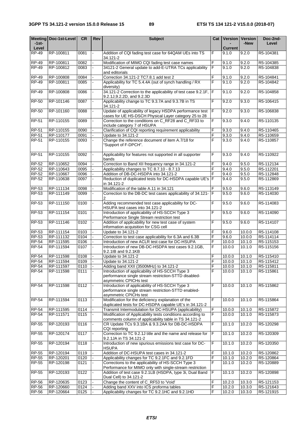| $-1$ st-<br>Level       | Meeting   Doc-1st-Level | <b>CR</b>         | Rev | <b>Subject</b>                                                                                                                   | Cat            | <b>Version</b><br><b>Current</b> | <b>Version</b><br>-New | Doc-2nd-<br>Level      |
|-------------------------|-------------------------|-------------------|-----|----------------------------------------------------------------------------------------------------------------------------------|----------------|----------------------------------|------------------------|------------------------|
| $RP-49$                 | RP-100811               | 0081              |     | Addition of CQI fading test case for 64QAM UEs into TS<br>34.121-2                                                               | F              | 9.1.0                            | 9.2.0                  | R5-104381              |
| <b>RP-49</b>            | RP-100811               | $\overline{00}82$ |     | Modification of MIMO CQI fading test case names                                                                                  | F              | 9.1.0                            | 9.2.0                  | R5-104385              |
| <b>RP-49</b>            | RP-100812               | 0083              |     | 34121-2 General update to add-E-UTRA TCs applicability<br>and editorials                                                         | F              | 9.1.0                            | 9.2.0                  | R5-104838              |
| <b>RP-49</b>            | RP-100808               | 0084              |     | Correction 34.121-2 TC7.8.1 add test 2                                                                                           | F              | 9.1.0                            | 9.2.0                  | R5-104841              |
| $RP-49$                 | RP-100811               | 0085              |     | Applicability for TC 5.4.4A (out of synch handling / RX<br>diversity)                                                            | F              | 9.1.0                            | 9.2.0                  | R5-104842              |
| <b>RP-49</b>            | RP-100808               | 0086              |     | 34.121-2 Correction to the applicability of test case 9.2.1F, F<br>9.2.1J, 9.2.2D, and 9.2.3D                                    |                | 9.1.0                            | 9.2.0                  | R5-104858              |
| $RP-50$                 | RP-101146               | 0087              |     | Applicability change to TC 9.3.7A and 9.3.7B in TS<br>34.121-2                                                                   | F              | 9.2.0                            | 9.3.0                  | R5-106415              |
| <b>RP-50</b>            | RP-101160               | 0088              |     | Update of applicability of legacy HSDPA performance test<br>cases for UE HS-DSCH Physical Layer category 25 to 28                | F              | 9.2.0                            | 9.3.0                  | R5-106838              |
| <b>RP-51</b>            | RP-110155               | 0089              |     | Correction to the conditions on C_RF28 and C_RF33 to<br>include category 7 of HSUPA                                              | F              | 9.3.0                            | 9.4.0                  | R5-110135              |
| <b>RP-51</b>            | RP-110155               | 0090              |     | Clarification of CQI reporting requirement applicability                                                                         | F              | 9.3.0                            | 9.4.0                  | R5-110465              |
| <b>RP-51</b>            | RP-110177               | 0091              |     | Update to 34.121-2                                                                                                               | F              | 9.3.0                            | 9.4.0                  | R5-110659              |
| <b>RP-51</b>            | RP-110155               | 0093              |     | Change the reference document of item A.7/18 for<br>"Support of F-DPCH".                                                         | F              | 9.3.0                            | 9.4.0                  | R5-110857              |
| <b>RP-51</b>            | RP-110155               | 0092              |     | Applicability for features not supported in all supporter<br>bands                                                               | F              | 9.3.0                            | 9.4.0                  | R5-110922              |
| <b>RP-52</b>            | RP-110652               | 0094              |     | Correction to Band XII frequency range in 34.121-2                                                                               | F              | 9.4.0                            | 9.5.0                  | R5-112134              |
| <b>RP-52</b>            | RP-110643               | 0095              |     | Applicability changes to TC 8.7.10 - 8.7.13                                                                                      | F              | 9.4.0                            | 9.5.0                  | R5-112201              |
| <b>RP-52</b><br>$RP-52$ | RP-110667<br>RP-110638  | 0096<br>0097      |     | Addition of DB-DC-HSDPA into 34.121-2<br>Reduction of duplicated tests for DC-HSDPA capable UE's  F                              | F              | 9.4.0<br>9.4.0                   | 9.5.0<br>9.5.0         | R5-112848<br>R5-112869 |
|                         |                         |                   |     | in 34.121-2                                                                                                                      |                |                                  |                        |                        |
| RP-53<br><b>RP-53</b>   | RP-111134<br>RP-111149  | 0098<br>0099      |     | Modification of the table A.11 in 34.121<br>Correction to the DB-DC test cases applicability of 34.121-                          | F<br>F         | 9.5.0<br>9.5.0                   | 9.6.0<br>9.6.0         | R5-113149<br>R5-114030 |
|                         |                         |                   |     | 2                                                                                                                                |                |                                  |                        |                        |
| $RP-53$                 | RP-111150               | 0100              |     | Adding recommended test case applicability for DC-<br>HSUPA test cases into 34.121-2                                             | F              | 9.5.0                            | 9.6.0                  | R5-114083              |
| $RP-53$                 | RP-111154               | 0101              |     | Introduction of applicability of HS-SCCH Type 3<br>Performance Single Stream restriction test                                    | F              | 9.5.0                            | 9.6.0                  | R5-114090              |
| $RP-53$                 | RP-111146               | 0102              |     | Addition of applicability for new test case of system<br>information acquisition for CSG cell                                    | F              | 9.5.0                            | 9.6.0                  | R5-114107              |
| $RP-53$                 | RP-111154               | 0103              |     | Update to 34.121-2                                                                                                               | F              | 9.6.0                            | 10.0.0                 | R5-114108              |
| <b>RP-53</b>            | RP-111132               | 0104              |     | Correction to test case applicability for 6.3A and 6.3B                                                                          | F              | 9.6.0                            | 10.0.0                 | R5-114114              |
| <b>RP-54</b><br>$RP-54$ | RP-111595<br>RP-111594  | 0106<br>0107      |     | Introduction of new ACLR test case for DC-HSUPA<br>Introduction of new DB-DC-HSDPA test cases 9.2.1GB,                           | F<br>F         | 10.0.0<br>10.0.0                 | 10.1.0<br>10.1.0       | R5-115153<br>R5-115156 |
| <b>RP-54</b>            | RP-111598               | 0108              |     | 9.2.1IB and 9.2.1KB<br>Update to 34.121-2                                                                                        | F              | 10.0.0                           | 10.1.0                 | R5-115410              |
| <b>RP-54</b>            | RP-111594               | 0109              |     | Update to 34.121-2                                                                                                               | F              | 10.0.0                           | 10.1.0                 | R5-115412              |
| RP-54                   | RP-111597               | 0110              |     | Adding band XXII (3500MHz) to 34.121-2                                                                                           | F              | 10.0.0                           | 10.1.0                 | R5-115811              |
| <b>RP-54</b>            | RP-111598               | 0111              |     | Introduction of applicability of HS-SCCH Type 3<br>performance single stream restriction-STTD disabled-                          | F              | 10.0.0                           | 10.1.0                 | R5-115861              |
| <b>RP-54</b>            | RP-111598               | 0112              |     | asymmetric CPICHs test<br>Introduction of applicability of HS-SCCH Type 3<br>performance single stream restriction-STTD enabled- | F              | 10.0.0                           | 10.1.0                 | R5-115862              |
| <b>RP-54</b>            | RP-111594               | 0113              |     | asymmetric CPICHs test<br>Modification for the deficiency explanation of the                                                     | F              | 10.0.0                           | 10.1.0                 | R5-115864              |
|                         |                         |                   |     | duplicated tests for DC-HSDPA capable UE's in 34.121-2                                                                           |                |                                  |                        |                        |
| <b>RP-54</b>            | RP-111595               | 0114              |     | Transmit Intermodulation for DC-HSUPA (applicability)                                                                            | F              | 10.0.0                           | 10.1.0                 | R5-115872              |
| $RP-54$                 | RP-111571               | 0115              |     | Modification of Applicability tests conditions according to<br>comments column of applicability table in TS 34.121-2             | F              | 10.0.0                           | 10.1.0                 | R5-115873              |
| <b>RP-55</b>            | RP-120193               | 0116              |     | CR Update TCs 9.3.1BA & 9.3.2AA for DB-DC-HSDPA<br>CQI reporting                                                                 | F              | 10.1.0                           | 10.2.0                 | R5-120298              |
| <b>RP-55</b>            | RP-120174               | 0117              |     | Correction to TC 9.2.1J title and the name and release for<br>9.2.1JA in TS 34.121-2                                             | $\overline{F}$ | 10.1.0                           | 10.2.0                 | R5-120309              |
| <b>RP-55</b>            | RP-120194               | 0118              |     | Introduction of new spurious emissions test case for DC-<br><b>HSUPA</b>                                                         | F              | 10.1.0                           | 10.2.0                 | R5-120350              |
| <b>RP-55</b>            | RP-120194               | 0119              |     | Addition of DC-HSUPA test cases in 34.121-2                                                                                      | F              | 10.1.0                           | 10.2.0                 | R5-120862              |
| <b>RP-55</b>            | RP-120201               | 0120              |     | Applicability changes for TC 9.2.1FC and 9.2.1FD                                                                                 | F              | 10.1.0                           | 10.2.0                 | R5-120864              |
| <b>RP-55</b>            | RP-120198               | 0121              |     | Corrections to the applicability of HS-SCCH Type 3<br>Performance for MIMO only with single-stream restriction                   | F              | 10.1.0                           | 10.2.0                 | R5-120889              |
| <b>RP-55</b>            | RP-120193               | 0122              |     | Addition of test case 9.2.1LB (HSDPA, type 3i, Dual Band<br>Dual Cell) to 34.121-2                                               | F              | 10.1.0                           | 10.2.0                 | R5-120898              |
| <b>RP-56</b>            | RP-120635               | 0123              |     | Change the content of C_RF53 to 'Void'                                                                                           | F              | 10.2.0                           | 10.3.0                 | R5-121153              |
| <b>RP-56</b>            | RP-120660               | 0124              |     | Adding band XXV into ICS proforma tables                                                                                         | F              | 10.2.0                           | 10.3.0                 | R5-121643              |
| RP-56                   | RP-120664               | 0125              |     | Applicability changes for TC 9.2.1HC and 9.2.1HD                                                                                 | F              | 10.2.0                           | 10.3.0                 | R5-121915              |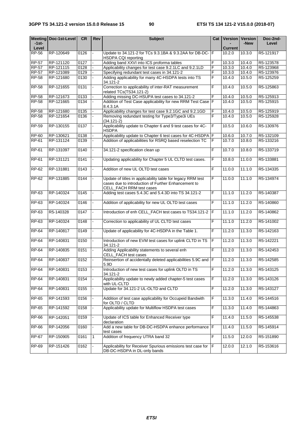| $-1st-$<br>Level | <b>Meeting Doc-1st-Level</b> | <b>CR</b> | Rev            | <b>Subject</b>                                                                                                                                 | Cat | Current | <b>Version   Version</b><br>-New | Doc-2nd-<br>Level |
|------------------|------------------------------|-----------|----------------|------------------------------------------------------------------------------------------------------------------------------------------------|-----|---------|----------------------------------|-------------------|
| <b>RP-56</b>     | RP-120649                    | 0126      |                | Update to 34.121-2 for TCs 9.3.1BA & 9.3.2AA for DB-DC-   F<br><b>HSDPA CQI reporting</b>                                                      |     | 10.2.0  | 10.3.0                           | R5-121917         |
| <b>RP-57</b>     | RP-121120                    | 0127      |                | Adding band XXVI into ICS proforma tables                                                                                                      | F   | 10.3.0  | 10.4.0                           | R5-123578         |
| <b>RP-57</b>     | RP-121115                    | 0128      |                | Applicability changes for test case 9.2.1LC and 9.2.1LD                                                                                        | F   | 10.3.0  | 10.4.0                           | R5-123968         |
| <b>RP-57</b>     | RP-121089                    | 0129      |                | Specifying redundant test cases in 34.121-2                                                                                                    | F   | 10.3.0  | 10.4.0                           | R5-123976         |
| <b>RP-58</b>     | RP-121680                    | 0130      |                | Adding applicability for many 4C-HSDPA tests into TS<br>34.121-2                                                                               | F   | 10.4.0  | 10.5.0                           | R5-125259         |
| <b>RP-58</b>     | RP-121655                    | 0131      |                | Correction to applicability of inter-RAT measurement<br>related TCs(TS34.121-2)                                                                | F   | 10.4.0  | 10.5.0                           | R5-125863         |
| <b>RP-58</b>     | RP-121673                    | 0133      |                | Adding missing DC-HSUPA test cases to 34.121-2                                                                                                 | F   | 10.4.0  | 10.5.0                           | R5-125913         |
| <b>RP-58</b>     | RP-121665                    | 0134      |                | Addition of Test Case applicability for new RRM Test Case   F<br>8.4.3.1A                                                                      |     | 10.4.0  | 10.5.0                           | R5-125915         |
| <b>RP-58</b>     | RP-121680                    | 0135      |                | Applicability changes for test case 9.2.1GC and 9.2.1GD                                                                                        | F   | 10.4.0  | 10.5.0                           | R5-125919         |
| <b>RP-58</b>     | RP-121654                    | 0136      |                | Removing redundant testing for Type3/Type3i UEs<br>(34.121-2)                                                                                  | F   | 10.4.0  | 10.5.0                           | R5-125928         |
| $RP-59$          | RP-130155                    | 0137      |                | Applicability update to Chapter 6 and 9 test cases for 4C-<br><b>HSDPA</b>                                                                     | F   | 10.5.0  | 10.6.0                           | R5-130976         |
| <b>RP-60</b>     | RP-130621                    | 0138      |                | Applicability update to Chapter 6 test cases for 4C-HSDPA                                                                                      | F   | 10.6.0  | 10.7.0                           | R5-132109         |
| <b>RP-61</b>     | RP-131124                    | 0139      |                | Addition of applicabilities for RSRQ based reselection TC                                                                                      | F   | 10.7.0  | 10.8.0                           | R5-133216         |
| <b>RP-61</b>     | RP-131097                    | 0140      |                | 34.121-2 specification clean up                                                                                                                | F   | 10.7.0  | 10.8.0                           | R5-133719         |
| <b>RP-61</b>     | RP-131121                    | 0141      |                | Updating applicability for Chapter 5 UL CLTD test cases.                                                                                       | F   | 10.8.0  | 11.0.0                           | R5-133881         |
| $RP-62$          | RP-131881                    | 0143      |                | Addition of new UL OLTD test cases                                                                                                             | F   | 11.0.0  | 11.1.0                           | R5-134335         |
| $RP-62$          | RP-131885                    | 0144      |                | Update of titles in applicability table for legacy RRM test<br>cases due to introduction of Further Enhancement to<br>CELL_FACH RRM test cases | F   | 11.0.0  | 11.1.0                           | R5-134974         |
| $RP-63$          | RP-140324                    | 0145      |                | Adding test cases 5.4.3C and 5.4.3D into TS 34.121-2                                                                                           | F   | 11.1.0  | 11.2.0                           | R5-140387         |
| RP-63            | RP-140324                    | 0146      |                | Addition of applicability for new UL OLTD test cases                                                                                           | F   | 11.1.0  | 11.2.0                           | R5-140860         |
| RP-63            | R5-140328                    | 0147      |                | Introduction of enh CELL_FACH test cases to TS34.121-2 F                                                                                       |     | 11.1.0  | 11.2.0                           | R5-140862         |
| $RP-63$          | RP-140324                    | 0148      |                | Correction to applicability of UL CLTD test cases                                                                                              | F   | 11.1.0  | 11.2.0                           | R5-141002         |
| $RP-64$          | RP-140817                    | 0149      |                | Update of applicability for 4C-HSDPA in the Table 1.                                                                                           | F   | 11.2.0  | 11.3.0                           | R5-142163         |
| $RP-64$          | RP-140831                    | 0150      |                | Introduction of new EVM test cases for uplink CLTD in TS<br>34.121-2                                                                           | F   | 11.2.0  | 11.3.0                           | R5-142221         |
| <b>RP-64</b>     | RP-140835                    | 0151      |                | Adding Applicability statements to several enh<br>CELL_FACH test cases                                                                         | F   | 11.2.0  | 11.3.0                           | R5-142453         |
| <b>RP-64</b>     | RP-140837                    | 0152      |                | Reinsertion of accidentally deleted applicabilities 5.9C and<br>5.9D                                                                           | F   | 11.2.0  | 11.3.0                           | R5-142585         |
| <b>RP-64</b>     | RP-140831                    | 0153      |                | Introduction of new test cases for uplink OLTD in TS<br>34.121-2                                                                               | F   | 11.2.0  | 11.3.0                           | R5-143125         |
| RP-64            | RP-140831                    | 0154      |                | Applicability update to newly added chapter-5 test cases<br>with UL-CLTD                                                                       | F   | 11.2.0  | 11.3.0                           | R5-143126         |
| $RP-64$          | RP-140831                    | 0155      |                | Update for 34.121-2 UL-OLTD and CLTD                                                                                                           | F   | 11.2.0  | 11.3.0                           | R5-143127         |
| <b>RP-65</b>     | RP-141593                    | 0156      |                | Addition of test case applicability for Occupeid Bandwith<br>for OLTD / CLTD                                                                   | F   | 11.3.0  | 11.4.0                           | R5-144516         |
| RP-65            | RP-141592                    | 0158      |                | Applicability update for Multiflow HSDPA test cases                                                                                            | F   | 11.3.0  | 11.4.0                           | R5-144863         |
| <b>RP-66</b>     | RP-142051                    | 0159      |                | Update of ICS table for Enhanced Receiver type<br>declaration                                                                                  | F   | 11.4.0  | 11.5.0                           | R5-145538         |
| RP-66            | RP-142056                    | 0160      |                | Add a new table for DB-DC-HSDPA enhance performance   F<br>test cases                                                                          |     | 11.4.0  | 11.5.0                           | R5-145914         |
| <b>RP-67</b>     | RP-150905                    | 0161      | $\overline{1}$ | Addition of frequency UTRA band 32                                                                                                             | F   | 11.5.0  | 12.0.0                           | R5-151890         |
| RP-69            | RP-151426                    | 0162      |                | Applicability for Receiver Spurious emissions test case for<br>DB-DC-HSDPA in DL-only bands                                                    | F   | 12.0.0  | 12.1.0                           | R5-153616         |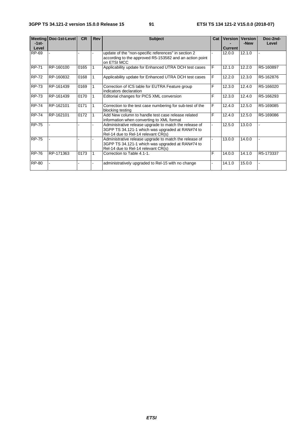| $-1st-$      | Meeting   Doc-1st-Level | <b>CR</b> | Rev | <b>Subject</b>                                                                                                                                    | Cat | <b>Version</b> | <b>Version</b><br>-New | Doc-2nd-<br>Level |
|--------------|-------------------------|-----------|-----|---------------------------------------------------------------------------------------------------------------------------------------------------|-----|----------------|------------------------|-------------------|
| Level        |                         |           |     |                                                                                                                                                   |     | <b>Current</b> |                        |                   |
| RP-69        |                         |           |     | update of the "non-specific references" in section 2<br>according to the approved R5-153582 and an action point<br>on ETSI MCC                    |     | 12.0.0         | 12.1.0                 |                   |
| <b>RP-71</b> | RP-160100               | 0165      |     | Applicability update for Enhanced UTRA DCH test cases                                                                                             | F   | 12.1.0         | 12.2.0                 | R5-160897         |
| <b>RP-72</b> | RP-160832               | 0168      |     | Applicability update for Enhanced UTRA DCH test cases                                                                                             | F   | 12.2.0         | 12.3.0                 | R5-162876         |
| <b>RP-73</b> | RP-161439               | 0169      |     | Correction of ICS table for EUTRA Feature group<br>indicators declaration                                                                         | F   | 12.3.0         | 12.4.0                 | R5-166020         |
| <b>RP-73</b> | RP-161439               | 0170      |     | Editorial changes for PICS XML conversion                                                                                                         | F   | 12.3.0         | 12.4.0                 | R5-166293         |
| <b>RP-74</b> | RP-162101               | 0171      |     | Correction to the test case numbering for sub-test of the<br>blocking testing                                                                     | F   | 12.4.0         | 12.5.0                 | R5-169085         |
| <b>RP-74</b> | RP-162101               | 0172      |     | Add New column to handle test case release related<br>information when converting to XML format                                                   | F   | 12.4.0         | 12.5.0                 | R5-169086         |
| <b>RP-75</b> |                         |           |     | Administrative release upgrade to match the release of<br>3GPP TS 34.121-1 which was upgraded at RAN#74 to<br>Rel-14 due to Rel-14 relevant CR(s) |     | 12.5.0         | 13.0.0                 |                   |
| <b>RP-75</b> |                         |           |     | Administrative release upgrade to match the release of<br>3GPP TS 34.121-1 which was upgraded at RAN#74 to<br>Rel-14 due to Rel-14 relevant CR(s) |     | 13.0.0         | 14.0.0                 |                   |
| <b>RP-76</b> | RP-171363               | 0173      |     | Correction to Table 4.1-1.                                                                                                                        | Ē   | 14.0.0         | 14.1.0                 | R5-173337         |
| RP-80        |                         |           |     | administratively upgraded to Rel-15 with no change                                                                                                |     | 14.1.0         | 15.0.0                 |                   |